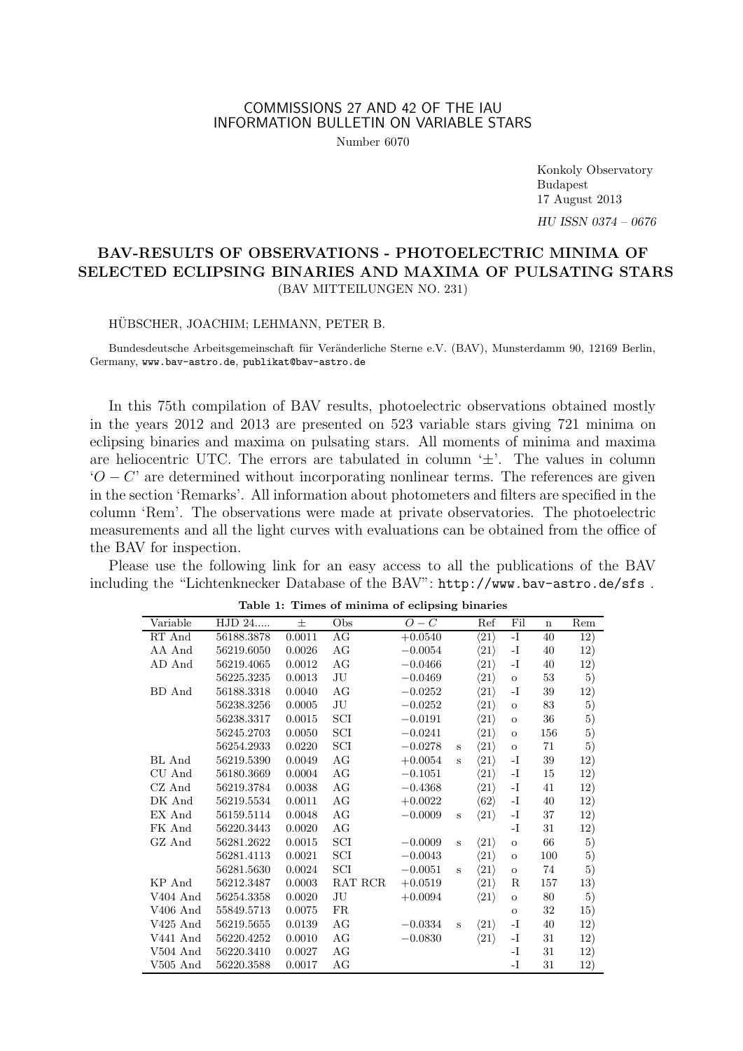## COMMISSIONS 27 AND 42 OF THE IAU INFORMATION BULLETIN ON VARIABLE STARS

Number 6070

Konkoly Observatory Budapest 17 August 2013 *HU ISSN 0374 – 0676*

# **BAV-RESULTS OF OBSERVATIONS - PHOTOELECTRIC MINIMA OF SELECTED ECLIPSING BINARIES AND MAXIMA OF PULSATING STARS** (BAV MITTEILUNGEN NO. 231)

### HÜBSCHER, JOACHIM; LEHMANN, PETER B.

Bundesdeutsche Arbeitsgemeinschaft für Veränderliche Sterne e.V. (BAV), Munsterdamm 90, 12169 Berlin, Germany, www.bav-astro.de, publikat@bav-astro.de

In this 75th compilation of BAV results, photoelectric observations obtained mostly in the years 2012 and 2013 are presented on 523 variable stars giving 721 minima on eclipsing binaries and maxima on pulsating stars. All moments of minima and maxima are heliocentric UTC. The errors are tabulated in column '*±*'. The values in column '*O − C*' are determined without incorporating nonlinear terms. The references are given in the section 'Remarks'. All information about photometers and filters are specified in the column 'Rem'. The observations were made at private observatories. The photoelectric measurements and all the light curves with evaluations can be obtained from the office of the BAV for inspection.

Please use the following link for an easy access to all the publications of the BAV including the "Lichtenknecker Database of the BAV": http://www.bav-astro.de/sfs .

|                      |            |        | <b>THUG OF IMMIDIA OF CORPORTS DIRECTED</b> |           |              |                      |              |             |                  |
|----------------------|------------|--------|---------------------------------------------|-----------|--------------|----------------------|--------------|-------------|------------------|
| Variable             | HJD 24     | 士      | Obs                                         | $O-C$     |              | Ref                  | Fil          | $\mathbf n$ | Rem              |
| RT And               | 56188.3878 | 0.0011 | AG                                          | $+0.0540$ |              | $\langle 21 \rangle$ | $\mathbf{I}$ | 40          | $\overline{12})$ |
| AA And               | 56219.6050 | 0.0026 | AG                                          | $-0.0054$ |              | $\langle 21 \rangle$ | -1           | 40          | 12)              |
| AD And               | 56219.4065 | 0.0012 | AG                                          | $-0.0466$ |              | $\langle 21 \rangle$ | -I           | 40          | 12)              |
|                      | 56225.3235 | 0.0013 | JU                                          | $-0.0469$ |              | $\langle 21 \rangle$ | $\mathbf O$  | 53          | 5)               |
| BD And               | 56188.3318 | 0.0040 | AG                                          | $-0.0252$ |              | $\langle 21 \rangle$ | -1           | 39          | 12)              |
|                      | 56238.3256 | 0.0005 | $\rm{J}U$                                   | $-0.0252$ |              | $\langle 21 \rangle$ | $\mathbf O$  | 83          | 5)               |
|                      | 56238.3317 | 0.0015 | SCI                                         | $-0.0191$ |              | $\langle 21 \rangle$ | $\mathbf O$  | 36          | 5)               |
|                      | 56245.2703 | 0.0050 | SCI                                         | $-0.0241$ |              | $\langle 21 \rangle$ | $\mathbf O$  | 156         | 5)               |
|                      | 56254.2933 | 0.0220 | SCI                                         | $-0.0278$ | $\mathbf S$  | $\langle 21 \rangle$ | $\mathbf O$  | 71          | 5)               |
| BL And               | 56219.5390 | 0.0049 | AG                                          | $+0.0054$ | $\mathbf{s}$ | $\langle 21 \rangle$ | -1           | 39          | 12)              |
| CU And               | 56180.3669 | 0.0004 | AG                                          | $-0.1051$ |              | $\langle 21 \rangle$ | -1           | 15          | 12)              |
| CZ And               | 56219.3784 | 0.0038 | AG                                          | $-0.4368$ |              | $\langle 21 \rangle$ | -1           | 41          | 12)              |
| DK And               | 56219.5534 | 0.0011 | AG                                          | $+0.0022$ |              | $\langle 62 \rangle$ | -1           | 40          | 12)              |
| EX And               | 56159.5114 | 0.0048 | AG                                          | $-0.0009$ | S            | $\langle 21 \rangle$ | -1           | 37          | 12)              |
| FK And               | 56220.3443 | 0.0020 | AG                                          |           |              |                      | -I           | $31\,$      | 12)              |
| GZ And               | 56281.2622 | 0.0015 | $\operatorname{SCI}$                        | $-0.0009$ | S            | $\langle 21 \rangle$ | $\mathbf O$  | 66          | 5)               |
|                      | 56281.4113 | 0.0021 | SCI                                         | $-0.0043$ |              | $\langle 21 \rangle$ | $\mathbf O$  | 100         | 5)               |
|                      | 56281.5630 | 0.0024 | SCI                                         | $-0.0051$ | S            | $\langle 21 \rangle$ | $\mathbf O$  | 74          | 5)               |
| KP And               | 56212.3487 | 0.0003 | RAT RCR                                     | $+0.0519$ |              | $\langle 21 \rangle$ | R            | 157         | 13)              |
| V <sub>404</sub> And | 56254.3358 | 0.0020 | JU                                          | $+0.0094$ |              | $\langle 21 \rangle$ | $\mathbf O$  | 80          | 5)               |
| $V406$ And           | 55849.5713 | 0.0075 | FR                                          |           |              |                      | $\mathbf O$  | 32          | 15)              |
| V425 And             | 56219.5655 | 0.0139 | AG                                          | $-0.0334$ | S            | $\langle 21 \rangle$ | -I           | 40          | 12)              |
| V441 And             | 56220.4252 | 0.0010 | AG                                          | $-0.0830$ |              | $\langle 21 \rangle$ | -1           | 31          | 12)              |
| $V504$ And           | 56220.3410 | 0.0027 | AG                                          |           |              |                      | -I           | 31          | 12)              |
| $V505$ And           | 56220.3588 | 0.0017 | AG                                          |           |              |                      | -I           | 31          | 12)              |

Table 1: Times of minima of eclipsing binaries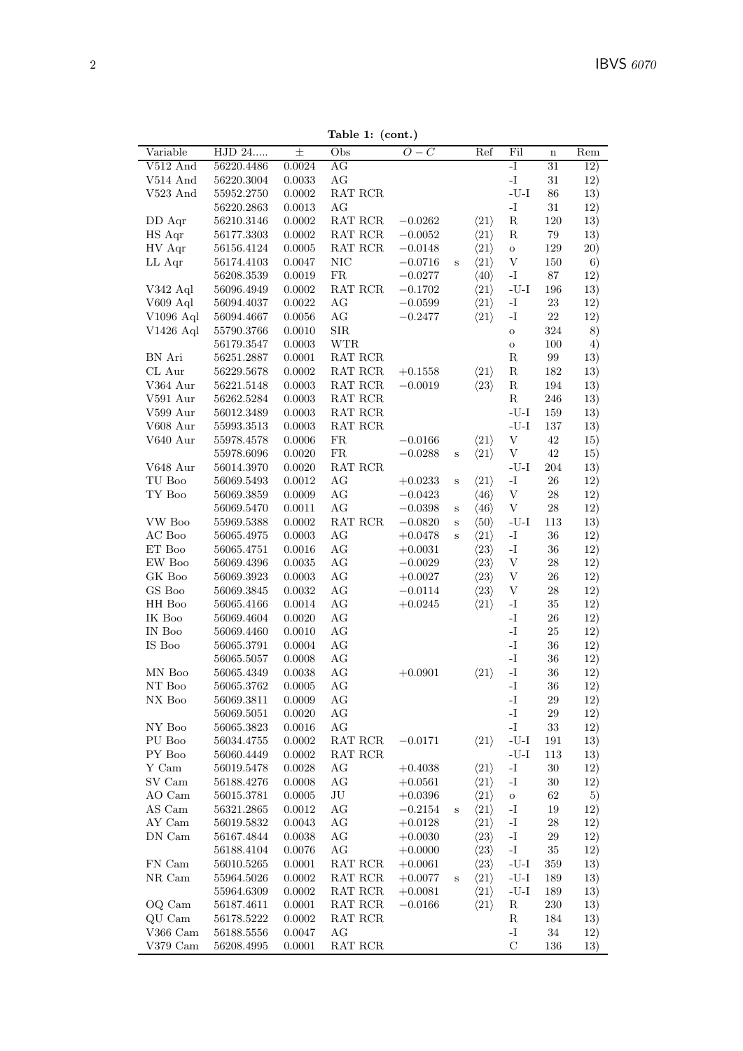Table 1: (cont.)

| Variable<br>HJD 24<br>Obs<br>Ref<br>Rem<br>n<br>$\overline{31}$<br>$V512$ And<br>56220.4486<br>0.0024<br>AG<br>-I<br>12)<br>$\mathbf{I}$ .<br>AG<br>$31\,$<br>12)<br>V514 And<br>0.0033<br>56220.3004<br>$\mbox{-}\mathrm{U}\mbox{-}\mathrm{I}$<br>$86\,$<br>V523 And<br>55952.2750<br>0.0002<br>RAT RCR<br>13)<br>AG<br>$\mathbf{I}$ –<br>0.0013<br>$31\,$<br>12)<br>56220.2863<br>$\operatorname{RAT}$ $\operatorname{RCR}$<br>DD Aqr<br>56210.3146<br>0.0002<br>$\langle 21 \rangle$<br>${\bf R}$<br>120<br>13)<br>$-0.0262$<br>HS Aqr<br>0.0002<br>$\operatorname{RAT}$ $\operatorname{RCR}$<br>${\bf R}$<br>$79\,$<br>56177.3303<br>$-0.0052$<br>$\langle 21 \rangle$<br>13)<br>HV Aqr<br>$\operatorname{RAT}$ $\operatorname{RCR}$<br>56156.4124<br>0.0005<br>$\langle 21 \rangle$<br>$129\,$<br>20)<br>$-0.0148$<br>$\mathbf O$<br>$\rm NIC$<br>$\ensuremath{\mathbf{V}}$<br>LL Aqr<br>0.0047<br>$\langle 21 \rangle$<br>$150\,$<br>6)<br>56174.4103<br>$-0.0716$<br>$\mathbf S$<br>${\rm FR}$<br>$\mathbf{-I}$<br>0.0019<br>$\langle 40 \rangle$<br>$87\,$<br>12)<br>56208.3539<br>$-0.0277$<br>V342 Aql<br>56096.4949<br>0.0002<br>RAT RCR<br>$\langle 21 \rangle$<br>$\mbox{-}\mathrm{U}\mbox{-}\mathrm{I}$<br>196<br>13)<br>$-0.1702$<br>$V609$ Aql<br>56094.4037<br>0.0022<br>AG<br>$\langle 21 \rangle$<br>$\mathbf{-I}$<br>23<br>12)<br>$-0.0599$<br>$\rm{AG}$<br>$\rm V1096$ Aql<br>0.0056<br>$\mathbf{I}$<br>$22\,$<br>56094.4667<br>$-0.2477$<br>$\langle 21 \rangle$<br>12)<br>${\rm SIR}$<br>$V1426$ Aql<br>0.0010<br>324<br>8)<br>55790.3766<br>$\mathbf O$<br>0.0003<br><b>WTR</b><br>100<br>56179.3547<br>4)<br>$\mathbf O$<br>${\bf R}$<br>BN Ari<br>0.0001<br>RAT RCR<br>99<br>13)<br>56251.2887<br>CL Aur<br>0.0002<br>RAT RCR<br>$\langle 21 \rangle$<br>${\bf R}$<br>13)<br>56229.5678<br>$+0.1558$<br>182<br>V364 Aur<br>0.0003<br>RAT RCR<br>$\langle 23 \rangle$<br>${\bf R}$<br>194<br>13)<br>56221.5148<br>$-0.0019$<br>V591 Aur<br>$\,0.0003\,$<br>$\operatorname{RAT}$ $\operatorname{RCR}$<br>$\mathbf R$<br>$246\,$<br>56262.5284<br>13)<br>$\operatorname{RAT}$ $\operatorname{RCR}$<br>$-I-U$<br>V599 Aur<br>56012.3489<br>0.0003<br>159<br>13)<br>$\operatorname{RAT}$ $\operatorname{RCR}$<br>V608 Aur<br>55993.3513<br>0.0003<br>$-I-U$<br>$137\,$<br>13)<br>$\ensuremath{\mathbf{V}}$<br>$42\,$<br>V640 Aur<br>0.0006<br>FR<br>$-0.0166$<br>$\langle 21 \rangle$<br>15)<br>55978.4578<br>$\ensuremath{\mathbf{V}}$<br>$42\,$<br>0.0020<br>FR<br>15)<br>55978.6096<br>$-0.0288$<br>$\langle 21 \rangle$<br>$\mathbf S$<br>$\operatorname{RAT}$ $\operatorname{RCR}$<br>V648 Aur<br>56014.3970<br>0.0020<br>$-U-I$<br>204<br>13)<br>$\mathbf{-I}$<br>TU Boo<br>0.0012<br>AG<br>$\langle 21 \rangle$<br>$26\,$<br>12)<br>56069.5493<br>$+0.0233$<br>$\mathbf S$<br>TY Boo<br>AG<br>$\ensuremath{\mathbf{V}}$<br>$\sqrt{28}$<br>0.0009<br>12)<br>56069.3859<br>$-0.0423$<br>$\langle 46 \rangle$<br>$\ensuremath{\mathbf{V}}$<br>0.0011<br>AG<br>$\,28$<br>12)<br>56069.5470<br>$-0.0398$<br>$\langle 46 \rangle$<br>$\mathbf S$<br>VW Boo<br>0.0002<br>RAT RCR<br>$\langle 50 \rangle$<br>$\mbox{-}\mathrm{U}\mbox{-}\mathrm{I}$<br>113<br>13)<br>55969.5388<br>$-0.0820$<br>$\, {\bf S}$<br>$\rm AC$ Boo<br>0.0003<br>AG<br>$\langle 21 \rangle$<br>$\mathbf{-I}$<br>36<br>12)<br>56065.4975<br>$+0.0478$<br>$\mathbf S$<br>ET Boo<br>0.0016<br>AG<br>$\mathbf{-I}$<br>$36\,$<br>56065.4751<br>$\langle 23 \rangle$<br>12)<br>$+0.0031$<br>$\rm{AG}$<br>EW Boo<br>$\, 0.0035\,$<br>$\ensuremath{\mathbf{V}}$<br>$28\,$<br>56069.4396<br>$-0.0029$<br>$\langle 23 \rangle$<br>12)<br>GK Boo<br>AG<br>$\ensuremath{\mathbf{V}}$<br>0.0003<br>$\langle 23 \rangle$<br>$26\,$<br>12)<br>56069.3923<br>$+0.0027$<br>GS Boo<br>$\rm{AG}$<br>$\ensuremath{\mathbf{V}}$<br>56069.3845<br>0.0032<br>$\langle 23 \rangle$<br>$\,28$<br>12)<br>$-0.0114$<br>$\rm{AG}$<br>$\mathbf{I}$<br>HH Boo<br>0.0014<br>$\langle 21 \rangle$<br>$35\,$<br>12)<br>56065.4166<br>$+0.0245$<br>IK Boo<br>0.0020<br>AG<br>$\mathbf{I}$<br>$26\,$<br>12)<br>56069.4604<br>$\mathbf{I}$ –<br>IN Boo<br>0.0010<br>AG<br>$25\,$<br>56069.4460<br>12)<br>$\mathbf{I}$ .<br>AG<br>$36\,$<br>IS Boo<br>0.0004<br>12)<br>56065.3791<br>$\mathbf{I}$ .<br>$\rm{AG}$<br>0.0008<br>$36\,$<br>12)<br>56065.5057<br>$\mathbf{I}$<br>MN Boo<br>AG<br>$\langle 21 \rangle$<br>36<br>56065.4349<br>0.0038<br>$+0.0901$<br>12)<br>$\mathbf{I}$ –<br>NT Boo<br>0.0005<br>AG<br>$36\,$<br>12)<br>56065.3762<br>NX Boo<br>56069.3811<br>0.0009<br>AG<br>-1<br>29<br>12)<br>$\mathbf{-I}$<br>AG<br>56069.5051<br>0.0020<br>29<br>12)<br>$\mathbf{I}$<br>NY Boo<br>0.0016<br>AG<br>$33\,$<br>12)<br>56065.3823<br>PU Boo<br>$\operatorname{RAT}$ $\operatorname{RCR}$<br>$\langle 21 \rangle$<br>$\mbox{-}\mathrm{U}\mbox{-}\mathrm{I}$<br>191<br>0.0002<br>$-0.0171$<br>13)<br>56034.4755<br>$\mbox{-}\mathrm{U}\mbox{-}\mathrm{I}$<br>PY Boo<br>$\operatorname{RAT}$ $\operatorname{RCR}$<br>56060.4449<br>0.0002<br>113<br>13)<br>$\mathbf{-I}$<br>Y Cam<br>0.0028<br>$30\,$<br>56019.5478<br>AG<br>$+0.4038$<br>$\langle 21 \rangle$<br>12)<br>SV Cam<br>AG<br>$\langle 21 \rangle$<br>0.0008<br>-1<br>30<br>12)<br>56188.4276<br>$+0.0561$<br>$\rm{J}U$<br>$\langle 21 \rangle$<br>62<br>AO Cam<br>0.0005<br>5)<br>56015.3781<br>$+0.0396$<br>${\rm O}$<br>$\operatorname{AS}$ Cam<br>AG<br>$\langle 21 \rangle$<br>$\mathbf{-I}$<br>0.0012<br>19<br>12)<br>56321.2865<br>$-0.2154$<br>$\, {\bf S}$<br>AY Cam<br>$\mathbf{-I}$<br>0.0043<br>AG<br>$\langle 21 \rangle$<br>${\bf 28}$<br>56019.5832<br>$+0.0128$<br>12)<br>DN Cam<br>0.0038<br>AG<br>$\langle 23 \rangle$<br>$\mathbf{-I}$<br>$\,29$<br>56167.4844<br>12)<br>$+0.0030$<br>0.0076<br>AG<br>$\langle 23 \rangle$<br>$\mathbf{-I}$<br>56188.4104<br>35<br>12)<br>$+0.0000$<br>FN Cam<br>$\langle 23 \rangle$<br>56010.5265<br>0.0001<br>RAT RCR<br>$-U-I$<br>359<br>13)<br>$+0.0061$<br>NR Cam<br>0.0002<br>$\operatorname{RAT}$ $\operatorname{RCR}$<br>$\langle 21 \rangle$<br>55964.5026<br>$-U-I$<br>189<br>13)<br>$+0.0077$<br>$\mathbf S$<br>0.0002<br>$\operatorname{RAT}$ $\operatorname{RCR}$<br>$\langle 21 \rangle$<br>$-U-I$<br>55964.6309<br>189<br>13)<br>$+0.0081$<br>$\operatorname{RAT}$ $\operatorname{RCR}$<br>$\langle 21 \rangle$<br>${\bf R}$<br>OQ Cam<br>56187.4611<br>0.0001<br>$-0.0166$<br>230<br>13)<br>QU Cam<br>$\operatorname{RAT}$ $\operatorname{RCR}$<br>0.0002<br>$_{\rm R}$<br>184<br>13)<br>56178.5222<br>$V366$ Cam<br>0.0047<br>AG<br>$\mathbf{I}$<br>56188.5556<br>34<br>12)<br>$\operatorname{RAT}$ $\operatorname{RCR}$<br>$\mathbf C$<br>$V379$ Cam<br>56208.4995<br>0.0001<br>136<br>13) |  |       | rapie r. (com.) |       |  |     |  |
|-----------------------------------------------------------------------------------------------------------------------------------------------------------------------------------------------------------------------------------------------------------------------------------------------------------------------------------------------------------------------------------------------------------------------------------------------------------------------------------------------------------------------------------------------------------------------------------------------------------------------------------------------------------------------------------------------------------------------------------------------------------------------------------------------------------------------------------------------------------------------------------------------------------------------------------------------------------------------------------------------------------------------------------------------------------------------------------------------------------------------------------------------------------------------------------------------------------------------------------------------------------------------------------------------------------------------------------------------------------------------------------------------------------------------------------------------------------------------------------------------------------------------------------------------------------------------------------------------------------------------------------------------------------------------------------------------------------------------------------------------------------------------------------------------------------------------------------------------------------------------------------------------------------------------------------------------------------------------------------------------------------------------------------------------------------------------------------------------------------------------------------------------------------------------------------------------------------------------------------------------------------------------------------------------------------------------------------------------------------------------------------------------------------------------------------------------------------------------------------------------------------------------------------------------------------------------------------------------------------------------------------------------------------------------------------------------------------------------------------------------------------------------------------------------------------------------------------------------------------------------------------------------------------------------------------------------------------------------------------------------------------------------------------------------------------------------------------------------------------------------------------------------------------------------------------------------------------------------------------------------------------------------------------------------------------------------------------------------------------------------------------------------------------------------------------------------------------------------------------------------------------------------------------------------------------------------------------------------------------------------------------------------------------------------------------------------------------------------------------------------------------------------------------------------------------------------------------------------------------------------------------------------------------------------------------------------------------------------------------------------------------------------------------------------------------------------------------------------------------------------------------------------------------------------------------------------------------------------------------------------------------------------------------------------------------------------------------------------------------------------------------------------------------------------------------------------------------------------------------------------------------------------------------------------------------------------------------------------------------------------------------------------------------------------------------------------------------------------------------------------------------------------------------------------------------------------------------------------------------------------------------------------------------------------------------------------------------------------------------------------------------------------------------------------------------------------------------------------------------------------------------------------------------------------------------------------------------------------------------------------------------------------------------------------------------------------------------------------------------------------------------------------------------------------------------------------------------------------------------------------------------------------------------------------------------------------------------------------------------------------------------------------------------------------------------------------------------------------------------------------------------------------------------------------------------------------------------------------------------------------------------------------------------------------------------------------------------------------------------------------------------------------------------------------------------------------------------------------------------------------------------------------------------------------------------------------------------------------------------------------------------------------------------------------------------------------------------------------------------------------------------------------------------------------------------------------------------------------------------------------------------------------------------------------------------------------------------------------------------------------------------------------------------------------------------------------|--|-------|-----------------|-------|--|-----|--|
|                                                                                                                                                                                                                                                                                                                                                                                                                                                                                                                                                                                                                                                                                                                                                                                                                                                                                                                                                                                                                                                                                                                                                                                                                                                                                                                                                                                                                                                                                                                                                                                                                                                                                                                                                                                                                                                                                                                                                                                                                                                                                                                                                                                                                                                                                                                                                                                                                                                                                                                                                                                                                                                                                                                                                                                                                                                                                                                                                                                                                                                                                                                                                                                                                                                                                                                                                                                                                                                                                                                                                                                                                                                                                                                                                                                                                                                                                                                                                                                                                                                                                                                                                                                                                                                                                                                                                                                                                                                                                                                                                                                                                                                                                                                                                                                                                                                                                                                                                                                                                                                                                                                                                                                                                                                                                                                                                                                                                                                                                                                                                                                                                                                                                                                                                                                                                                                                                                                                                                                                                                                                                                                                                                                                                                                                                                                                                                                                                                                                                                                                                                                                                                                                                               |  | $\pm$ |                 | $O-C$ |  | Fil |  |
|                                                                                                                                                                                                                                                                                                                                                                                                                                                                                                                                                                                                                                                                                                                                                                                                                                                                                                                                                                                                                                                                                                                                                                                                                                                                                                                                                                                                                                                                                                                                                                                                                                                                                                                                                                                                                                                                                                                                                                                                                                                                                                                                                                                                                                                                                                                                                                                                                                                                                                                                                                                                                                                                                                                                                                                                                                                                                                                                                                                                                                                                                                                                                                                                                                                                                                                                                                                                                                                                                                                                                                                                                                                                                                                                                                                                                                                                                                                                                                                                                                                                                                                                                                                                                                                                                                                                                                                                                                                                                                                                                                                                                                                                                                                                                                                                                                                                                                                                                                                                                                                                                                                                                                                                                                                                                                                                                                                                                                                                                                                                                                                                                                                                                                                                                                                                                                                                                                                                                                                                                                                                                                                                                                                                                                                                                                                                                                                                                                                                                                                                                                                                                                                                                               |  |       |                 |       |  |     |  |
|                                                                                                                                                                                                                                                                                                                                                                                                                                                                                                                                                                                                                                                                                                                                                                                                                                                                                                                                                                                                                                                                                                                                                                                                                                                                                                                                                                                                                                                                                                                                                                                                                                                                                                                                                                                                                                                                                                                                                                                                                                                                                                                                                                                                                                                                                                                                                                                                                                                                                                                                                                                                                                                                                                                                                                                                                                                                                                                                                                                                                                                                                                                                                                                                                                                                                                                                                                                                                                                                                                                                                                                                                                                                                                                                                                                                                                                                                                                                                                                                                                                                                                                                                                                                                                                                                                                                                                                                                                                                                                                                                                                                                                                                                                                                                                                                                                                                                                                                                                                                                                                                                                                                                                                                                                                                                                                                                                                                                                                                                                                                                                                                                                                                                                                                                                                                                                                                                                                                                                                                                                                                                                                                                                                                                                                                                                                                                                                                                                                                                                                                                                                                                                                                                               |  |       |                 |       |  |     |  |
|                                                                                                                                                                                                                                                                                                                                                                                                                                                                                                                                                                                                                                                                                                                                                                                                                                                                                                                                                                                                                                                                                                                                                                                                                                                                                                                                                                                                                                                                                                                                                                                                                                                                                                                                                                                                                                                                                                                                                                                                                                                                                                                                                                                                                                                                                                                                                                                                                                                                                                                                                                                                                                                                                                                                                                                                                                                                                                                                                                                                                                                                                                                                                                                                                                                                                                                                                                                                                                                                                                                                                                                                                                                                                                                                                                                                                                                                                                                                                                                                                                                                                                                                                                                                                                                                                                                                                                                                                                                                                                                                                                                                                                                                                                                                                                                                                                                                                                                                                                                                                                                                                                                                                                                                                                                                                                                                                                                                                                                                                                                                                                                                                                                                                                                                                                                                                                                                                                                                                                                                                                                                                                                                                                                                                                                                                                                                                                                                                                                                                                                                                                                                                                                                                               |  |       |                 |       |  |     |  |
|                                                                                                                                                                                                                                                                                                                                                                                                                                                                                                                                                                                                                                                                                                                                                                                                                                                                                                                                                                                                                                                                                                                                                                                                                                                                                                                                                                                                                                                                                                                                                                                                                                                                                                                                                                                                                                                                                                                                                                                                                                                                                                                                                                                                                                                                                                                                                                                                                                                                                                                                                                                                                                                                                                                                                                                                                                                                                                                                                                                                                                                                                                                                                                                                                                                                                                                                                                                                                                                                                                                                                                                                                                                                                                                                                                                                                                                                                                                                                                                                                                                                                                                                                                                                                                                                                                                                                                                                                                                                                                                                                                                                                                                                                                                                                                                                                                                                                                                                                                                                                                                                                                                                                                                                                                                                                                                                                                                                                                                                                                                                                                                                                                                                                                                                                                                                                                                                                                                                                                                                                                                                                                                                                                                                                                                                                                                                                                                                                                                                                                                                                                                                                                                                                               |  |       |                 |       |  |     |  |
|                                                                                                                                                                                                                                                                                                                                                                                                                                                                                                                                                                                                                                                                                                                                                                                                                                                                                                                                                                                                                                                                                                                                                                                                                                                                                                                                                                                                                                                                                                                                                                                                                                                                                                                                                                                                                                                                                                                                                                                                                                                                                                                                                                                                                                                                                                                                                                                                                                                                                                                                                                                                                                                                                                                                                                                                                                                                                                                                                                                                                                                                                                                                                                                                                                                                                                                                                                                                                                                                                                                                                                                                                                                                                                                                                                                                                                                                                                                                                                                                                                                                                                                                                                                                                                                                                                                                                                                                                                                                                                                                                                                                                                                                                                                                                                                                                                                                                                                                                                                                                                                                                                                                                                                                                                                                                                                                                                                                                                                                                                                                                                                                                                                                                                                                                                                                                                                                                                                                                                                                                                                                                                                                                                                                                                                                                                                                                                                                                                                                                                                                                                                                                                                                                               |  |       |                 |       |  |     |  |
|                                                                                                                                                                                                                                                                                                                                                                                                                                                                                                                                                                                                                                                                                                                                                                                                                                                                                                                                                                                                                                                                                                                                                                                                                                                                                                                                                                                                                                                                                                                                                                                                                                                                                                                                                                                                                                                                                                                                                                                                                                                                                                                                                                                                                                                                                                                                                                                                                                                                                                                                                                                                                                                                                                                                                                                                                                                                                                                                                                                                                                                                                                                                                                                                                                                                                                                                                                                                                                                                                                                                                                                                                                                                                                                                                                                                                                                                                                                                                                                                                                                                                                                                                                                                                                                                                                                                                                                                                                                                                                                                                                                                                                                                                                                                                                                                                                                                                                                                                                                                                                                                                                                                                                                                                                                                                                                                                                                                                                                                                                                                                                                                                                                                                                                                                                                                                                                                                                                                                                                                                                                                                                                                                                                                                                                                                                                                                                                                                                                                                                                                                                                                                                                                                               |  |       |                 |       |  |     |  |
|                                                                                                                                                                                                                                                                                                                                                                                                                                                                                                                                                                                                                                                                                                                                                                                                                                                                                                                                                                                                                                                                                                                                                                                                                                                                                                                                                                                                                                                                                                                                                                                                                                                                                                                                                                                                                                                                                                                                                                                                                                                                                                                                                                                                                                                                                                                                                                                                                                                                                                                                                                                                                                                                                                                                                                                                                                                                                                                                                                                                                                                                                                                                                                                                                                                                                                                                                                                                                                                                                                                                                                                                                                                                                                                                                                                                                                                                                                                                                                                                                                                                                                                                                                                                                                                                                                                                                                                                                                                                                                                                                                                                                                                                                                                                                                                                                                                                                                                                                                                                                                                                                                                                                                                                                                                                                                                                                                                                                                                                                                                                                                                                                                                                                                                                                                                                                                                                                                                                                                                                                                                                                                                                                                                                                                                                                                                                                                                                                                                                                                                                                                                                                                                                                               |  |       |                 |       |  |     |  |
|                                                                                                                                                                                                                                                                                                                                                                                                                                                                                                                                                                                                                                                                                                                                                                                                                                                                                                                                                                                                                                                                                                                                                                                                                                                                                                                                                                                                                                                                                                                                                                                                                                                                                                                                                                                                                                                                                                                                                                                                                                                                                                                                                                                                                                                                                                                                                                                                                                                                                                                                                                                                                                                                                                                                                                                                                                                                                                                                                                                                                                                                                                                                                                                                                                                                                                                                                                                                                                                                                                                                                                                                                                                                                                                                                                                                                                                                                                                                                                                                                                                                                                                                                                                                                                                                                                                                                                                                                                                                                                                                                                                                                                                                                                                                                                                                                                                                                                                                                                                                                                                                                                                                                                                                                                                                                                                                                                                                                                                                                                                                                                                                                                                                                                                                                                                                                                                                                                                                                                                                                                                                                                                                                                                                                                                                                                                                                                                                                                                                                                                                                                                                                                                                                               |  |       |                 |       |  |     |  |
|                                                                                                                                                                                                                                                                                                                                                                                                                                                                                                                                                                                                                                                                                                                                                                                                                                                                                                                                                                                                                                                                                                                                                                                                                                                                                                                                                                                                                                                                                                                                                                                                                                                                                                                                                                                                                                                                                                                                                                                                                                                                                                                                                                                                                                                                                                                                                                                                                                                                                                                                                                                                                                                                                                                                                                                                                                                                                                                                                                                                                                                                                                                                                                                                                                                                                                                                                                                                                                                                                                                                                                                                                                                                                                                                                                                                                                                                                                                                                                                                                                                                                                                                                                                                                                                                                                                                                                                                                                                                                                                                                                                                                                                                                                                                                                                                                                                                                                                                                                                                                                                                                                                                                                                                                                                                                                                                                                                                                                                                                                                                                                                                                                                                                                                                                                                                                                                                                                                                                                                                                                                                                                                                                                                                                                                                                                                                                                                                                                                                                                                                                                                                                                                                                               |  |       |                 |       |  |     |  |
|                                                                                                                                                                                                                                                                                                                                                                                                                                                                                                                                                                                                                                                                                                                                                                                                                                                                                                                                                                                                                                                                                                                                                                                                                                                                                                                                                                                                                                                                                                                                                                                                                                                                                                                                                                                                                                                                                                                                                                                                                                                                                                                                                                                                                                                                                                                                                                                                                                                                                                                                                                                                                                                                                                                                                                                                                                                                                                                                                                                                                                                                                                                                                                                                                                                                                                                                                                                                                                                                                                                                                                                                                                                                                                                                                                                                                                                                                                                                                                                                                                                                                                                                                                                                                                                                                                                                                                                                                                                                                                                                                                                                                                                                                                                                                                                                                                                                                                                                                                                                                                                                                                                                                                                                                                                                                                                                                                                                                                                                                                                                                                                                                                                                                                                                                                                                                                                                                                                                                                                                                                                                                                                                                                                                                                                                                                                                                                                                                                                                                                                                                                                                                                                                                               |  |       |                 |       |  |     |  |
|                                                                                                                                                                                                                                                                                                                                                                                                                                                                                                                                                                                                                                                                                                                                                                                                                                                                                                                                                                                                                                                                                                                                                                                                                                                                                                                                                                                                                                                                                                                                                                                                                                                                                                                                                                                                                                                                                                                                                                                                                                                                                                                                                                                                                                                                                                                                                                                                                                                                                                                                                                                                                                                                                                                                                                                                                                                                                                                                                                                                                                                                                                                                                                                                                                                                                                                                                                                                                                                                                                                                                                                                                                                                                                                                                                                                                                                                                                                                                                                                                                                                                                                                                                                                                                                                                                                                                                                                                                                                                                                                                                                                                                                                                                                                                                                                                                                                                                                                                                                                                                                                                                                                                                                                                                                                                                                                                                                                                                                                                                                                                                                                                                                                                                                                                                                                                                                                                                                                                                                                                                                                                                                                                                                                                                                                                                                                                                                                                                                                                                                                                                                                                                                                                               |  |       |                 |       |  |     |  |
|                                                                                                                                                                                                                                                                                                                                                                                                                                                                                                                                                                                                                                                                                                                                                                                                                                                                                                                                                                                                                                                                                                                                                                                                                                                                                                                                                                                                                                                                                                                                                                                                                                                                                                                                                                                                                                                                                                                                                                                                                                                                                                                                                                                                                                                                                                                                                                                                                                                                                                                                                                                                                                                                                                                                                                                                                                                                                                                                                                                                                                                                                                                                                                                                                                                                                                                                                                                                                                                                                                                                                                                                                                                                                                                                                                                                                                                                                                                                                                                                                                                                                                                                                                                                                                                                                                                                                                                                                                                                                                                                                                                                                                                                                                                                                                                                                                                                                                                                                                                                                                                                                                                                                                                                                                                                                                                                                                                                                                                                                                                                                                                                                                                                                                                                                                                                                                                                                                                                                                                                                                                                                                                                                                                                                                                                                                                                                                                                                                                                                                                                                                                                                                                                                               |  |       |                 |       |  |     |  |
|                                                                                                                                                                                                                                                                                                                                                                                                                                                                                                                                                                                                                                                                                                                                                                                                                                                                                                                                                                                                                                                                                                                                                                                                                                                                                                                                                                                                                                                                                                                                                                                                                                                                                                                                                                                                                                                                                                                                                                                                                                                                                                                                                                                                                                                                                                                                                                                                                                                                                                                                                                                                                                                                                                                                                                                                                                                                                                                                                                                                                                                                                                                                                                                                                                                                                                                                                                                                                                                                                                                                                                                                                                                                                                                                                                                                                                                                                                                                                                                                                                                                                                                                                                                                                                                                                                                                                                                                                                                                                                                                                                                                                                                                                                                                                                                                                                                                                                                                                                                                                                                                                                                                                                                                                                                                                                                                                                                                                                                                                                                                                                                                                                                                                                                                                                                                                                                                                                                                                                                                                                                                                                                                                                                                                                                                                                                                                                                                                                                                                                                                                                                                                                                                                               |  |       |                 |       |  |     |  |
|                                                                                                                                                                                                                                                                                                                                                                                                                                                                                                                                                                                                                                                                                                                                                                                                                                                                                                                                                                                                                                                                                                                                                                                                                                                                                                                                                                                                                                                                                                                                                                                                                                                                                                                                                                                                                                                                                                                                                                                                                                                                                                                                                                                                                                                                                                                                                                                                                                                                                                                                                                                                                                                                                                                                                                                                                                                                                                                                                                                                                                                                                                                                                                                                                                                                                                                                                                                                                                                                                                                                                                                                                                                                                                                                                                                                                                                                                                                                                                                                                                                                                                                                                                                                                                                                                                                                                                                                                                                                                                                                                                                                                                                                                                                                                                                                                                                                                                                                                                                                                                                                                                                                                                                                                                                                                                                                                                                                                                                                                                                                                                                                                                                                                                                                                                                                                                                                                                                                                                                                                                                                                                                                                                                                                                                                                                                                                                                                                                                                                                                                                                                                                                                                                               |  |       |                 |       |  |     |  |
|                                                                                                                                                                                                                                                                                                                                                                                                                                                                                                                                                                                                                                                                                                                                                                                                                                                                                                                                                                                                                                                                                                                                                                                                                                                                                                                                                                                                                                                                                                                                                                                                                                                                                                                                                                                                                                                                                                                                                                                                                                                                                                                                                                                                                                                                                                                                                                                                                                                                                                                                                                                                                                                                                                                                                                                                                                                                                                                                                                                                                                                                                                                                                                                                                                                                                                                                                                                                                                                                                                                                                                                                                                                                                                                                                                                                                                                                                                                                                                                                                                                                                                                                                                                                                                                                                                                                                                                                                                                                                                                                                                                                                                                                                                                                                                                                                                                                                                                                                                                                                                                                                                                                                                                                                                                                                                                                                                                                                                                                                                                                                                                                                                                                                                                                                                                                                                                                                                                                                                                                                                                                                                                                                                                                                                                                                                                                                                                                                                                                                                                                                                                                                                                                                               |  |       |                 |       |  |     |  |
|                                                                                                                                                                                                                                                                                                                                                                                                                                                                                                                                                                                                                                                                                                                                                                                                                                                                                                                                                                                                                                                                                                                                                                                                                                                                                                                                                                                                                                                                                                                                                                                                                                                                                                                                                                                                                                                                                                                                                                                                                                                                                                                                                                                                                                                                                                                                                                                                                                                                                                                                                                                                                                                                                                                                                                                                                                                                                                                                                                                                                                                                                                                                                                                                                                                                                                                                                                                                                                                                                                                                                                                                                                                                                                                                                                                                                                                                                                                                                                                                                                                                                                                                                                                                                                                                                                                                                                                                                                                                                                                                                                                                                                                                                                                                                                                                                                                                                                                                                                                                                                                                                                                                                                                                                                                                                                                                                                                                                                                                                                                                                                                                                                                                                                                                                                                                                                                                                                                                                                                                                                                                                                                                                                                                                                                                                                                                                                                                                                                                                                                                                                                                                                                                                               |  |       |                 |       |  |     |  |
|                                                                                                                                                                                                                                                                                                                                                                                                                                                                                                                                                                                                                                                                                                                                                                                                                                                                                                                                                                                                                                                                                                                                                                                                                                                                                                                                                                                                                                                                                                                                                                                                                                                                                                                                                                                                                                                                                                                                                                                                                                                                                                                                                                                                                                                                                                                                                                                                                                                                                                                                                                                                                                                                                                                                                                                                                                                                                                                                                                                                                                                                                                                                                                                                                                                                                                                                                                                                                                                                                                                                                                                                                                                                                                                                                                                                                                                                                                                                                                                                                                                                                                                                                                                                                                                                                                                                                                                                                                                                                                                                                                                                                                                                                                                                                                                                                                                                                                                                                                                                                                                                                                                                                                                                                                                                                                                                                                                                                                                                                                                                                                                                                                                                                                                                                                                                                                                                                                                                                                                                                                                                                                                                                                                                                                                                                                                                                                                                                                                                                                                                                                                                                                                                                               |  |       |                 |       |  |     |  |
|                                                                                                                                                                                                                                                                                                                                                                                                                                                                                                                                                                                                                                                                                                                                                                                                                                                                                                                                                                                                                                                                                                                                                                                                                                                                                                                                                                                                                                                                                                                                                                                                                                                                                                                                                                                                                                                                                                                                                                                                                                                                                                                                                                                                                                                                                                                                                                                                                                                                                                                                                                                                                                                                                                                                                                                                                                                                                                                                                                                                                                                                                                                                                                                                                                                                                                                                                                                                                                                                                                                                                                                                                                                                                                                                                                                                                                                                                                                                                                                                                                                                                                                                                                                                                                                                                                                                                                                                                                                                                                                                                                                                                                                                                                                                                                                                                                                                                                                                                                                                                                                                                                                                                                                                                                                                                                                                                                                                                                                                                                                                                                                                                                                                                                                                                                                                                                                                                                                                                                                                                                                                                                                                                                                                                                                                                                                                                                                                                                                                                                                                                                                                                                                                                               |  |       |                 |       |  |     |  |
|                                                                                                                                                                                                                                                                                                                                                                                                                                                                                                                                                                                                                                                                                                                                                                                                                                                                                                                                                                                                                                                                                                                                                                                                                                                                                                                                                                                                                                                                                                                                                                                                                                                                                                                                                                                                                                                                                                                                                                                                                                                                                                                                                                                                                                                                                                                                                                                                                                                                                                                                                                                                                                                                                                                                                                                                                                                                                                                                                                                                                                                                                                                                                                                                                                                                                                                                                                                                                                                                                                                                                                                                                                                                                                                                                                                                                                                                                                                                                                                                                                                                                                                                                                                                                                                                                                                                                                                                                                                                                                                                                                                                                                                                                                                                                                                                                                                                                                                                                                                                                                                                                                                                                                                                                                                                                                                                                                                                                                                                                                                                                                                                                                                                                                                                                                                                                                                                                                                                                                                                                                                                                                                                                                                                                                                                                                                                                                                                                                                                                                                                                                                                                                                                                               |  |       |                 |       |  |     |  |
|                                                                                                                                                                                                                                                                                                                                                                                                                                                                                                                                                                                                                                                                                                                                                                                                                                                                                                                                                                                                                                                                                                                                                                                                                                                                                                                                                                                                                                                                                                                                                                                                                                                                                                                                                                                                                                                                                                                                                                                                                                                                                                                                                                                                                                                                                                                                                                                                                                                                                                                                                                                                                                                                                                                                                                                                                                                                                                                                                                                                                                                                                                                                                                                                                                                                                                                                                                                                                                                                                                                                                                                                                                                                                                                                                                                                                                                                                                                                                                                                                                                                                                                                                                                                                                                                                                                                                                                                                                                                                                                                                                                                                                                                                                                                                                                                                                                                                                                                                                                                                                                                                                                                                                                                                                                                                                                                                                                                                                                                                                                                                                                                                                                                                                                                                                                                                                                                                                                                                                                                                                                                                                                                                                                                                                                                                                                                                                                                                                                                                                                                                                                                                                                                                               |  |       |                 |       |  |     |  |
|                                                                                                                                                                                                                                                                                                                                                                                                                                                                                                                                                                                                                                                                                                                                                                                                                                                                                                                                                                                                                                                                                                                                                                                                                                                                                                                                                                                                                                                                                                                                                                                                                                                                                                                                                                                                                                                                                                                                                                                                                                                                                                                                                                                                                                                                                                                                                                                                                                                                                                                                                                                                                                                                                                                                                                                                                                                                                                                                                                                                                                                                                                                                                                                                                                                                                                                                                                                                                                                                                                                                                                                                                                                                                                                                                                                                                                                                                                                                                                                                                                                                                                                                                                                                                                                                                                                                                                                                                                                                                                                                                                                                                                                                                                                                                                                                                                                                                                                                                                                                                                                                                                                                                                                                                                                                                                                                                                                                                                                                                                                                                                                                                                                                                                                                                                                                                                                                                                                                                                                                                                                                                                                                                                                                                                                                                                                                                                                                                                                                                                                                                                                                                                                                                               |  |       |                 |       |  |     |  |
|                                                                                                                                                                                                                                                                                                                                                                                                                                                                                                                                                                                                                                                                                                                                                                                                                                                                                                                                                                                                                                                                                                                                                                                                                                                                                                                                                                                                                                                                                                                                                                                                                                                                                                                                                                                                                                                                                                                                                                                                                                                                                                                                                                                                                                                                                                                                                                                                                                                                                                                                                                                                                                                                                                                                                                                                                                                                                                                                                                                                                                                                                                                                                                                                                                                                                                                                                                                                                                                                                                                                                                                                                                                                                                                                                                                                                                                                                                                                                                                                                                                                                                                                                                                                                                                                                                                                                                                                                                                                                                                                                                                                                                                                                                                                                                                                                                                                                                                                                                                                                                                                                                                                                                                                                                                                                                                                                                                                                                                                                                                                                                                                                                                                                                                                                                                                                                                                                                                                                                                                                                                                                                                                                                                                                                                                                                                                                                                                                                                                                                                                                                                                                                                                                               |  |       |                 |       |  |     |  |
|                                                                                                                                                                                                                                                                                                                                                                                                                                                                                                                                                                                                                                                                                                                                                                                                                                                                                                                                                                                                                                                                                                                                                                                                                                                                                                                                                                                                                                                                                                                                                                                                                                                                                                                                                                                                                                                                                                                                                                                                                                                                                                                                                                                                                                                                                                                                                                                                                                                                                                                                                                                                                                                                                                                                                                                                                                                                                                                                                                                                                                                                                                                                                                                                                                                                                                                                                                                                                                                                                                                                                                                                                                                                                                                                                                                                                                                                                                                                                                                                                                                                                                                                                                                                                                                                                                                                                                                                                                                                                                                                                                                                                                                                                                                                                                                                                                                                                                                                                                                                                                                                                                                                                                                                                                                                                                                                                                                                                                                                                                                                                                                                                                                                                                                                                                                                                                                                                                                                                                                                                                                                                                                                                                                                                                                                                                                                                                                                                                                                                                                                                                                                                                                                                               |  |       |                 |       |  |     |  |
|                                                                                                                                                                                                                                                                                                                                                                                                                                                                                                                                                                                                                                                                                                                                                                                                                                                                                                                                                                                                                                                                                                                                                                                                                                                                                                                                                                                                                                                                                                                                                                                                                                                                                                                                                                                                                                                                                                                                                                                                                                                                                                                                                                                                                                                                                                                                                                                                                                                                                                                                                                                                                                                                                                                                                                                                                                                                                                                                                                                                                                                                                                                                                                                                                                                                                                                                                                                                                                                                                                                                                                                                                                                                                                                                                                                                                                                                                                                                                                                                                                                                                                                                                                                                                                                                                                                                                                                                                                                                                                                                                                                                                                                                                                                                                                                                                                                                                                                                                                                                                                                                                                                                                                                                                                                                                                                                                                                                                                                                                                                                                                                                                                                                                                                                                                                                                                                                                                                                                                                                                                                                                                                                                                                                                                                                                                                                                                                                                                                                                                                                                                                                                                                                                               |  |       |                 |       |  |     |  |
|                                                                                                                                                                                                                                                                                                                                                                                                                                                                                                                                                                                                                                                                                                                                                                                                                                                                                                                                                                                                                                                                                                                                                                                                                                                                                                                                                                                                                                                                                                                                                                                                                                                                                                                                                                                                                                                                                                                                                                                                                                                                                                                                                                                                                                                                                                                                                                                                                                                                                                                                                                                                                                                                                                                                                                                                                                                                                                                                                                                                                                                                                                                                                                                                                                                                                                                                                                                                                                                                                                                                                                                                                                                                                                                                                                                                                                                                                                                                                                                                                                                                                                                                                                                                                                                                                                                                                                                                                                                                                                                                                                                                                                                                                                                                                                                                                                                                                                                                                                                                                                                                                                                                                                                                                                                                                                                                                                                                                                                                                                                                                                                                                                                                                                                                                                                                                                                                                                                                                                                                                                                                                                                                                                                                                                                                                                                                                                                                                                                                                                                                                                                                                                                                                               |  |       |                 |       |  |     |  |
|                                                                                                                                                                                                                                                                                                                                                                                                                                                                                                                                                                                                                                                                                                                                                                                                                                                                                                                                                                                                                                                                                                                                                                                                                                                                                                                                                                                                                                                                                                                                                                                                                                                                                                                                                                                                                                                                                                                                                                                                                                                                                                                                                                                                                                                                                                                                                                                                                                                                                                                                                                                                                                                                                                                                                                                                                                                                                                                                                                                                                                                                                                                                                                                                                                                                                                                                                                                                                                                                                                                                                                                                                                                                                                                                                                                                                                                                                                                                                                                                                                                                                                                                                                                                                                                                                                                                                                                                                                                                                                                                                                                                                                                                                                                                                                                                                                                                                                                                                                                                                                                                                                                                                                                                                                                                                                                                                                                                                                                                                                                                                                                                                                                                                                                                                                                                                                                                                                                                                                                                                                                                                                                                                                                                                                                                                                                                                                                                                                                                                                                                                                                                                                                                                               |  |       |                 |       |  |     |  |
|                                                                                                                                                                                                                                                                                                                                                                                                                                                                                                                                                                                                                                                                                                                                                                                                                                                                                                                                                                                                                                                                                                                                                                                                                                                                                                                                                                                                                                                                                                                                                                                                                                                                                                                                                                                                                                                                                                                                                                                                                                                                                                                                                                                                                                                                                                                                                                                                                                                                                                                                                                                                                                                                                                                                                                                                                                                                                                                                                                                                                                                                                                                                                                                                                                                                                                                                                                                                                                                                                                                                                                                                                                                                                                                                                                                                                                                                                                                                                                                                                                                                                                                                                                                                                                                                                                                                                                                                                                                                                                                                                                                                                                                                                                                                                                                                                                                                                                                                                                                                                                                                                                                                                                                                                                                                                                                                                                                                                                                                                                                                                                                                                                                                                                                                                                                                                                                                                                                                                                                                                                                                                                                                                                                                                                                                                                                                                                                                                                                                                                                                                                                                                                                                                               |  |       |                 |       |  |     |  |
|                                                                                                                                                                                                                                                                                                                                                                                                                                                                                                                                                                                                                                                                                                                                                                                                                                                                                                                                                                                                                                                                                                                                                                                                                                                                                                                                                                                                                                                                                                                                                                                                                                                                                                                                                                                                                                                                                                                                                                                                                                                                                                                                                                                                                                                                                                                                                                                                                                                                                                                                                                                                                                                                                                                                                                                                                                                                                                                                                                                                                                                                                                                                                                                                                                                                                                                                                                                                                                                                                                                                                                                                                                                                                                                                                                                                                                                                                                                                                                                                                                                                                                                                                                                                                                                                                                                                                                                                                                                                                                                                                                                                                                                                                                                                                                                                                                                                                                                                                                                                                                                                                                                                                                                                                                                                                                                                                                                                                                                                                                                                                                                                                                                                                                                                                                                                                                                                                                                                                                                                                                                                                                                                                                                                                                                                                                                                                                                                                                                                                                                                                                                                                                                                                               |  |       |                 |       |  |     |  |
|                                                                                                                                                                                                                                                                                                                                                                                                                                                                                                                                                                                                                                                                                                                                                                                                                                                                                                                                                                                                                                                                                                                                                                                                                                                                                                                                                                                                                                                                                                                                                                                                                                                                                                                                                                                                                                                                                                                                                                                                                                                                                                                                                                                                                                                                                                                                                                                                                                                                                                                                                                                                                                                                                                                                                                                                                                                                                                                                                                                                                                                                                                                                                                                                                                                                                                                                                                                                                                                                                                                                                                                                                                                                                                                                                                                                                                                                                                                                                                                                                                                                                                                                                                                                                                                                                                                                                                                                                                                                                                                                                                                                                                                                                                                                                                                                                                                                                                                                                                                                                                                                                                                                                                                                                                                                                                                                                                                                                                                                                                                                                                                                                                                                                                                                                                                                                                                                                                                                                                                                                                                                                                                                                                                                                                                                                                                                                                                                                                                                                                                                                                                                                                                                                               |  |       |                 |       |  |     |  |
|                                                                                                                                                                                                                                                                                                                                                                                                                                                                                                                                                                                                                                                                                                                                                                                                                                                                                                                                                                                                                                                                                                                                                                                                                                                                                                                                                                                                                                                                                                                                                                                                                                                                                                                                                                                                                                                                                                                                                                                                                                                                                                                                                                                                                                                                                                                                                                                                                                                                                                                                                                                                                                                                                                                                                                                                                                                                                                                                                                                                                                                                                                                                                                                                                                                                                                                                                                                                                                                                                                                                                                                                                                                                                                                                                                                                                                                                                                                                                                                                                                                                                                                                                                                                                                                                                                                                                                                                                                                                                                                                                                                                                                                                                                                                                                                                                                                                                                                                                                                                                                                                                                                                                                                                                                                                                                                                                                                                                                                                                                                                                                                                                                                                                                                                                                                                                                                                                                                                                                                                                                                                                                                                                                                                                                                                                                                                                                                                                                                                                                                                                                                                                                                                                               |  |       |                 |       |  |     |  |
|                                                                                                                                                                                                                                                                                                                                                                                                                                                                                                                                                                                                                                                                                                                                                                                                                                                                                                                                                                                                                                                                                                                                                                                                                                                                                                                                                                                                                                                                                                                                                                                                                                                                                                                                                                                                                                                                                                                                                                                                                                                                                                                                                                                                                                                                                                                                                                                                                                                                                                                                                                                                                                                                                                                                                                                                                                                                                                                                                                                                                                                                                                                                                                                                                                                                                                                                                                                                                                                                                                                                                                                                                                                                                                                                                                                                                                                                                                                                                                                                                                                                                                                                                                                                                                                                                                                                                                                                                                                                                                                                                                                                                                                                                                                                                                                                                                                                                                                                                                                                                                                                                                                                                                                                                                                                                                                                                                                                                                                                                                                                                                                                                                                                                                                                                                                                                                                                                                                                                                                                                                                                                                                                                                                                                                                                                                                                                                                                                                                                                                                                                                                                                                                                                               |  |       |                 |       |  |     |  |
|                                                                                                                                                                                                                                                                                                                                                                                                                                                                                                                                                                                                                                                                                                                                                                                                                                                                                                                                                                                                                                                                                                                                                                                                                                                                                                                                                                                                                                                                                                                                                                                                                                                                                                                                                                                                                                                                                                                                                                                                                                                                                                                                                                                                                                                                                                                                                                                                                                                                                                                                                                                                                                                                                                                                                                                                                                                                                                                                                                                                                                                                                                                                                                                                                                                                                                                                                                                                                                                                                                                                                                                                                                                                                                                                                                                                                                                                                                                                                                                                                                                                                                                                                                                                                                                                                                                                                                                                                                                                                                                                                                                                                                                                                                                                                                                                                                                                                                                                                                                                                                                                                                                                                                                                                                                                                                                                                                                                                                                                                                                                                                                                                                                                                                                                                                                                                                                                                                                                                                                                                                                                                                                                                                                                                                                                                                                                                                                                                                                                                                                                                                                                                                                                                               |  |       |                 |       |  |     |  |
|                                                                                                                                                                                                                                                                                                                                                                                                                                                                                                                                                                                                                                                                                                                                                                                                                                                                                                                                                                                                                                                                                                                                                                                                                                                                                                                                                                                                                                                                                                                                                                                                                                                                                                                                                                                                                                                                                                                                                                                                                                                                                                                                                                                                                                                                                                                                                                                                                                                                                                                                                                                                                                                                                                                                                                                                                                                                                                                                                                                                                                                                                                                                                                                                                                                                                                                                                                                                                                                                                                                                                                                                                                                                                                                                                                                                                                                                                                                                                                                                                                                                                                                                                                                                                                                                                                                                                                                                                                                                                                                                                                                                                                                                                                                                                                                                                                                                                                                                                                                                                                                                                                                                                                                                                                                                                                                                                                                                                                                                                                                                                                                                                                                                                                                                                                                                                                                                                                                                                                                                                                                                                                                                                                                                                                                                                                                                                                                                                                                                                                                                                                                                                                                                                               |  |       |                 |       |  |     |  |
|                                                                                                                                                                                                                                                                                                                                                                                                                                                                                                                                                                                                                                                                                                                                                                                                                                                                                                                                                                                                                                                                                                                                                                                                                                                                                                                                                                                                                                                                                                                                                                                                                                                                                                                                                                                                                                                                                                                                                                                                                                                                                                                                                                                                                                                                                                                                                                                                                                                                                                                                                                                                                                                                                                                                                                                                                                                                                                                                                                                                                                                                                                                                                                                                                                                                                                                                                                                                                                                                                                                                                                                                                                                                                                                                                                                                                                                                                                                                                                                                                                                                                                                                                                                                                                                                                                                                                                                                                                                                                                                                                                                                                                                                                                                                                                                                                                                                                                                                                                                                                                                                                                                                                                                                                                                                                                                                                                                                                                                                                                                                                                                                                                                                                                                                                                                                                                                                                                                                                                                                                                                                                                                                                                                                                                                                                                                                                                                                                                                                                                                                                                                                                                                                                               |  |       |                 |       |  |     |  |
|                                                                                                                                                                                                                                                                                                                                                                                                                                                                                                                                                                                                                                                                                                                                                                                                                                                                                                                                                                                                                                                                                                                                                                                                                                                                                                                                                                                                                                                                                                                                                                                                                                                                                                                                                                                                                                                                                                                                                                                                                                                                                                                                                                                                                                                                                                                                                                                                                                                                                                                                                                                                                                                                                                                                                                                                                                                                                                                                                                                                                                                                                                                                                                                                                                                                                                                                                                                                                                                                                                                                                                                                                                                                                                                                                                                                                                                                                                                                                                                                                                                                                                                                                                                                                                                                                                                                                                                                                                                                                                                                                                                                                                                                                                                                                                                                                                                                                                                                                                                                                                                                                                                                                                                                                                                                                                                                                                                                                                                                                                                                                                                                                                                                                                                                                                                                                                                                                                                                                                                                                                                                                                                                                                                                                                                                                                                                                                                                                                                                                                                                                                                                                                                                                               |  |       |                 |       |  |     |  |
|                                                                                                                                                                                                                                                                                                                                                                                                                                                                                                                                                                                                                                                                                                                                                                                                                                                                                                                                                                                                                                                                                                                                                                                                                                                                                                                                                                                                                                                                                                                                                                                                                                                                                                                                                                                                                                                                                                                                                                                                                                                                                                                                                                                                                                                                                                                                                                                                                                                                                                                                                                                                                                                                                                                                                                                                                                                                                                                                                                                                                                                                                                                                                                                                                                                                                                                                                                                                                                                                                                                                                                                                                                                                                                                                                                                                                                                                                                                                                                                                                                                                                                                                                                                                                                                                                                                                                                                                                                                                                                                                                                                                                                                                                                                                                                                                                                                                                                                                                                                                                                                                                                                                                                                                                                                                                                                                                                                                                                                                                                                                                                                                                                                                                                                                                                                                                                                                                                                                                                                                                                                                                                                                                                                                                                                                                                                                                                                                                                                                                                                                                                                                                                                                                               |  |       |                 |       |  |     |  |
|                                                                                                                                                                                                                                                                                                                                                                                                                                                                                                                                                                                                                                                                                                                                                                                                                                                                                                                                                                                                                                                                                                                                                                                                                                                                                                                                                                                                                                                                                                                                                                                                                                                                                                                                                                                                                                                                                                                                                                                                                                                                                                                                                                                                                                                                                                                                                                                                                                                                                                                                                                                                                                                                                                                                                                                                                                                                                                                                                                                                                                                                                                                                                                                                                                                                                                                                                                                                                                                                                                                                                                                                                                                                                                                                                                                                                                                                                                                                                                                                                                                                                                                                                                                                                                                                                                                                                                                                                                                                                                                                                                                                                                                                                                                                                                                                                                                                                                                                                                                                                                                                                                                                                                                                                                                                                                                                                                                                                                                                                                                                                                                                                                                                                                                                                                                                                                                                                                                                                                                                                                                                                                                                                                                                                                                                                                                                                                                                                                                                                                                                                                                                                                                                                               |  |       |                 |       |  |     |  |
|                                                                                                                                                                                                                                                                                                                                                                                                                                                                                                                                                                                                                                                                                                                                                                                                                                                                                                                                                                                                                                                                                                                                                                                                                                                                                                                                                                                                                                                                                                                                                                                                                                                                                                                                                                                                                                                                                                                                                                                                                                                                                                                                                                                                                                                                                                                                                                                                                                                                                                                                                                                                                                                                                                                                                                                                                                                                                                                                                                                                                                                                                                                                                                                                                                                                                                                                                                                                                                                                                                                                                                                                                                                                                                                                                                                                                                                                                                                                                                                                                                                                                                                                                                                                                                                                                                                                                                                                                                                                                                                                                                                                                                                                                                                                                                                                                                                                                                                                                                                                                                                                                                                                                                                                                                                                                                                                                                                                                                                                                                                                                                                                                                                                                                                                                                                                                                                                                                                                                                                                                                                                                                                                                                                                                                                                                                                                                                                                                                                                                                                                                                                                                                                                                               |  |       |                 |       |  |     |  |
|                                                                                                                                                                                                                                                                                                                                                                                                                                                                                                                                                                                                                                                                                                                                                                                                                                                                                                                                                                                                                                                                                                                                                                                                                                                                                                                                                                                                                                                                                                                                                                                                                                                                                                                                                                                                                                                                                                                                                                                                                                                                                                                                                                                                                                                                                                                                                                                                                                                                                                                                                                                                                                                                                                                                                                                                                                                                                                                                                                                                                                                                                                                                                                                                                                                                                                                                                                                                                                                                                                                                                                                                                                                                                                                                                                                                                                                                                                                                                                                                                                                                                                                                                                                                                                                                                                                                                                                                                                                                                                                                                                                                                                                                                                                                                                                                                                                                                                                                                                                                                                                                                                                                                                                                                                                                                                                                                                                                                                                                                                                                                                                                                                                                                                                                                                                                                                                                                                                                                                                                                                                                                                                                                                                                                                                                                                                                                                                                                                                                                                                                                                                                                                                                                               |  |       |                 |       |  |     |  |
|                                                                                                                                                                                                                                                                                                                                                                                                                                                                                                                                                                                                                                                                                                                                                                                                                                                                                                                                                                                                                                                                                                                                                                                                                                                                                                                                                                                                                                                                                                                                                                                                                                                                                                                                                                                                                                                                                                                                                                                                                                                                                                                                                                                                                                                                                                                                                                                                                                                                                                                                                                                                                                                                                                                                                                                                                                                                                                                                                                                                                                                                                                                                                                                                                                                                                                                                                                                                                                                                                                                                                                                                                                                                                                                                                                                                                                                                                                                                                                                                                                                                                                                                                                                                                                                                                                                                                                                                                                                                                                                                                                                                                                                                                                                                                                                                                                                                                                                                                                                                                                                                                                                                                                                                                                                                                                                                                                                                                                                                                                                                                                                                                                                                                                                                                                                                                                                                                                                                                                                                                                                                                                                                                                                                                                                                                                                                                                                                                                                                                                                                                                                                                                                                                               |  |       |                 |       |  |     |  |
|                                                                                                                                                                                                                                                                                                                                                                                                                                                                                                                                                                                                                                                                                                                                                                                                                                                                                                                                                                                                                                                                                                                                                                                                                                                                                                                                                                                                                                                                                                                                                                                                                                                                                                                                                                                                                                                                                                                                                                                                                                                                                                                                                                                                                                                                                                                                                                                                                                                                                                                                                                                                                                                                                                                                                                                                                                                                                                                                                                                                                                                                                                                                                                                                                                                                                                                                                                                                                                                                                                                                                                                                                                                                                                                                                                                                                                                                                                                                                                                                                                                                                                                                                                                                                                                                                                                                                                                                                                                                                                                                                                                                                                                                                                                                                                                                                                                                                                                                                                                                                                                                                                                                                                                                                                                                                                                                                                                                                                                                                                                                                                                                                                                                                                                                                                                                                                                                                                                                                                                                                                                                                                                                                                                                                                                                                                                                                                                                                                                                                                                                                                                                                                                                                               |  |       |                 |       |  |     |  |
|                                                                                                                                                                                                                                                                                                                                                                                                                                                                                                                                                                                                                                                                                                                                                                                                                                                                                                                                                                                                                                                                                                                                                                                                                                                                                                                                                                                                                                                                                                                                                                                                                                                                                                                                                                                                                                                                                                                                                                                                                                                                                                                                                                                                                                                                                                                                                                                                                                                                                                                                                                                                                                                                                                                                                                                                                                                                                                                                                                                                                                                                                                                                                                                                                                                                                                                                                                                                                                                                                                                                                                                                                                                                                                                                                                                                                                                                                                                                                                                                                                                                                                                                                                                                                                                                                                                                                                                                                                                                                                                                                                                                                                                                                                                                                                                                                                                                                                                                                                                                                                                                                                                                                                                                                                                                                                                                                                                                                                                                                                                                                                                                                                                                                                                                                                                                                                                                                                                                                                                                                                                                                                                                                                                                                                                                                                                                                                                                                                                                                                                                                                                                                                                                                               |  |       |                 |       |  |     |  |
|                                                                                                                                                                                                                                                                                                                                                                                                                                                                                                                                                                                                                                                                                                                                                                                                                                                                                                                                                                                                                                                                                                                                                                                                                                                                                                                                                                                                                                                                                                                                                                                                                                                                                                                                                                                                                                                                                                                                                                                                                                                                                                                                                                                                                                                                                                                                                                                                                                                                                                                                                                                                                                                                                                                                                                                                                                                                                                                                                                                                                                                                                                                                                                                                                                                                                                                                                                                                                                                                                                                                                                                                                                                                                                                                                                                                                                                                                                                                                                                                                                                                                                                                                                                                                                                                                                                                                                                                                                                                                                                                                                                                                                                                                                                                                                                                                                                                                                                                                                                                                                                                                                                                                                                                                                                                                                                                                                                                                                                                                                                                                                                                                                                                                                                                                                                                                                                                                                                                                                                                                                                                                                                                                                                                                                                                                                                                                                                                                                                                                                                                                                                                                                                                                               |  |       |                 |       |  |     |  |
|                                                                                                                                                                                                                                                                                                                                                                                                                                                                                                                                                                                                                                                                                                                                                                                                                                                                                                                                                                                                                                                                                                                                                                                                                                                                                                                                                                                                                                                                                                                                                                                                                                                                                                                                                                                                                                                                                                                                                                                                                                                                                                                                                                                                                                                                                                                                                                                                                                                                                                                                                                                                                                                                                                                                                                                                                                                                                                                                                                                                                                                                                                                                                                                                                                                                                                                                                                                                                                                                                                                                                                                                                                                                                                                                                                                                                                                                                                                                                                                                                                                                                                                                                                                                                                                                                                                                                                                                                                                                                                                                                                                                                                                                                                                                                                                                                                                                                                                                                                                                                                                                                                                                                                                                                                                                                                                                                                                                                                                                                                                                                                                                                                                                                                                                                                                                                                                                                                                                                                                                                                                                                                                                                                                                                                                                                                                                                                                                                                                                                                                                                                                                                                                                                               |  |       |                 |       |  |     |  |
|                                                                                                                                                                                                                                                                                                                                                                                                                                                                                                                                                                                                                                                                                                                                                                                                                                                                                                                                                                                                                                                                                                                                                                                                                                                                                                                                                                                                                                                                                                                                                                                                                                                                                                                                                                                                                                                                                                                                                                                                                                                                                                                                                                                                                                                                                                                                                                                                                                                                                                                                                                                                                                                                                                                                                                                                                                                                                                                                                                                                                                                                                                                                                                                                                                                                                                                                                                                                                                                                                                                                                                                                                                                                                                                                                                                                                                                                                                                                                                                                                                                                                                                                                                                                                                                                                                                                                                                                                                                                                                                                                                                                                                                                                                                                                                                                                                                                                                                                                                                                                                                                                                                                                                                                                                                                                                                                                                                                                                                                                                                                                                                                                                                                                                                                                                                                                                                                                                                                                                                                                                                                                                                                                                                                                                                                                                                                                                                                                                                                                                                                                                                                                                                                                               |  |       |                 |       |  |     |  |
|                                                                                                                                                                                                                                                                                                                                                                                                                                                                                                                                                                                                                                                                                                                                                                                                                                                                                                                                                                                                                                                                                                                                                                                                                                                                                                                                                                                                                                                                                                                                                                                                                                                                                                                                                                                                                                                                                                                                                                                                                                                                                                                                                                                                                                                                                                                                                                                                                                                                                                                                                                                                                                                                                                                                                                                                                                                                                                                                                                                                                                                                                                                                                                                                                                                                                                                                                                                                                                                                                                                                                                                                                                                                                                                                                                                                                                                                                                                                                                                                                                                                                                                                                                                                                                                                                                                                                                                                                                                                                                                                                                                                                                                                                                                                                                                                                                                                                                                                                                                                                                                                                                                                                                                                                                                                                                                                                                                                                                                                                                                                                                                                                                                                                                                                                                                                                                                                                                                                                                                                                                                                                                                                                                                                                                                                                                                                                                                                                                                                                                                                                                                                                                                                                               |  |       |                 |       |  |     |  |
|                                                                                                                                                                                                                                                                                                                                                                                                                                                                                                                                                                                                                                                                                                                                                                                                                                                                                                                                                                                                                                                                                                                                                                                                                                                                                                                                                                                                                                                                                                                                                                                                                                                                                                                                                                                                                                                                                                                                                                                                                                                                                                                                                                                                                                                                                                                                                                                                                                                                                                                                                                                                                                                                                                                                                                                                                                                                                                                                                                                                                                                                                                                                                                                                                                                                                                                                                                                                                                                                                                                                                                                                                                                                                                                                                                                                                                                                                                                                                                                                                                                                                                                                                                                                                                                                                                                                                                                                                                                                                                                                                                                                                                                                                                                                                                                                                                                                                                                                                                                                                                                                                                                                                                                                                                                                                                                                                                                                                                                                                                                                                                                                                                                                                                                                                                                                                                                                                                                                                                                                                                                                                                                                                                                                                                                                                                                                                                                                                                                                                                                                                                                                                                                                                               |  |       |                 |       |  |     |  |
|                                                                                                                                                                                                                                                                                                                                                                                                                                                                                                                                                                                                                                                                                                                                                                                                                                                                                                                                                                                                                                                                                                                                                                                                                                                                                                                                                                                                                                                                                                                                                                                                                                                                                                                                                                                                                                                                                                                                                                                                                                                                                                                                                                                                                                                                                                                                                                                                                                                                                                                                                                                                                                                                                                                                                                                                                                                                                                                                                                                                                                                                                                                                                                                                                                                                                                                                                                                                                                                                                                                                                                                                                                                                                                                                                                                                                                                                                                                                                                                                                                                                                                                                                                                                                                                                                                                                                                                                                                                                                                                                                                                                                                                                                                                                                                                                                                                                                                                                                                                                                                                                                                                                                                                                                                                                                                                                                                                                                                                                                                                                                                                                                                                                                                                                                                                                                                                                                                                                                                                                                                                                                                                                                                                                                                                                                                                                                                                                                                                                                                                                                                                                                                                                                               |  |       |                 |       |  |     |  |
|                                                                                                                                                                                                                                                                                                                                                                                                                                                                                                                                                                                                                                                                                                                                                                                                                                                                                                                                                                                                                                                                                                                                                                                                                                                                                                                                                                                                                                                                                                                                                                                                                                                                                                                                                                                                                                                                                                                                                                                                                                                                                                                                                                                                                                                                                                                                                                                                                                                                                                                                                                                                                                                                                                                                                                                                                                                                                                                                                                                                                                                                                                                                                                                                                                                                                                                                                                                                                                                                                                                                                                                                                                                                                                                                                                                                                                                                                                                                                                                                                                                                                                                                                                                                                                                                                                                                                                                                                                                                                                                                                                                                                                                                                                                                                                                                                                                                                                                                                                                                                                                                                                                                                                                                                                                                                                                                                                                                                                                                                                                                                                                                                                                                                                                                                                                                                                                                                                                                                                                                                                                                                                                                                                                                                                                                                                                                                                                                                                                                                                                                                                                                                                                                                               |  |       |                 |       |  |     |  |
|                                                                                                                                                                                                                                                                                                                                                                                                                                                                                                                                                                                                                                                                                                                                                                                                                                                                                                                                                                                                                                                                                                                                                                                                                                                                                                                                                                                                                                                                                                                                                                                                                                                                                                                                                                                                                                                                                                                                                                                                                                                                                                                                                                                                                                                                                                                                                                                                                                                                                                                                                                                                                                                                                                                                                                                                                                                                                                                                                                                                                                                                                                                                                                                                                                                                                                                                                                                                                                                                                                                                                                                                                                                                                                                                                                                                                                                                                                                                                                                                                                                                                                                                                                                                                                                                                                                                                                                                                                                                                                                                                                                                                                                                                                                                                                                                                                                                                                                                                                                                                                                                                                                                                                                                                                                                                                                                                                                                                                                                                                                                                                                                                                                                                                                                                                                                                                                                                                                                                                                                                                                                                                                                                                                                                                                                                                                                                                                                                                                                                                                                                                                                                                                                                               |  |       |                 |       |  |     |  |
|                                                                                                                                                                                                                                                                                                                                                                                                                                                                                                                                                                                                                                                                                                                                                                                                                                                                                                                                                                                                                                                                                                                                                                                                                                                                                                                                                                                                                                                                                                                                                                                                                                                                                                                                                                                                                                                                                                                                                                                                                                                                                                                                                                                                                                                                                                                                                                                                                                                                                                                                                                                                                                                                                                                                                                                                                                                                                                                                                                                                                                                                                                                                                                                                                                                                                                                                                                                                                                                                                                                                                                                                                                                                                                                                                                                                                                                                                                                                                                                                                                                                                                                                                                                                                                                                                                                                                                                                                                                                                                                                                                                                                                                                                                                                                                                                                                                                                                                                                                                                                                                                                                                                                                                                                                                                                                                                                                                                                                                                                                                                                                                                                                                                                                                                                                                                                                                                                                                                                                                                                                                                                                                                                                                                                                                                                                                                                                                                                                                                                                                                                                                                                                                                                               |  |       |                 |       |  |     |  |
|                                                                                                                                                                                                                                                                                                                                                                                                                                                                                                                                                                                                                                                                                                                                                                                                                                                                                                                                                                                                                                                                                                                                                                                                                                                                                                                                                                                                                                                                                                                                                                                                                                                                                                                                                                                                                                                                                                                                                                                                                                                                                                                                                                                                                                                                                                                                                                                                                                                                                                                                                                                                                                                                                                                                                                                                                                                                                                                                                                                                                                                                                                                                                                                                                                                                                                                                                                                                                                                                                                                                                                                                                                                                                                                                                                                                                                                                                                                                                                                                                                                                                                                                                                                                                                                                                                                                                                                                                                                                                                                                                                                                                                                                                                                                                                                                                                                                                                                                                                                                                                                                                                                                                                                                                                                                                                                                                                                                                                                                                                                                                                                                                                                                                                                                                                                                                                                                                                                                                                                                                                                                                                                                                                                                                                                                                                                                                                                                                                                                                                                                                                                                                                                                                               |  |       |                 |       |  |     |  |
|                                                                                                                                                                                                                                                                                                                                                                                                                                                                                                                                                                                                                                                                                                                                                                                                                                                                                                                                                                                                                                                                                                                                                                                                                                                                                                                                                                                                                                                                                                                                                                                                                                                                                                                                                                                                                                                                                                                                                                                                                                                                                                                                                                                                                                                                                                                                                                                                                                                                                                                                                                                                                                                                                                                                                                                                                                                                                                                                                                                                                                                                                                                                                                                                                                                                                                                                                                                                                                                                                                                                                                                                                                                                                                                                                                                                                                                                                                                                                                                                                                                                                                                                                                                                                                                                                                                                                                                                                                                                                                                                                                                                                                                                                                                                                                                                                                                                                                                                                                                                                                                                                                                                                                                                                                                                                                                                                                                                                                                                                                                                                                                                                                                                                                                                                                                                                                                                                                                                                                                                                                                                                                                                                                                                                                                                                                                                                                                                                                                                                                                                                                                                                                                                                               |  |       |                 |       |  |     |  |
|                                                                                                                                                                                                                                                                                                                                                                                                                                                                                                                                                                                                                                                                                                                                                                                                                                                                                                                                                                                                                                                                                                                                                                                                                                                                                                                                                                                                                                                                                                                                                                                                                                                                                                                                                                                                                                                                                                                                                                                                                                                                                                                                                                                                                                                                                                                                                                                                                                                                                                                                                                                                                                                                                                                                                                                                                                                                                                                                                                                                                                                                                                                                                                                                                                                                                                                                                                                                                                                                                                                                                                                                                                                                                                                                                                                                                                                                                                                                                                                                                                                                                                                                                                                                                                                                                                                                                                                                                                                                                                                                                                                                                                                                                                                                                                                                                                                                                                                                                                                                                                                                                                                                                                                                                                                                                                                                                                                                                                                                                                                                                                                                                                                                                                                                                                                                                                                                                                                                                                                                                                                                                                                                                                                                                                                                                                                                                                                                                                                                                                                                                                                                                                                                                               |  |       |                 |       |  |     |  |
|                                                                                                                                                                                                                                                                                                                                                                                                                                                                                                                                                                                                                                                                                                                                                                                                                                                                                                                                                                                                                                                                                                                                                                                                                                                                                                                                                                                                                                                                                                                                                                                                                                                                                                                                                                                                                                                                                                                                                                                                                                                                                                                                                                                                                                                                                                                                                                                                                                                                                                                                                                                                                                                                                                                                                                                                                                                                                                                                                                                                                                                                                                                                                                                                                                                                                                                                                                                                                                                                                                                                                                                                                                                                                                                                                                                                                                                                                                                                                                                                                                                                                                                                                                                                                                                                                                                                                                                                                                                                                                                                                                                                                                                                                                                                                                                                                                                                                                                                                                                                                                                                                                                                                                                                                                                                                                                                                                                                                                                                                                                                                                                                                                                                                                                                                                                                                                                                                                                                                                                                                                                                                                                                                                                                                                                                                                                                                                                                                                                                                                                                                                                                                                                                                               |  |       |                 |       |  |     |  |
|                                                                                                                                                                                                                                                                                                                                                                                                                                                                                                                                                                                                                                                                                                                                                                                                                                                                                                                                                                                                                                                                                                                                                                                                                                                                                                                                                                                                                                                                                                                                                                                                                                                                                                                                                                                                                                                                                                                                                                                                                                                                                                                                                                                                                                                                                                                                                                                                                                                                                                                                                                                                                                                                                                                                                                                                                                                                                                                                                                                                                                                                                                                                                                                                                                                                                                                                                                                                                                                                                                                                                                                                                                                                                                                                                                                                                                                                                                                                                                                                                                                                                                                                                                                                                                                                                                                                                                                                                                                                                                                                                                                                                                                                                                                                                                                                                                                                                                                                                                                                                                                                                                                                                                                                                                                                                                                                                                                                                                                                                                                                                                                                                                                                                                                                                                                                                                                                                                                                                                                                                                                                                                                                                                                                                                                                                                                                                                                                                                                                                                                                                                                                                                                                                               |  |       |                 |       |  |     |  |
|                                                                                                                                                                                                                                                                                                                                                                                                                                                                                                                                                                                                                                                                                                                                                                                                                                                                                                                                                                                                                                                                                                                                                                                                                                                                                                                                                                                                                                                                                                                                                                                                                                                                                                                                                                                                                                                                                                                                                                                                                                                                                                                                                                                                                                                                                                                                                                                                                                                                                                                                                                                                                                                                                                                                                                                                                                                                                                                                                                                                                                                                                                                                                                                                                                                                                                                                                                                                                                                                                                                                                                                                                                                                                                                                                                                                                                                                                                                                                                                                                                                                                                                                                                                                                                                                                                                                                                                                                                                                                                                                                                                                                                                                                                                                                                                                                                                                                                                                                                                                                                                                                                                                                                                                                                                                                                                                                                                                                                                                                                                                                                                                                                                                                                                                                                                                                                                                                                                                                                                                                                                                                                                                                                                                                                                                                                                                                                                                                                                                                                                                                                                                                                                                                               |  |       |                 |       |  |     |  |
|                                                                                                                                                                                                                                                                                                                                                                                                                                                                                                                                                                                                                                                                                                                                                                                                                                                                                                                                                                                                                                                                                                                                                                                                                                                                                                                                                                                                                                                                                                                                                                                                                                                                                                                                                                                                                                                                                                                                                                                                                                                                                                                                                                                                                                                                                                                                                                                                                                                                                                                                                                                                                                                                                                                                                                                                                                                                                                                                                                                                                                                                                                                                                                                                                                                                                                                                                                                                                                                                                                                                                                                                                                                                                                                                                                                                                                                                                                                                                                                                                                                                                                                                                                                                                                                                                                                                                                                                                                                                                                                                                                                                                                                                                                                                                                                                                                                                                                                                                                                                                                                                                                                                                                                                                                                                                                                                                                                                                                                                                                                                                                                                                                                                                                                                                                                                                                                                                                                                                                                                                                                                                                                                                                                                                                                                                                                                                                                                                                                                                                                                                                                                                                                                                               |  |       |                 |       |  |     |  |
|                                                                                                                                                                                                                                                                                                                                                                                                                                                                                                                                                                                                                                                                                                                                                                                                                                                                                                                                                                                                                                                                                                                                                                                                                                                                                                                                                                                                                                                                                                                                                                                                                                                                                                                                                                                                                                                                                                                                                                                                                                                                                                                                                                                                                                                                                                                                                                                                                                                                                                                                                                                                                                                                                                                                                                                                                                                                                                                                                                                                                                                                                                                                                                                                                                                                                                                                                                                                                                                                                                                                                                                                                                                                                                                                                                                                                                                                                                                                                                                                                                                                                                                                                                                                                                                                                                                                                                                                                                                                                                                                                                                                                                                                                                                                                                                                                                                                                                                                                                                                                                                                                                                                                                                                                                                                                                                                                                                                                                                                                                                                                                                                                                                                                                                                                                                                                                                                                                                                                                                                                                                                                                                                                                                                                                                                                                                                                                                                                                                                                                                                                                                                                                                                                               |  |       |                 |       |  |     |  |
|                                                                                                                                                                                                                                                                                                                                                                                                                                                                                                                                                                                                                                                                                                                                                                                                                                                                                                                                                                                                                                                                                                                                                                                                                                                                                                                                                                                                                                                                                                                                                                                                                                                                                                                                                                                                                                                                                                                                                                                                                                                                                                                                                                                                                                                                                                                                                                                                                                                                                                                                                                                                                                                                                                                                                                                                                                                                                                                                                                                                                                                                                                                                                                                                                                                                                                                                                                                                                                                                                                                                                                                                                                                                                                                                                                                                                                                                                                                                                                                                                                                                                                                                                                                                                                                                                                                                                                                                                                                                                                                                                                                                                                                                                                                                                                                                                                                                                                                                                                                                                                                                                                                                                                                                                                                                                                                                                                                                                                                                                                                                                                                                                                                                                                                                                                                                                                                                                                                                                                                                                                                                                                                                                                                                                                                                                                                                                                                                                                                                                                                                                                                                                                                                                               |  |       |                 |       |  |     |  |
|                                                                                                                                                                                                                                                                                                                                                                                                                                                                                                                                                                                                                                                                                                                                                                                                                                                                                                                                                                                                                                                                                                                                                                                                                                                                                                                                                                                                                                                                                                                                                                                                                                                                                                                                                                                                                                                                                                                                                                                                                                                                                                                                                                                                                                                                                                                                                                                                                                                                                                                                                                                                                                                                                                                                                                                                                                                                                                                                                                                                                                                                                                                                                                                                                                                                                                                                                                                                                                                                                                                                                                                                                                                                                                                                                                                                                                                                                                                                                                                                                                                                                                                                                                                                                                                                                                                                                                                                                                                                                                                                                                                                                                                                                                                                                                                                                                                                                                                                                                                                                                                                                                                                                                                                                                                                                                                                                                                                                                                                                                                                                                                                                                                                                                                                                                                                                                                                                                                                                                                                                                                                                                                                                                                                                                                                                                                                                                                                                                                                                                                                                                                                                                                                                               |  |       |                 |       |  |     |  |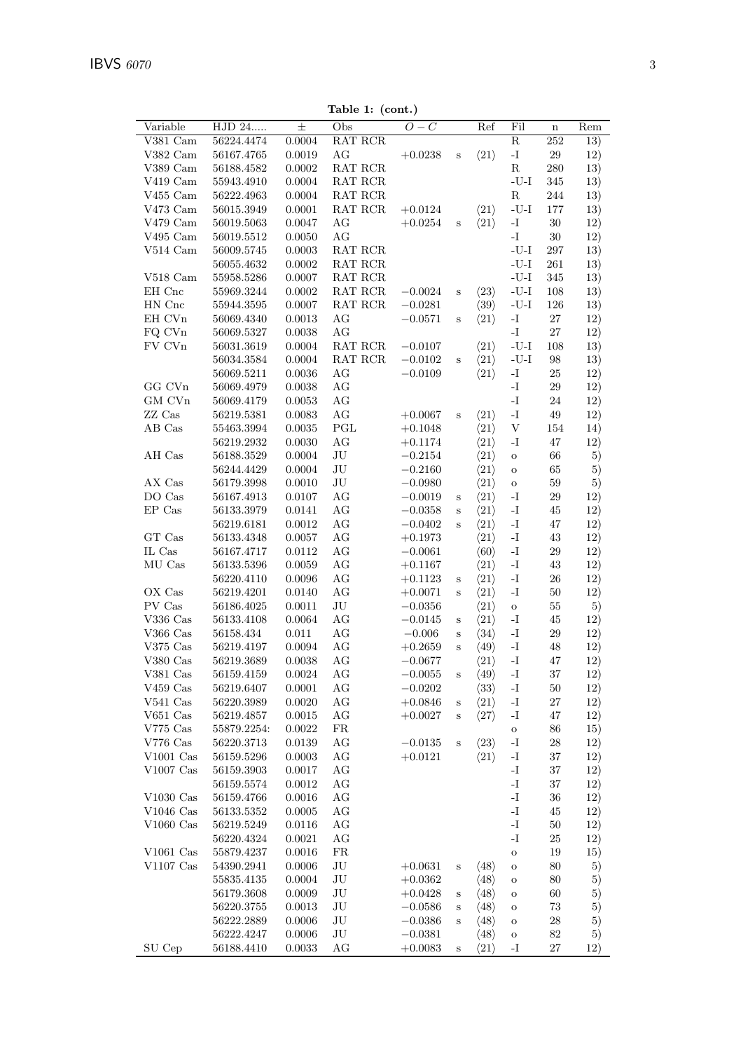Table 1: (cont.)

|                                                    |                          |                            | rapie 1. (com.)                           |                        |                             |                                              |                                                                                  |                  |            |
|----------------------------------------------------|--------------------------|----------------------------|-------------------------------------------|------------------------|-----------------------------|----------------------------------------------|----------------------------------------------------------------------------------|------------------|------------|
| Variable                                           | HJD 24                   | $\pm$                      | Obs                                       | $O-C$                  |                             | Ref                                          | Fil                                                                              | $\mathbf n$      | Rem        |
| $V381$ Cam                                         | 56224.4474               | $0.0004\,$                 | RAT RCR                                   |                        |                             |                                              | $\overline{\mathrm{R}}$                                                          | 252              | 13)        |
| V382 Cam                                           | 56167.4765               | $\,0.0019\,$               | $\rm{AG}$                                 | $+0.0238$              | $\mathbf S$                 | $\langle 21 \rangle$                         | $\mathbf{I}$ .                                                                   | $29\,$           | 12)        |
| $V389$ Cam                                         | 56188.4582               | 0.0002                     | RAT RCR                                   |                        |                             |                                              | ${\bf R}$                                                                        | 280              | 13)        |
| V419 Cam                                           | 55943.4910               | 0.0004                     | RAT RCR                                   |                        |                             |                                              | $\mbox{-}\mathrm{U}\mbox{-}\mathrm{I}$                                           | 345              | 13)        |
| $V455$ Cam                                         | 56222.4963               | 0.0004                     | $\operatorname{RAT}$ $\operatorname{RCR}$ |                        |                             |                                              | ${\bf R}$                                                                        | 244              | 13)        |
| V473 Cam                                           | 56015.3949               | 0.0001                     | RAT RCR                                   | $+0.0124$              |                             | $\langle 21 \rangle$                         | $\mbox{-}\mathrm{U}\mbox{-}\mathrm{I}$                                           | 177              | 13)        |
| $\rm V479~Cam$                                     | 56019.5063               | $0.0047\,$                 | AG                                        | $+0.0254$              | S                           | $\langle 21 \rangle$                         | $\mathbf{I}$ –                                                                   | $30\,$           | 12)        |
| $\rm V495~Cam$                                     | 56019.5512               | 0.0050                     | $\rm{AG}$                                 |                        |                             |                                              | $\mathbf{I}-$                                                                    | $30\,$           | 12)        |
| $\rm V514~Cam$                                     | 56009.5745               | 0.0003                     | RAT RCR                                   |                        |                             |                                              | $\mbox{-}\mathrm{U}\mbox{-}\mathrm{I}$                                           | 297              | 13)        |
|                                                    | 56055.4632               | $0.0002\,$                 | $\operatorname{RAT}$ $\operatorname{RCR}$ |                        |                             |                                              | $\mbox{-}\mathrm{U}\mbox{-}\mathrm{I}$                                           | $261\,$          | 13)        |
| $V518$ Cam                                         | 55958.5286               | 0.0007                     | $\operatorname{RAT}$ $\operatorname{RCR}$ |                        |                             |                                              | $\mbox{-}\mathrm{U}\mbox{-}\mathrm{I}$                                           | 345              | 13)        |
| EH Cnc<br>$\operatorname{HN}$ $\operatorname{Cnc}$ | 55969.3244               | 0.0002                     | RAT RCR                                   | $-0.0024$              | S                           | $\langle 23 \rangle$                         | $\mbox{-}\mathrm{U}\mbox{-}\mathrm{I}$<br>$\mbox{-}\mathrm{U}\mbox{-}\mathrm{I}$ | 108<br>126       | 13)        |
| $\rm EH~CVn$                                       | 55944.3595               | $0.0007\,$<br>$\,0.0013\,$ | RAT RCR<br>AG                             | $-0.0281$<br>$-0.0571$ |                             | $\langle 39 \rangle$<br>$\langle 21 \rangle$ | $\mathbf{I}$ .                                                                   | $27\,$           | 13)<br>12) |
| FQ CVn                                             | 56069.4340<br>56069.5327 | $\,0.0038\,$               | $\rm{AG}$                                 |                        | $\mathbf S$                 |                                              | $\mathbf{I}$ .                                                                   | $27\,$           | 12)        |
| ${\rm FV}$ CVn                                     | 56031.3619               | 0.0004                     | RAT RCR                                   | $-0.0107$              |                             | $\langle 21 \rangle$                         | -U-I                                                                             | 108              | 13)        |
|                                                    | 56034.3584               | $0.0004\,$                 | RAT RCR                                   | $-0.0102$              | S                           | $\langle 21 \rangle$                         | $\mbox{-}\mathrm{U}\mbox{-}\mathrm{I}$                                           | $98\,$           | 13)        |
|                                                    | 56069.5211               | $\,0.0036\,$               | AG                                        | $-0.0109$              |                             | $\langle 21 \rangle$                         | $\mathbf{I}$                                                                     | $25\,$           | 12)        |
| $\rm GG$ $\rm CVn$                                 | 56069.4979               | $\,0.0038\,$               | $\rm{AG}$                                 |                        |                             |                                              | $\mathbf{I}-$                                                                    | $29\,$           | 12)        |
| $\rm GM$ $\rm C Vn$                                | 56069.4179               | 0.0053                     | $\rm{AG}$                                 |                        |                             |                                              | $\mathbf{I}-$                                                                    | $24\,$           | 12)        |
| ZZ Cas                                             | 56219.5381               | 0.0083                     | $\rm{AG}$                                 | $+0.0067$              | $\rm S$                     | $\langle 21 \rangle$                         | $\mathbf{I}$                                                                     | $49\,$           | 12)        |
| AB Cas                                             | $55463.3994\,$           | 0.0035                     | $\operatorname{PGL}$                      | $+0.1048$              |                             | $\langle 21 \rangle$                         | $\mathbf V$                                                                      | 154              | 14)        |
|                                                    | 56219.2932               | 0.0030                     | $\rm{AG}$                                 | $+0.1174$              |                             | $\langle 21 \rangle$                         | $-I$                                                                             | 47               | 12)        |
| AH Cas                                             | 56188.3529               | 0.0004                     | $\rm{J}U$                                 | $-0.2154$              |                             | $\langle 21 \rangle$                         | $\mathbf O$                                                                      | $66\,$           | 5)         |
|                                                    | 56244.4429               | 0.0004                     | $\rm{J}U$                                 | $-0.2160$              |                             | $\langle 21 \rangle$                         | $\mathbf O$                                                                      | 65               | 5)         |
| AX Cas                                             | 56179.3998               | 0.0010                     | $\rm{J}U$                                 | $-0.0980$              |                             | $\langle 21 \rangle$                         | $\mathbf{o}$                                                                     | $59\,$           | 5)         |
| DO Cas                                             | 56167.4913               | $0.0107\,$                 | $\rm{AG}$                                 | $-0.0019$              | S                           | $\langle 21 \rangle$                         | $\mathbf{I}$ .                                                                   | $29\,$           | 12)        |
| $\mathop{\rm EP}\nolimits$ Cas                     | 56133.3979               | $0.0141\,$                 | $\rm{AG}$                                 | $-0.0358$              | $\rm S$                     | $\langle 21 \rangle$                         | $\mathbf{-I}$                                                                    | 45               | 12)        |
|                                                    | 56219.6181               | 0.0012                     | $\rm{AG}$                                 | $-0.0402$              | $\, {\bf S}$                | $\langle 21 \rangle$                         | $\mathbf{-I}$                                                                    | 47               | 12)        |
| GT Cas                                             | 56133.4348               | $0.0057\,$                 | $\rm{AG}$                                 | $+0.1973$              |                             | $\langle 21 \rangle$                         | $\mathbf{I}$ –                                                                   | $43\,$           | 12)        |
| $\rm IL$ $\rm Cas$                                 | 56167.4717               | 0.0112                     | $\rm{AG}$                                 | $-0.0061$              |                             | $\langle 60 \rangle$                         | $\mathbf{I}$                                                                     | $29\,$           | 12)        |
| ${\rm MU}$ Cas                                     | 56133.5396               | 0.0059                     | $\rm{AG}$                                 | $+0.1167$              |                             | $\langle 21 \rangle$                         | $\mathbf{I}$ .                                                                   | $43\,$           | 12)        |
|                                                    | 56220.4110               | 0.0096                     | $\rm{AG}$                                 | $+0.1123$              | $\rm S$                     | $\langle 21 \rangle$                         | $\mathbf{I}$ .                                                                   | $26\,$           | 12)        |
| OX Cas<br>PV Cas                                   | 56219.4201<br>56186.4025 | 0.0140<br>0.0011           | $\rm{AG}$                                 | $+0.0071$              | $\rm S$                     | $\langle 21 \rangle$                         | $\mathbf{-I}$                                                                    | $50\,$           | 12)        |
| $\rm V336~Cas$                                     | 56133.4108               | $\,0.0064\,$               | $\rm{J}U$<br>$\rm{AG}$                    | $-0.0356$<br>$-0.0145$ |                             | $\langle 21 \rangle$<br>$\langle 21 \rangle$ | $\mathbf{o}$<br>$\mathbf{-I}$                                                    | $55\,$<br>$45\,$ | 5)<br>12)  |
| $\rm V366~Cas$                                     | 56158.434                | $0.011\,$                  | $\rm{AG}$                                 | $-0.006$               | $\mathbf S$<br>$\, {\bf S}$ | $\langle 34 \rangle$                         | $\mathbf{I}$ .                                                                   | $\,29$           | 12)        |
| $\rm V375~Cas$                                     | 56219.4197               | 0.0094                     | $\rm{AG}$                                 | $+0.2659$              | $\rm S$                     | $\langle 49 \rangle$                         | $\mathbf{I}$ .                                                                   | 48               | 12)        |
| $V380$ Cas                                         | 56219.3689               | 0.0038                     | $\rm{AG}$                                 | $-0.0677$              |                             | $\langle 21 \rangle$                         | $\mathbf{-I}$                                                                    | 47               | 12)        |
| $V381$ Cas                                         | 56159.4159               | 0.0024                     | AG                                        | $-0.0055$              | $\mathbf S$                 | $\langle 49 \rangle$                         | $-I$                                                                             | 37               | 12)        |
| $\rm V459~\rm Cas$                                 | 56219.6407               | 0.0001                     | AG                                        | $-0.0202$              |                             | $\langle 33 \rangle$                         | $\mathbf{-I}$                                                                    | 50               | 12)        |
| $V541$ Cas                                         | 56220.3989               | 0.0020                     | $\rm{AG}$                                 | $+0.0846$              | $\mathbf S$                 | $\langle 21 \rangle$                         | $\mathbf{-I}$                                                                    | 27               | 12)        |
| $V651$ Cas                                         | 56219.4857               | 0.0015                     | AG                                        | $+0.0027$              | $\mathbf S$                 | $\langle 27 \rangle$                         | $\mathbf{-I}$                                                                    | 47               | 12)        |
| $\rm V775~Cas$                                     | 55879.2254:              | 0.0022                     | FR                                        |                        |                             |                                              | $\mathbf O$                                                                      | 86               | 15)        |
| V776 $Cas$                                         | 56220.3713               | 0.0139                     | AG                                        | $-0.0135$              | $\, {\bf S}$                | $\langle 23 \rangle$                         | $\mathbf{-I}$                                                                    | 28               | 12)        |
| $V1001$ Cas                                        | $56159.5296\,$           | 0.0003                     | AG                                        | $+0.0121$              |                             | $\langle 21 \rangle$                         | $\mathbf{-I}$                                                                    | 37               | 12)        |
| $\rm V1007~\rm Cas$                                | 56159.3903               | 0.0017                     | AG                                        |                        |                             |                                              | $\mathbf{I}$ –                                                                   | 37               | 12)        |
|                                                    | 56159.5574               | 0.0012                     | $\rm{AG}$                                 |                        |                             |                                              | $\mathbf{I}$ .                                                                   | 37               | 12)        |
| $V1030$ Cas                                        | 56159.4766               | 0.0016                     | $\rm{AG}$                                 |                        |                             |                                              | $\mathbf{I}-$                                                                    | $36\,$           | 12)        |
| V1046 $Cas$                                        | 56133.5352               | 0.0005                     | AG                                        |                        |                             |                                              | $\mathbf{I}$ –                                                                   | 45               | 12)        |
| $V1060$ Cas                                        | 56219.5249               | 0.0116                     | AG                                        |                        |                             |                                              | $-I$                                                                             | 50               | 12)        |
|                                                    | 56220.4324               | 0.0021                     | AG                                        |                        |                             |                                              | $-I$                                                                             | 25               | 12)        |
| $\rm V1061~Cas$                                    | 55879.4237               | 0.0016                     | FR                                        |                        |                             |                                              | $\mathbf O$                                                                      | 19               | 15)        |
| $V1107$ Cas                                        | 54390.2941               | 0.0006                     | $\rm{J}U$                                 | $+0.0631$              | $\rm s$                     | $\langle 48 \rangle$                         | $\mathbf O$                                                                      | 80               | 5)         |
|                                                    | 55835.4135               | 0.0004                     | $\rm{J}U$                                 | $+0.0362$              |                             | $\langle 48 \rangle$                         | $\mathbf O$                                                                      | 80               | 5)         |
|                                                    | 56179.3608<br>56220.3755 | 0.0009<br>0.0013           | $\rm{J}U$<br>$\rm{J}U$                    | $+0.0428$<br>$-0.0586$ | S                           | $\langle 48 \rangle$                         | $\mathbf O$                                                                      | 60<br>73         | 5)         |
|                                                    | 56222.2889               | 0.0006                     | JU                                        | $-0.0386$              | S<br>$\mathbf S$            | $\langle 48 \rangle$<br>$\langle 48 \rangle$ | $\mathbf O$<br>$\mathbf O$                                                       | 28               | 5)<br>5)   |
|                                                    | 56222.4247               | $0.0006\,$                 | $\rm{J}U$                                 | $-0.0381$              |                             | $\langle 48 \rangle$                         | $\mathbf O$                                                                      | $82\,$           | 5)         |
| SU Cep                                             | 56188.4410               | 0.0033                     | AG                                        | $+0.0083$              | $\mathbf S$                 | $\langle 21 \rangle$                         | -I                                                                               | $27\,$           | 12)        |
|                                                    |                          |                            |                                           |                        |                             |                                              |                                                                                  |                  |            |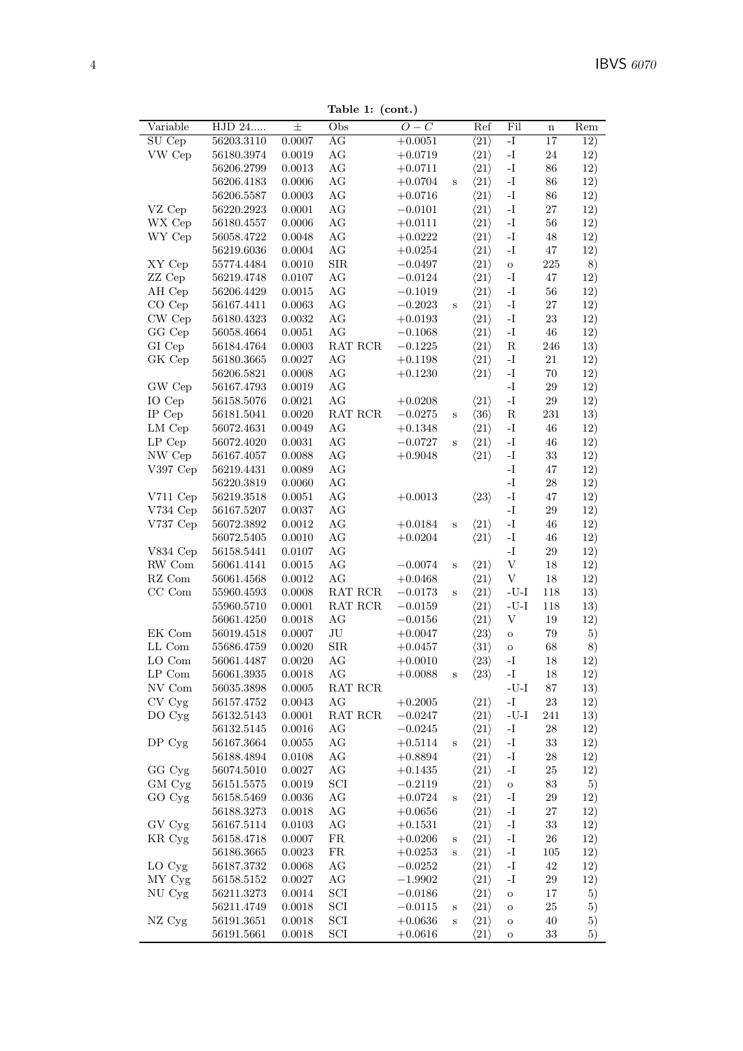Table 1: (cont.)

| Variable                   | HJD 24     | $\pm$      | rapic 1. (com.)<br>Obs      | $O-C$       |              | Ref                  | Fil                       | $\mathbf n$     | Rem |
|----------------------------|------------|------------|-----------------------------|-------------|--------------|----------------------|---------------------------|-----------------|-----|
| SU Cep                     | 56203.3110 | 0.0007     | AG                          | $+0.0051$   |              | $\langle 21 \rangle$ | $\overline{\mathbf{I}}$   | $\overline{17}$ | 12) |
| VW Cep                     | 56180.3974 | 0.0019     | AG                          | $+0.0719$   |              | $\langle 21 \rangle$ | $\mathbf{-I}$             | $24\,$          | 12) |
|                            | 56206.2799 | 0.0013     | $\rm{AG}$                   | $+0.0711$   |              | $\langle 21 \rangle$ | $\mathbf{-I}$             | $86\,$          | 12) |
|                            | 56206.4183 | 0.0006     | AG                          | $+0.0704$   | $\, {\bf S}$ | $\langle 21 \rangle$ | $\mathbf{-I}$             | $86\,$          | 12) |
|                            | 56206.5587 | 0.0003     | AG                          | $+0.0716$   |              | $\langle 21 \rangle$ | $\mathbf{-I}$             | $86\,$          | 12) |
| VZ Cep                     | 56220.2923 | $0.0001\,$ | $\rm{AG}$                   | $-0.0101$   |              | $\langle 21 \rangle$ | $\mathbf{-I}$             | $27\,$          | 12) |
| WX Cep                     | 56180.4557 | 0.0006     | $\rm{AG}$                   | $+0.0111$   |              | $\langle 21 \rangle$ | $\mathbf{-I}$             | $56\,$          | 12) |
| WY Cep                     | 56058.4722 | 0.0048     | $\rm{AG}$                   | $+0.0222$   |              | $\langle 21 \rangle$ | $\mathbf{-I}$             | 48              | 12) |
|                            | 56219.6036 | 0.0004     | $\rm{AG}$                   | $+0.0254$   |              | $\langle 21 \rangle$ | $\mathbf{-I}$             | 47              | 12) |
| XY Cep                     | 55774.4484 | 0.0010     | ${\rm SIR}$                 | $-0.0497$   |              | $\langle 21 \rangle$ | $\rm{O}$                  | $225\,$         | 8)  |
| ZZ Cep                     | 56219.4748 | 0.0107     | $\rm{AG}$                   | $-0.0124$   |              | $\langle 21 \rangle$ | $-I$                      | 47              | 12) |
| AH Cep                     | 56206.4429 | 0.0015     | $\rm{AG}$                   | $-0.1019$   |              | $\langle 21 \rangle$ | $\mathbf{-I}$             | $56\,$          | 12) |
| CO Cep                     | 56167.4411 | 0.0063     | $\rm{AG}$                   | $-0.2023$   | $\rm S$      | $\langle 21 \rangle$ | $\mathbf{-I}$             | $27\,$          | 12) |
| CW Cep                     | 56180.4323 | 0.0032     | AG                          | $+0.0193$   |              | $\langle 21 \rangle$ | $\mathbf{-I}$             | 23              | 12) |
| GG Cep                     | 56058.4664 | 0.0051     | AG                          | $-0.1068$   |              | $\langle 21 \rangle$ | $\mathbf{-I}$             | 46              | 12) |
| GI Cep                     | 56184.4764 | 0.0003     | RAT RCR                     | $-0.1225$   |              | $\langle 21 \rangle$ | ${\bf R}$                 | 246             | 13) |
| GK Cep                     | 56180.3665 | 0.0027     | AG                          | $+0.1198$   |              | $\langle 21 \rangle$ | $\mathbf{-I}$             | 21              | 12) |
|                            | 56206.5821 | 0.0008     | $\rm{AG}$                   | $+0.1230$   |              | $\langle 21 \rangle$ | $\mathbf{I}$              | $70\,$          | 12) |
| GW Cep                     | 56167.4793 | 0.0019     | $\rm{AG}$                   |             |              |                      | $\mathbf{I}$              | $29\,$          | 12) |
| IO Cep                     | 56158.5076 | 0.0021     | AG                          | $+0.0208$   |              | $\langle 21 \rangle$ | $\mathbf{-I}$             | $\,29$          | 12) |
| IP Cep                     | 56181.5041 | 0.0020     | RAT RCR                     | $-0.0275$   | $\, {\bf S}$ | $\langle 36 \rangle$ | ${\bf R}$                 | $231\,$         | 13) |
| LM Cep                     | 56072.4631 | 0.0049     | AG                          | $+0.1348$   |              | $\langle 21 \rangle$ | $\mathbf{-I}$             | 46              | 12) |
| $LP$ Cep                   | 56072.4020 | 0.0031     | $\rm{AG}$                   | $-0.0727$   | S            | $\langle 21 \rangle$ | $\mathbf{-I}$             | $\sqrt{46}$     | 12) |
| NW Cep                     | 56167.4057 | 0.0088     | $\rm{AG}$                   | $+0.9048$   |              | $\langle 21 \rangle$ | $\mathbf{I}$              | $33\,$          | 12) |
| $V397$ Cep                 | 56219.4431 | 0.0089     | $\rm{AG}$                   |             |              |                      | $\mathbf{I}$              | 47              | 12) |
|                            | 56220.3819 | 0.0060     | AG                          |             |              |                      | $\mathbf{I}$ –            | ${\bf 28}$      | 12) |
| V711 Cep                   | 56219.3518 | 0.0051     | AG                          | $+0.0013$   |              | $\langle 23 \rangle$ | $\mathbf{-I}$             | 47              | 12) |
| V734 Cep                   | 56167.5207 | 0.0037     | AG                          |             |              |                      | $\mathbf{-I}$             | $\,29$          | 12) |
| V737 Cep                   | 56072.3892 | 0.0012     | $\rm{AG}$                   | $+0.0184$   | $\, {\bf S}$ | $\langle 21 \rangle$ | $\mathbf{I}$              | 46              | 12) |
|                            | 56072.5405 | 0.0010     | $\rm{AG}$                   | $+0.0204\,$ |              | $\langle 21 \rangle$ | $\mathbf{-I}$             | $\sqrt{46}$     | 12) |
| $V834$ Cep                 | 56158.5441 | 0.0107     | $\rm{AG}$                   |             |              |                      | $\mathbf{I}$ –            | $29\,$          | 12) |
| RW Com                     | 56061.4141 | 0.0015     | $\rm{AG}$                   | $-0.0074$   | $\, {\bf S}$ | $\langle 21 \rangle$ | $\ensuremath{\mathbf{V}}$ | $18\,$          | 12) |
| $\mathbf{R}\mathbf{Z}$ Com | 56061.4568 | 0.0012     | AG                          | $+0.0468$   |              | $\langle 21 \rangle$ | V                         | $18\,$          | 12) |
| CC Com                     | 55960.4593 | 0.0008     | RAT RCR                     | $-0.0173$   | S            | $\langle 21 \rangle$ | $-U-I$                    | 118             | 13) |
|                            | 55960.5710 | 0.0001     | RAT RCR                     | $-0.0159$   |              | $\langle 21 \rangle$ | $-U-I$                    | 118             | 13) |
|                            | 56061.4250 | 0.0018     | AG                          | $-0.0156$   |              | $\langle 21 \rangle$ | $\ensuremath{\mathbf{V}}$ | 19              | 12) |
| EK Com                     | 56019.4518 | 0.0007     | $\rm JU$                    | $+0.0047$   |              | $\langle 23 \rangle$ | $\mathbf O$               | 79              | 5)  |
| LL Com                     | 55686.4759 | 0.0020     | ${\rm SIR}$                 | $+0.0457$   |              | $\langle 31 \rangle$ | $\rm{O}$                  | 68              | 8)  |
| LO Com                     | 56061.4487 | 0.0020     | AG                          | $+0.0010$   |              | $\langle 23 \rangle$ | -I                        | 18              | 12) |
| LP Com                     | 56061.3935 | 0.0018     | AG                          | $+0.0088$   | $\rm s$      | $\langle 23 \rangle$ | -1                        | 18              | 12) |
| NV Com                     | 56035.3898 | 0.0005     | RAT RCR                     |             |              |                      | $-I-U$                    | 87              | 13) |
| CV Cyg                     | 56157.4752 | 0.0043     | $\rm{AG}$                   | $+0.2005$   |              | $\langle 21 \rangle$ | $\mathbf{-I}$             | 23              | 12) |
| DO Cyg                     | 56132.5143 | 0.0001     | RAT RCR                     | $-0.0247$   |              | $\langle 21 \rangle$ | $-U-I$                    | 241             | 13) |
|                            | 56132.5145 | 0.0016     | AG                          | $-0.0245$   |              | $\langle 21 \rangle$ | $\mathbf{-I}$             | 28              | 12) |
| DP <sub>cyg</sub>          | 56167.3664 | $0.0055\,$ | AG                          | $+0.5114$   | $\, {\bf S}$ | $\langle 21 \rangle$ | $\mathbf{-I}$             | $33\,$          | 12) |
|                            | 56188.4894 | 0.0108     | $\rm{AG}$                   | $+0.8894$   |              | $\langle 21 \rangle$ | -1                        | 28              | 12) |
| GG Cyg                     | 56074.5010 | 0.0027     | AG                          | $+0.1435$   |              | $\langle 21 \rangle$ | $\mathbf{I}$              | $25\,$          | 12) |
| GM Cyg                     | 56151.5575 | 0.0019     | SCI                         | $-0.2119$   |              | $\langle 21 \rangle$ | $\rm{O}$                  | $83\,$          | 5)  |
| GO Cyg                     | 56158.5469 | 0.0036     | AG                          | $+0.0724$   | $\rm S$      | $\langle 21 \rangle$ | $\mathbf{-I}$             | $\,29$          | 12) |
|                            | 56188.3273 | 0.0018     | AG                          | $+0.0656$   |              | $\langle 21 \rangle$ | $\mathbf{-I}$             | $27\,$          | 12) |
| GV Cyg                     | 56167.5114 | 0.0103     | AG                          | $+0.1531$   |              | $\langle 21 \rangle$ | $-I$                      | $33\,$          | 12) |
| KR Cyg                     | 56158.4718 | 0.0007     | ${\rm FR}$                  | $+0.0206$   | $\bf S$      | $\langle 21 \rangle$ | $\mathbf{I}$              | $26\,$          | 12) |
|                            | 56186.3665 | 0.0023     | ${\rm FR}$                  | $+0.0253$   | $\rm S$      | $\langle 21 \rangle$ | $\mathbf{-I}$             | $105\,$         | 12) |
| LO Cyg                     | 56187.3732 | 0.0068     | AG                          | $-0.0252$   |              | $\langle 21 \rangle$ | $\mathbf{-I}$             | 42              | 12) |
| MY Cyg                     | 56158.5152 | 0.0027     | AG                          | $-1.9902$   |              | $\langle 21 \rangle$ | $\mathbf{-I}$             | $\,29$          | 12) |
| NU Cyg                     | 56211.3273 | 0.0014     | $\mathop{\rm SCI}\nolimits$ | $-0.0186$   |              | $\langle 21 \rangle$ | $\mathbf O$               | 17              | 5)  |
|                            | 56211.4749 | 0.0018     | $\mathop{\rm SCI}\nolimits$ | $-0.0115$   | $\bf S$      | $\langle 21 \rangle$ | $\mathbf O$               | 25              | 5)  |
| NZ Cyg                     | 56191.3651 | 0.0018     | $\ensuremath{\mathrm{SCI}}$ | $+0.0636$   | $\, {\bf S}$ | $\langle 21 \rangle$ | $\rm{O}$                  | 40              | 5)  |
|                            | 56191.5661 | 0.0018     | $\mathop{\rm SCI}\nolimits$ | $+0.0616$   |              | $\langle 21 \rangle$ | О                         | $33\,$          | 5)  |
|                            |            |            |                             |             |              |                      |                           |                 |     |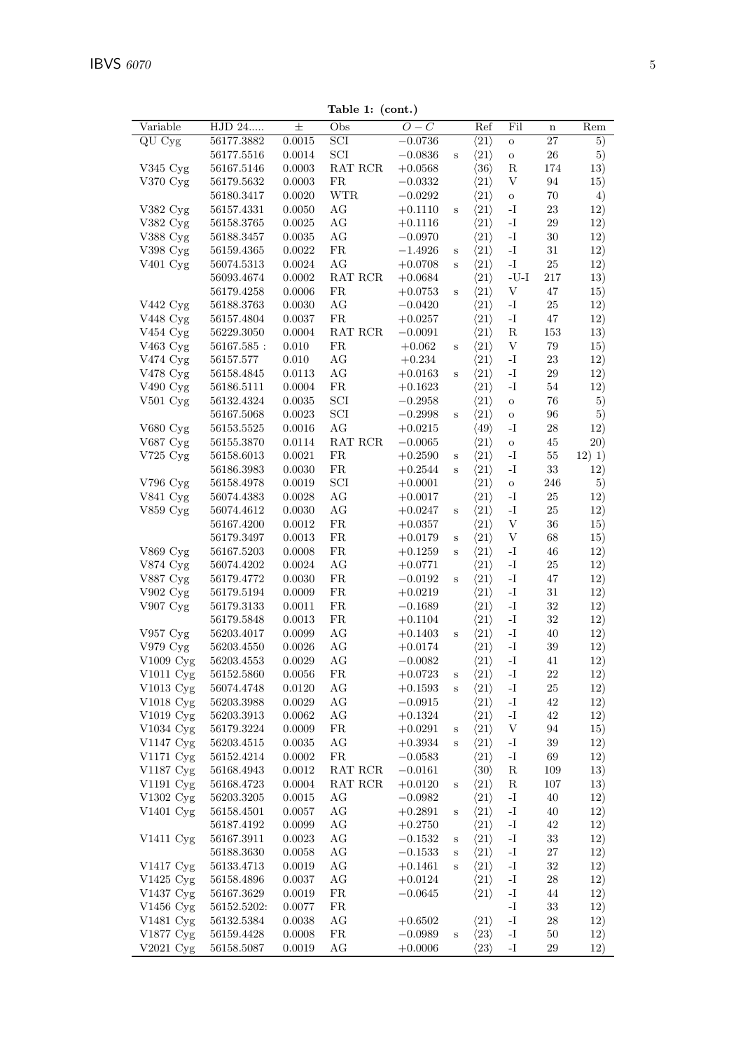Table 1: (cont.)

| Variable                          | HJD 24         | $\pm$        | rapic 1. (com.)<br>Obs                    | $O-C$     |              | Ref                  | Fil                       | $\mathbf n$     | Rem    |
|-----------------------------------|----------------|--------------|-------------------------------------------|-----------|--------------|----------------------|---------------------------|-----------------|--------|
| $\overline{QU}$ $\overline{Cy}$ g | 56177.3882     | 0.0015       | $\overline{SCI}$                          | $-0.0736$ |              | $\langle 21 \rangle$ | $\rm{O}$                  | $\overline{27}$ | 5)     |
|                                   | 56177.5516     | $0.0014\,$   | $\ensuremath{\mathrm{SCI}}$               | $-0.0836$ | $\mathbf S$  | $\langle 21 \rangle$ | $\rm{O}$                  | $26\,$          | 5)     |
| $V345 \,\mathrm{Cyg}$             | 56167.5146     | 0.0003       | $\operatorname{RAT}$ $\operatorname{RCR}$ | $+0.0568$ |              | $\langle 36 \rangle$ | $\mathbf R$               | 174             | 13)    |
| $V370 \,\mathrm{Cyg}$             | 56179.5632     | 0.0003       | FR                                        | $-0.0332$ |              | $\langle 21 \rangle$ | $\ensuremath{\mathbf{V}}$ | 94              | 15)    |
|                                   | 56180.3417     | 0.0020       | <b>WTR</b>                                | $-0.0292$ |              | $\langle 21 \rangle$ | $\rm{O}$                  | $70\,$          | 4)     |
| $V382\;Cyg$                       | 56157.4331     | $0.0050\,$   | $\rm{AG}$                                 | $+0.1110$ | $\mathbf S$  | $\langle 21 \rangle$ | $\mathbf{-I}$             | $23\,$          | 12)    |
| V382 Cyg                          | 56158.3765     | $0.0025\,$   | $\rm{AG}$                                 | $+0.1116$ |              | $\langle 21 \rangle$ | $\mathbf{-I}$             | $\,29$          | 12)    |
| V388 Cyg                          | 56188.3457     | 0.0035       | $\rm{AG}$                                 | $-0.0970$ |              | $\langle 21 \rangle$ | $\mathbf{I}$ .            | $30\,$          | 12)    |
| V398 Cyg                          | $56159.4365\,$ | $0.0022\,$   | ${\rm FR}$                                | $-1.4926$ | $\mathbf S$  | $\langle 21 \rangle$ | $\mathbf{-I}$             | $31\,$          | 12)    |
| V <sub>401</sub> Cyg              | 56074.5313     | 0.0024       | AG                                        | $+0.0708$ | $\rm S$      | $\langle 21 \rangle$ | $\mathbf{-I}$             | $25\,$          | 12)    |
|                                   | 56093.4674     | 0.0002       | RAT RCR                                   | $+0.0684$ |              | $\langle 21 \rangle$ | -U-I                      | 217             | 13)    |
|                                   | 56179.4258     | 0.0006       | FR                                        | $+0.0753$ | $\mathbf S$  | $\langle 21 \rangle$ | $\ensuremath{\mathbf{V}}$ | $47\,$          | 15)    |
| V442 Cyg                          | 56188.3763     | 0.0030       | $\rm{AG}$                                 | $-0.0420$ |              | $\langle 21 \rangle$ | $\mathbf{-I}$             | $25\,$          | 12)    |
| V448 Cyg                          | 56157.4804     | 0.0037       | FR                                        | $+0.0257$ |              | $\langle 21 \rangle$ | $\mathbf{I}$ .            | $47\,$          | 12)    |
| V454 Cyg                          | 56229.3050     | $0.0004\,$   | RAT RCR                                   | $-0.0091$ |              | $\langle 21 \rangle$ | ${\bf R}$                 | $153\,$         | 13)    |
| V463 Cyg                          | 56167.585:     | 0.010        | ${\rm FR}$                                | $+0.062$  | $\mathbf S$  | $\langle 21 \rangle$ | $\ensuremath{\mathbf{V}}$ | $79\,$          | 15)    |
| V474 Cyg                          | 56157.577      | 0.010        | $\rm{AG}$                                 | $+0.234$  |              | $\langle 21 \rangle$ | $\mathbf{-I}$             | $23\,$          | 12)    |
| V478 Cyg                          | 56158.4845     | 0.0113       | $\rm{AG}$                                 | $+0.0163$ | $\mathbf S$  | $\langle 21 \rangle$ | $\mathbf{-I}$             | 29              | 12)    |
| V490 Cyg                          | 56186.5111     | $0.0004\,$   | ${\rm FR}$                                | $+0.1623$ |              | $\langle 21 \rangle$ | $\mathbf{-I}$             | $54\,$          | 12)    |
| $V501$ Cyg                        | 56132.4324     | 0.0035       | $\ensuremath{\mathrm{SCI}}$               | $-0.2958$ |              | $\langle 21 \rangle$ | $\rm{O}$                  | $76\,$          | 5)     |
|                                   | 56167.5068     | 0.0023       | $\ensuremath{\mathrm{SCI}}$               | $-0.2998$ | $\rm S$      | $\langle 21 \rangle$ | $\mathbf O$               | $96\,$          | 5)     |
| V680 Cyg                          | 56153.5525     | $0.0016\,$   | $\rm{AG}$                                 | $+0.0215$ |              | $\langle 49 \rangle$ | $\mathbf{-I}$             | $\sqrt{28}$     | 12)    |
| V687 Cyg                          | 56155.3870     | $0.0114\,$   | RAT RCR                                   | $-0.0065$ |              | $\langle 21 \rangle$ | $\mathbf O$               | 45              | 20)    |
| $V725$ Cyg                        | 56158.6013     | 0.0021       | ${\rm FR}$                                | $+0.2590$ | $\mathbf S$  | $\langle 21 \rangle$ | $\mathbf{-I}$             | $55\,$          | 12) 1) |
|                                   | 56186.3983     | 0.0030       | ${\rm FR}$                                | $+0.2544$ | $\rm S$      | $\langle 21 \rangle$ | $\mathbf{-I}$             | $33\,$          | 12)    |
| V796 Cyg                          | 56158.4978     | 0.0019       | $\ensuremath{\mathrm{SCI}}$               | $+0.0001$ |              | $\langle 21 \rangle$ | $\rm{O}$                  | $246\,$         | 5)     |
| V841 Cyg                          | 56074.4383     | 0.0028       | $\rm{AG}$                                 | $+0.0017$ |              | $\langle 21 \rangle$ | $\mathbf{-I}$             | $25\,$          | 12)    |
| V859 Cyg                          | 56074.4612     | 0.0030       | AG                                        | $+0.0247$ | $\mathbf S$  | $\langle 21 \rangle$ | $\mathbf{-I}$             | $25\,$          | 12)    |
|                                   | 56167.4200     | 0.0012       | ${\rm FR}$                                | $+0.0357$ |              | $\langle 21 \rangle$ | $\ensuremath{\mathbf{V}}$ | $36\,$          | 15)    |
|                                   | 56179.3497     | 0.0013       | ${\rm FR}$                                | $+0.0179$ | $\mathbf S$  | $\langle 21 \rangle$ | $\mathbf V$               | $68\,$          | 15)    |
| $V869$ Cyg                        | 56167.5203     | 0.0008       | ${\rm FR}$                                | $+0.1259$ | $\rm S$      | $\langle 21 \rangle$ | $\mathbf{I}$ .            | $46\,$          | 12)    |
| V874 Cyg                          | 56074.4202     | 0.0024       | $\rm{AG}$                                 | $+0.0771$ |              | $\langle 21 \rangle$ | $\mathbf{-I}$             | $25\,$          | 12)    |
| V887 Cyg                          | 56179.4772     | 0.0030       | ${\rm FR}$                                | $-0.0192$ | $\, {\bf S}$ | $\langle 21 \rangle$ | $\mathbf{I}$ .            | 47              | 12)    |
| $V902 \, Cyg$                     | 56179.5194     | 0.0009       | ${\rm FR}$                                | $+0.0219$ |              | $\langle 21 \rangle$ | $\mathbf{-I}$             | $31\,$          | 12)    |
| V907 Cyg                          | 56179.3133     | 0.0011       | ${\rm FR}$                                | $-0.1689$ |              | $\langle 21 \rangle$ | $\mathbf{-I}$             | $32\,$          | 12)    |
|                                   | 56179.5848     | $\,0.0013\,$ | ${\rm FR}$                                | $+0.1104$ |              | $\langle 21 \rangle$ | $\mathbf{-I}$             | $32\,$          | 12)    |
| $V957 \,\mathrm{Cyg}$             | 56203.4017     | 0.0099       | $\rm{AG}$                                 | $+0.1403$ | $\, {\bf S}$ | $\langle 21 \rangle$ | $\mathbf{I}$ .            | 40              | 12)    |
| V979 Cyg                          | $56203.4550\,$ | $0.0026\,$   | AG                                        | $+0.0174$ |              | $\langle 21 \rangle$ | $\mathbf{-I}$             | $39\,$          | 12)    |
| V1009 Cyg                         | 56203.4553     | 0.0029       | AG                                        | $-0.0082$ |              | $\langle 21 \rangle$ | $-I$                      | 41              | 12)    |
| V1011 Cyg                         | 56152.5860     | 0.0056       | FR                                        | $+0.0723$ | $\mathbf S$  | $\langle 21 \rangle$ | -1                        | 22              | 12)    |
| V1013 Cyg                         | 56074.4748     | 0.0120       | AG                                        | $+0.1593$ | $\mathbf S$  | $\langle 21 \rangle$ | $\mathbf{-I}$             | $25\,$          | 12)    |
| V1018 Cyg                         | 56203.3988     | 0.0029       | $\rm{AG}$                                 | $-0.0915$ |              | $\langle 21 \rangle$ | $\mathbf{-I}$             | 42              | 12)    |
| $V1019 \,\mathrm{Cyg}$            | 56203.3913     | 0.0062       | AG                                        | $+0.1324$ |              | $\langle 21 \rangle$ | $\mathbf{-I}$             | 42              | 12)    |
| V1034 Cyg                         | 56179.3224     | 0.0009       | FR                                        | $+0.0291$ | $\mathbf S$  | $\langle 21 \rangle$ | V                         | 94              | 15)    |
| V1147 Cyg                         | 56203.4515     | 0.0035       | AG                                        | $+0.3934$ | $\rm S$      | $\langle 21 \rangle$ | $-I$                      | 39              | 12)    |
| V1171 Cyg                         | 56152.4214     | 0.0002       | FR                                        | $-0.0583$ |              | $\langle 21 \rangle$ | -1                        | 69              | 12)    |
| V1187 Cyg                         | 56168.4943     | $0.0012\,$   | $\operatorname{RAT}$ $\operatorname{RCR}$ | $-0.0161$ |              | $\langle 30 \rangle$ | $\mathbf R$               | $109\,$         | 13)    |
| V1191 Cyg                         | 56168.4723     | $0.0004\,$   | $\operatorname{RAT}$ $\operatorname{RCR}$ | $+0.0120$ | $\mathbf S$  | $\langle 21 \rangle$ | ${\bf R}$                 | 107             | 13)    |
| V1302 Cyg                         | 56203.3205     | 0.0015       | AG                                        | $-0.0982$ |              | $\langle 21 \rangle$ | $\mathbf{-I}$             | 40              | 12)    |
| V1401 Cyg                         | 56158.4501     | 0.0057       | AG                                        | $+0.2891$ | $\mathbf S$  | $\langle 21 \rangle$ | $\mathbf{-I}$             | 40              | 12)    |
|                                   | 56187.4192     | 0.0099       | AG                                        | $+0.2750$ |              | $\langle 21 \rangle$ | $\mathbf{-I}$             | 42              | 12)    |
| V1411 Cyg                         | 56167.3911     | 0.0023       | AG                                        | $-0.1532$ | $\mathbf S$  | $\langle 21 \rangle$ | $\mathbf{-I}$             | $33\,$          | 12)    |
|                                   | 56188.3630     | 0.0058       | AG                                        | $-0.1533$ | $\mathbf S$  | $\langle 21 \rangle$ | $\mathbf{-I}$             | 27              | 12)    |
| $V1417 \,\mathrm{Cyg}$            | 56133.4713     | 0.0019       | AG                                        | $+0.1461$ | $\mathbf S$  | $\langle 21 \rangle$ | $\mathbf{I}$ -            | $32\,$          | 12)    |
| $V1425 \,\mathrm{Cyg}$            | 56158.4896     | 0.0037       | AG                                        | $+0.0124$ |              | $\langle 21 \rangle$ | $\mathbf{-I}$             | $\sqrt{28}$     | 12)    |
| V1437 Cyg                         | 56167.3629     | 0.0019       | ${\rm FR}$                                | $-0.0645$ |              | $\langle 21 \rangle$ | $-I$                      | 44              | 12)    |
| $V1456$ Cyg                       | 56152.5202:    | 0.0077       | FR                                        |           |              |                      | $\mathbf{-I}$             | $33\,$          | 12)    |
| V1481 Cyg                         | 56132.5384     | 0.0038       | AG                                        | $+0.6502$ |              | $\langle 21 \rangle$ | $\mathbf{-I}$             | $\sqrt{28}$     | 12)    |
| V1877 Cyg                         | 56159.4428     | 0.0008       | FR                                        | $-0.0989$ | S            | $\langle 23 \rangle$ | $\mathbf{-I}$             | $50\,$          | 12)    |
| $V2021 \,\mathrm{Cyg}$            | 56158.5087     | 0.0019       | AG                                        | $+0.0006$ |              | $\langle 23 \rangle$ | $\mathbf{-I}$             | 29              | 12)    |
|                                   |                |              |                                           |           |              |                      |                           |                 |        |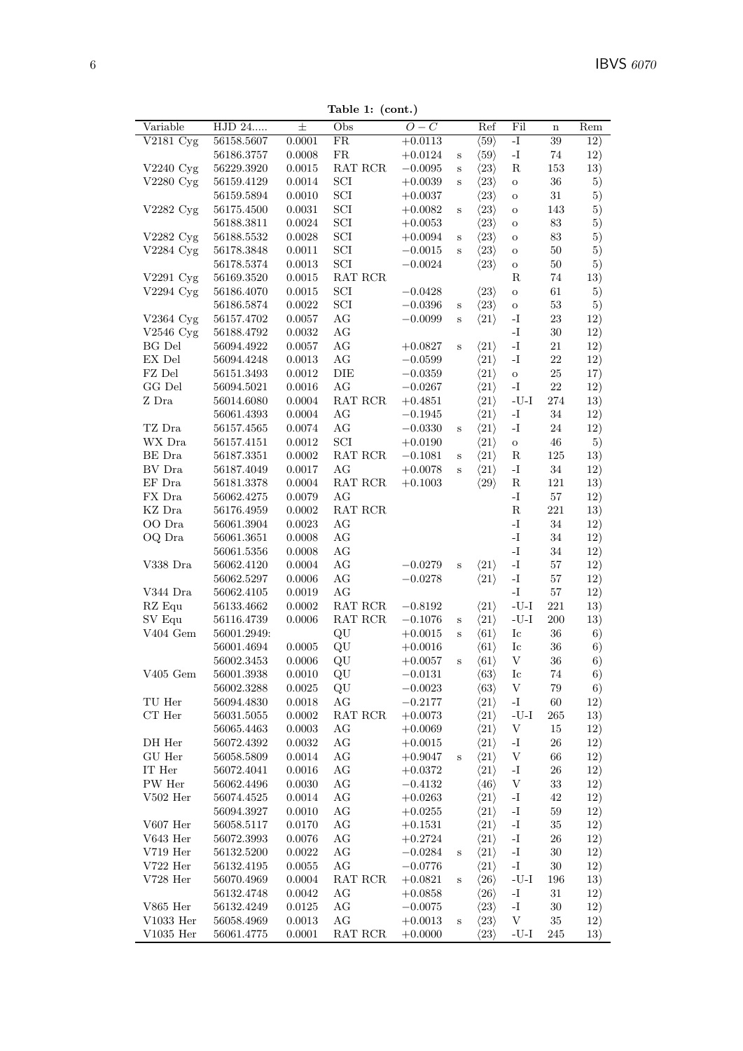Table 1: (cont.)

| Variable<br>HJD 24<br>士<br>$O-C$<br>Fil<br>Obs<br>Ref<br>Rem<br>$\mathbf n$<br>$V2181 \text{ Cyg}$<br>FR<br>56158.5607<br>0.0001<br>$+0.0113$<br>$\langle 59 \rangle$<br>$\mathbf{I}$<br>$39\,$<br>12)<br>${\rm FR}$<br>$\mathbf{I}$ –<br>12)<br>56186.3757<br>0.0008<br>$\langle 59 \rangle$<br>$74\,$<br>$+0.0124$<br>$\mathbf S$<br>${\bf R}$<br>V2240 Cyg<br>56229.3920<br>0.0015<br>RAT RCR<br>$-0.0095$<br>$\langle 23 \rangle$<br>153<br>13)<br>$\rm S$<br>SCI<br>V2280 Cyg<br>56159.4129<br>0.0014<br>$\langle 23 \rangle$<br>$36\,$<br>5)<br>$+0.0039$<br>$\rm S$<br>$\rm{O}$<br>SCI<br>$31\,$<br>56159.5894<br>0.0010<br>$\langle 23 \rangle$<br>5)<br>$+0.0037$<br>$\mathbf O$<br>SCI<br>0.0031<br>143<br>V2282 Cyg<br>56175.4500<br>$+0.0082$<br>$\langle 23 \rangle$<br>5)<br>$\mathbf S$<br>$\mathbf O$<br>SCI<br>56188.3811<br>$\langle 23 \rangle$<br>$83\,$<br>0.0024<br>$+0.0053$<br>5)<br>$\mathbf O$<br>SCI<br>$83\,$<br>V2282 Cyg<br>56188.5532<br>0.0028<br>$\langle 23 \rangle$<br>5)<br>$+0.0094$<br>$\mathbf S$<br>$\mathbf O$<br>SCI<br>V2284 Cyg<br>56178.3848<br>0.0011<br>$\langle 23 \rangle$<br>$50\,$<br>$-0.0015$<br>5)<br>$\rm S$<br>$\mathbf O$<br>SCI<br>56178.5374<br>0.0013<br>$\langle 23 \rangle$<br>$50\,$<br>5)<br>$-0.0024$<br>$\rm{O}$<br>$\operatorname{RAT}$ $\operatorname{RCR}$<br>V2291 Cyg<br>56169.3520<br>0.0015<br>$_{\rm R}$<br>$74\,$<br>13)<br>SCI<br>56186.4070<br>0.0015<br>$\langle 23 \rangle$<br>61<br>5)<br>$V2294$ Cyg<br>$-0.0428$<br>$\mathbf O$<br>SCI<br>$53\,$<br>56186.5874<br>$0.0022\,$<br>$\langle 23 \rangle$<br>5)<br>$-0.0396$<br>$\rm{O}$<br>$\mathbf S$<br>$\rm{AG}$<br>V2364 Cyg<br>56157.4702<br>$\langle 21 \rangle$<br>$\mathbf{I}$<br>23<br>12)<br>0.0057<br>$-0.0099$<br>$\mathbf S$<br>$\rm{AG}$<br>$\mathbf{I}$ –<br>V2546 Cyg<br>30<br>12)<br>56188.4792<br>0.0032<br>AG<br>$\mathbf{I}$ –<br>BG Del<br>56094.4922<br>0.0057<br>$\langle 21 \rangle$<br>21<br>12)<br>$+0.0827$<br>$\mathbf S$<br>$EX$ Del $\,$<br>AG<br>56094.4248<br>0.0013<br>$\langle 21 \rangle$<br>$\mathbf{I}$<br>22<br>12)<br>$-0.0599$<br>DIE<br>$25\,$<br>FZ Del<br>56151.3493<br>0.0012<br>$\langle 21 \rangle$<br>$-0.0359$<br>17)<br>$\mathbf O$<br>AG<br>GG Del<br>$22\,$<br>56094.5021<br>$0.0016\,$<br>$\langle 21 \rangle$<br>$\mathbf{I}$<br>12)<br>$-0.0267$<br>Z Dra<br>$\operatorname{RAT}$ $\operatorname{RCR}$<br>$\mbox{-}\mathrm{U}\mbox{-}\mathrm{I}$<br>56014.6080<br>0.0004<br>$+0.4851$<br>$\langle 21 \rangle$<br>274<br>13)<br>AG<br>$\langle 21 \rangle$<br>$\mathbf{I}$ –<br>$34\,$<br>56061.4393<br>0.0004<br>12)<br>$-0.1945$<br>TZ Dra<br>AG<br>56157.4565<br>0.0074<br>$-0.0330$<br>$\langle 21 \rangle$<br>$\mathbf{I}$<br>$24\,$<br>12)<br>$\mathbf S$<br>SCI<br>WX Dra<br>$\langle 21 \rangle$<br>46<br>5)<br>56157.4151<br>0.0012<br>$+0.0190$<br>$\rm{O}$<br>RAT RCR<br>$125\,$<br>BE Dra<br>56187.3351<br>0.0002<br>$\langle 21 \rangle$<br>$\mathbf R$<br>13)<br>$-0.1081$<br>$\mathbf S$<br>AG<br>$34\,$<br>BV Dra<br>56187.4049<br>0.0017<br>$\langle 21 \rangle$<br>$\mathbf{I}$<br>12)<br>$+0.0078$<br>$\rm S$<br>$\rm EF~Dra$<br>$\operatorname{RAT}$ $\operatorname{RCR}$<br>${\bf R}$<br>56181.3378<br>$\langle 29 \rangle$<br>121<br>0.0004<br>$+0.1003$<br>13)<br>$\mathbf{I}$ –<br>FX Dra<br>56062.4275<br>0.0079<br>AG<br>$57\,$<br>12)<br>$\operatorname{RAT}$ $\operatorname{RCR}$<br>${\bf R}$<br>$221\,$<br>KZ Dra<br>56176.4959<br>$0.0002\,$<br>13)<br>$\mathbf{I}$ –<br>34<br>OO Dra<br>56061.3904<br>0.0023<br>AG<br>12)<br>$\mathbf{I}$ .<br>AG<br>$34\,$<br>OQ Dra<br>56061.3651<br>$0.0008\,$<br>12)<br>$\mathbf{I}$ -<br>AG<br>$34\,$<br>56061.5356<br>$0.0008\,$<br>12)<br>AG<br>$\langle 21 \rangle$<br>$\mathbf{I}$ –<br>$57\,$<br>V338 Dra<br>56062.4120<br>0.0004<br>$-0.0279$<br>12)<br>$\rm S$<br>AG<br>$\mathbf{I}$ –<br>56062.5297<br>0.0006<br>$-0.0278$<br>$\langle 21 \rangle$<br>$57\,$<br>12)<br>AG<br>$57\,$<br>V344 Dra<br>56062.4105<br>0.0019<br>-I<br>12)<br>$221\,$<br>RZ Equ<br>RAT RCR<br>$\langle 21 \rangle$<br>$-U-I$<br>56133.4662<br>0.0002<br>$-0.8192$<br>13)<br>SV Equ<br>$\operatorname{RAT}$ $\operatorname{RCR}$<br>$\mbox{-}\mathrm{U}\mbox{-}\mathrm{I}$<br>0.0006<br>$200\,$<br>13)<br>56116.4739<br>$-0.1076$<br>$\langle 21 \rangle$<br>$\mathbf S$<br>$\rm V404$ Gem<br>QU<br>$36\,$<br>56001.2949:<br>$\langle 61 \rangle$<br>Ic<br>6)<br>$+0.0015$<br>$\mathbf S$<br>QU<br>$I_{\rm C}$<br>36<br>56001.4694<br>0.0005<br>$+0.0016$<br>$\langle 61 \rangle$<br>6)<br>$\rm QU$<br>$\ensuremath{\mathbf{V}}$<br>56002.3453<br>0.0006<br>$\langle 61 \rangle$<br>36<br>6)<br>$+0.0057$<br>$\mathbf S$<br>$V405\,\,\mathrm{Gem}$<br>56001.3938<br>0.0010<br>QU<br>$-0.0131$<br>$\langle 63 \rangle$<br>$_{\rm Ic}$<br>74<br>6)<br>$\,0.0025\,$<br>$\langle 63 \rangle$<br>V<br>$79\,$<br>56002.3288<br>QU<br>$-0.0023$<br>6)<br>$\rm{AG}$<br>TU Her<br>$0.0018\,$<br>$\langle 21 \rangle$<br>$\mathbf{I}$<br>60<br>12)<br>56094.4830<br>$-0.2177$<br>$\cal CT$ Her<br>$\operatorname{RAT}$ $\operatorname{RCR}$<br>$\langle 21 \rangle$<br>$-U-I$<br>265<br>13)<br>56031.5055<br>0.0002<br>$+0.0073$<br>AG<br>$\langle 21 \rangle$<br>V<br>56065.4463<br>0.0003<br>$+0.0069$<br>15<br>12)<br>DH Her<br>AG<br>$\langle 21 \rangle$<br>$\mathbf{I}$ .<br>56072.4392<br>0.0032<br>$+0.0015$<br>26<br>12)<br>GU Her<br>56058.5809<br>AG<br>$\langle 21 \rangle$<br>$\ensuremath{\mathbf{V}}$<br>0.0014<br>$+0.9047$<br>66<br>12)<br>$\, {\bf S}$<br>$\operatorname{IT}$ Her<br>AG<br>$\langle 21 \rangle$<br>$26\,$<br>56072.4041<br>0.0016<br>-1<br>12)<br>$+0.0372$<br>PW Her<br>$\rm{AG}$<br>$\langle 46 \rangle$<br>$\ensuremath{\mathbf{V}}$<br>33<br>12)<br>56062.4496<br>0.0030<br>$-0.4132$<br>$V502$ Her<br>AG<br>$\langle 21 \rangle$<br>$\mathbf{I}$ .<br>56074.4525<br>0.0014<br>$+0.0263$<br>42<br>12)<br>AG<br>$\langle 21 \rangle$<br>$\mathbf{I}$<br>$59\,$<br>12)<br>56094.3927<br>0.0010<br>$+0.0255$<br>$V607$ Her<br>0.0170<br>AG<br>$\langle 21 \rangle$<br>$35\,$<br>56058.5117<br>$+0.1531$<br>-I<br>12)<br>$V643$ Her<br>AG<br>$\langle 21 \rangle$<br>56072.3993<br>0.0076<br>$+0.2724$<br>-1<br>26<br>12)<br>$\rm V719$ Her<br>AG<br>$\mathbf{I}$<br>$30\,$<br>56132.5200<br>0.0022<br>$\langle 21 \rangle$<br>12)<br>$-0.0284$<br>$\mathbf S$<br>AG<br>$V722$ Her<br>$\langle 21 \rangle$<br>$\mathbf{I}$<br>30<br>12)<br>56132.4195<br>0.0055<br>$-0.0776$<br>$V728$ Her<br>RAT RCR<br>$-U-I$<br>56070.4969<br>0.0004<br>$+0.0821$<br>$\langle 26 \rangle$<br>196<br>13)<br>$\mathbf S$<br>AG<br>$\langle 26 \rangle$<br>$\mathbf{I}$<br>$31\,$<br>56132.4748<br>0.0042<br>$+0.0858$<br>12)<br>${\rm V865\ Her}$<br>56132.4249<br>AG<br>$\langle 23 \rangle$<br>$\mathbf{-I}$<br>30<br>0.0125<br>$-0.0075$<br>12)<br>$V1033$ Her<br>56058.4969<br>AG<br>V<br>35<br>0.0013<br>$+0.0013$<br>$\langle 23 \rangle$<br>12)<br>$\, {\bf S}$<br>$V1035$ Her<br>56061.4775<br>$\operatorname{RAT}$ $\operatorname{RCR}$<br>0.0001<br>$+0.0000$<br>$\langle 23 \rangle$<br>$-U-I$<br>245<br>13) |  | rapie 1. (com.) |  |  |  |
|---------------------------------------------------------------------------------------------------------------------------------------------------------------------------------------------------------------------------------------------------------------------------------------------------------------------------------------------------------------------------------------------------------------------------------------------------------------------------------------------------------------------------------------------------------------------------------------------------------------------------------------------------------------------------------------------------------------------------------------------------------------------------------------------------------------------------------------------------------------------------------------------------------------------------------------------------------------------------------------------------------------------------------------------------------------------------------------------------------------------------------------------------------------------------------------------------------------------------------------------------------------------------------------------------------------------------------------------------------------------------------------------------------------------------------------------------------------------------------------------------------------------------------------------------------------------------------------------------------------------------------------------------------------------------------------------------------------------------------------------------------------------------------------------------------------------------------------------------------------------------------------------------------------------------------------------------------------------------------------------------------------------------------------------------------------------------------------------------------------------------------------------------------------------------------------------------------------------------------------------------------------------------------------------------------------------------------------------------------------------------------------------------------------------------------------------------------------------------------------------------------------------------------------------------------------------------------------------------------------------------------------------------------------------------------------------------------------------------------------------------------------------------------------------------------------------------------------------------------------------------------------------------------------------------------------------------------------------------------------------------------------------------------------------------------------------------------------------------------------------------------------------------------------------------------------------------------------------------------------------------------------------------------------------------------------------------------------------------------------------------------------------------------------------------------------------------------------------------------------------------------------------------------------------------------------------------------------------------------------------------------------------------------------------------------------------------------------------------------------------------------------------------------------------------------------------------------------------------------------------------------------------------------------------------------------------------------------------------------------------------------------------------------------------------------------------------------------------------------------------------------------------------------------------------------------------------------------------------------------------------------------------------------------------------------------------------------------------------------------------------------------------------------------------------------------------------------------------------------------------------------------------------------------------------------------------------------------------------------------------------------------------------------------------------------------------------------------------------------------------------------------------------------------------------------------------------------------------------------------------------------------------------------------------------------------------------------------------------------------------------------------------------------------------------------------------------------------------------------------------------------------------------------------------------------------------------------------------------------------------------------------------------------------------------------------------------------------------------------------------------------------------------------------------------------------------------------------------------------------------------------------------------------------------------------------------------------------------------------------------------------------------------------------------------------------------------------------------------------------------------------------------------------------------------------------------------------------------------------------------------------------------------------------------------------------------------------------------------------------------------------------------------------------------------------------------------------------------------------------------------------------------------------------------------------------------------------------------------------------------------------------------------------------------------------------------------------------------------------------------------------------------------------------------------------------------------------------------------------------------------------------------------------------------------------------------------------------------------------------------------------------------------------------------------------------------------------------------------------------------------------------------------------------------------------------------------------------------------------------------------------------------------------------------------------------------------------------------------------------------------------------------------------------------------------------------------|--|-----------------|--|--|--|
|                                                                                                                                                                                                                                                                                                                                                                                                                                                                                                                                                                                                                                                                                                                                                                                                                                                                                                                                                                                                                                                                                                                                                                                                                                                                                                                                                                                                                                                                                                                                                                                                                                                                                                                                                                                                                                                                                                                                                                                                                                                                                                                                                                                                                                                                                                                                                                                                                                                                                                                                                                                                                                                                                                                                                                                                                                                                                                                                                                                                                                                                                                                                                                                                                                                                                                                                                                                                                                                                                                                                                                                                                                                                                                                                                                                                                                                                                                                                                                                                                                                                                                                                                                                                                                                                                                                                                                                                                                                                                                                                                                                                                                                                                                                                                                                                                                                                                                                                                                                                                                                                                                                                                                                                                                                                                                                                                                                                                                                                                                                                                                                                                                                                                                                                                                                                                                                                                                                                                                                                                                                                                                                                                                                                                                                                                                                                                                                                                                                                                                                                                                                                                                                                                                                                                                                                                                                                                                                                                                                                                                                                           |  |                 |  |  |  |
|                                                                                                                                                                                                                                                                                                                                                                                                                                                                                                                                                                                                                                                                                                                                                                                                                                                                                                                                                                                                                                                                                                                                                                                                                                                                                                                                                                                                                                                                                                                                                                                                                                                                                                                                                                                                                                                                                                                                                                                                                                                                                                                                                                                                                                                                                                                                                                                                                                                                                                                                                                                                                                                                                                                                                                                                                                                                                                                                                                                                                                                                                                                                                                                                                                                                                                                                                                                                                                                                                                                                                                                                                                                                                                                                                                                                                                                                                                                                                                                                                                                                                                                                                                                                                                                                                                                                                                                                                                                                                                                                                                                                                                                                                                                                                                                                                                                                                                                                                                                                                                                                                                                                                                                                                                                                                                                                                                                                                                                                                                                                                                                                                                                                                                                                                                                                                                                                                                                                                                                                                                                                                                                                                                                                                                                                                                                                                                                                                                                                                                                                                                                                                                                                                                                                                                                                                                                                                                                                                                                                                                                                           |  |                 |  |  |  |
|                                                                                                                                                                                                                                                                                                                                                                                                                                                                                                                                                                                                                                                                                                                                                                                                                                                                                                                                                                                                                                                                                                                                                                                                                                                                                                                                                                                                                                                                                                                                                                                                                                                                                                                                                                                                                                                                                                                                                                                                                                                                                                                                                                                                                                                                                                                                                                                                                                                                                                                                                                                                                                                                                                                                                                                                                                                                                                                                                                                                                                                                                                                                                                                                                                                                                                                                                                                                                                                                                                                                                                                                                                                                                                                                                                                                                                                                                                                                                                                                                                                                                                                                                                                                                                                                                                                                                                                                                                                                                                                                                                                                                                                                                                                                                                                                                                                                                                                                                                                                                                                                                                                                                                                                                                                                                                                                                                                                                                                                                                                                                                                                                                                                                                                                                                                                                                                                                                                                                                                                                                                                                                                                                                                                                                                                                                                                                                                                                                                                                                                                                                                                                                                                                                                                                                                                                                                                                                                                                                                                                                                                           |  |                 |  |  |  |
|                                                                                                                                                                                                                                                                                                                                                                                                                                                                                                                                                                                                                                                                                                                                                                                                                                                                                                                                                                                                                                                                                                                                                                                                                                                                                                                                                                                                                                                                                                                                                                                                                                                                                                                                                                                                                                                                                                                                                                                                                                                                                                                                                                                                                                                                                                                                                                                                                                                                                                                                                                                                                                                                                                                                                                                                                                                                                                                                                                                                                                                                                                                                                                                                                                                                                                                                                                                                                                                                                                                                                                                                                                                                                                                                                                                                                                                                                                                                                                                                                                                                                                                                                                                                                                                                                                                                                                                                                                                                                                                                                                                                                                                                                                                                                                                                                                                                                                                                                                                                                                                                                                                                                                                                                                                                                                                                                                                                                                                                                                                                                                                                                                                                                                                                                                                                                                                                                                                                                                                                                                                                                                                                                                                                                                                                                                                                                                                                                                                                                                                                                                                                                                                                                                                                                                                                                                                                                                                                                                                                                                                                           |  |                 |  |  |  |
|                                                                                                                                                                                                                                                                                                                                                                                                                                                                                                                                                                                                                                                                                                                                                                                                                                                                                                                                                                                                                                                                                                                                                                                                                                                                                                                                                                                                                                                                                                                                                                                                                                                                                                                                                                                                                                                                                                                                                                                                                                                                                                                                                                                                                                                                                                                                                                                                                                                                                                                                                                                                                                                                                                                                                                                                                                                                                                                                                                                                                                                                                                                                                                                                                                                                                                                                                                                                                                                                                                                                                                                                                                                                                                                                                                                                                                                                                                                                                                                                                                                                                                                                                                                                                                                                                                                                                                                                                                                                                                                                                                                                                                                                                                                                                                                                                                                                                                                                                                                                                                                                                                                                                                                                                                                                                                                                                                                                                                                                                                                                                                                                                                                                                                                                                                                                                                                                                                                                                                                                                                                                                                                                                                                                                                                                                                                                                                                                                                                                                                                                                                                                                                                                                                                                                                                                                                                                                                                                                                                                                                                                           |  |                 |  |  |  |
|                                                                                                                                                                                                                                                                                                                                                                                                                                                                                                                                                                                                                                                                                                                                                                                                                                                                                                                                                                                                                                                                                                                                                                                                                                                                                                                                                                                                                                                                                                                                                                                                                                                                                                                                                                                                                                                                                                                                                                                                                                                                                                                                                                                                                                                                                                                                                                                                                                                                                                                                                                                                                                                                                                                                                                                                                                                                                                                                                                                                                                                                                                                                                                                                                                                                                                                                                                                                                                                                                                                                                                                                                                                                                                                                                                                                                                                                                                                                                                                                                                                                                                                                                                                                                                                                                                                                                                                                                                                                                                                                                                                                                                                                                                                                                                                                                                                                                                                                                                                                                                                                                                                                                                                                                                                                                                                                                                                                                                                                                                                                                                                                                                                                                                                                                                                                                                                                                                                                                                                                                                                                                                                                                                                                                                                                                                                                                                                                                                                                                                                                                                                                                                                                                                                                                                                                                                                                                                                                                                                                                                                                           |  |                 |  |  |  |
|                                                                                                                                                                                                                                                                                                                                                                                                                                                                                                                                                                                                                                                                                                                                                                                                                                                                                                                                                                                                                                                                                                                                                                                                                                                                                                                                                                                                                                                                                                                                                                                                                                                                                                                                                                                                                                                                                                                                                                                                                                                                                                                                                                                                                                                                                                                                                                                                                                                                                                                                                                                                                                                                                                                                                                                                                                                                                                                                                                                                                                                                                                                                                                                                                                                                                                                                                                                                                                                                                                                                                                                                                                                                                                                                                                                                                                                                                                                                                                                                                                                                                                                                                                                                                                                                                                                                                                                                                                                                                                                                                                                                                                                                                                                                                                                                                                                                                                                                                                                                                                                                                                                                                                                                                                                                                                                                                                                                                                                                                                                                                                                                                                                                                                                                                                                                                                                                                                                                                                                                                                                                                                                                                                                                                                                                                                                                                                                                                                                                                                                                                                                                                                                                                                                                                                                                                                                                                                                                                                                                                                                                           |  |                 |  |  |  |
|                                                                                                                                                                                                                                                                                                                                                                                                                                                                                                                                                                                                                                                                                                                                                                                                                                                                                                                                                                                                                                                                                                                                                                                                                                                                                                                                                                                                                                                                                                                                                                                                                                                                                                                                                                                                                                                                                                                                                                                                                                                                                                                                                                                                                                                                                                                                                                                                                                                                                                                                                                                                                                                                                                                                                                                                                                                                                                                                                                                                                                                                                                                                                                                                                                                                                                                                                                                                                                                                                                                                                                                                                                                                                                                                                                                                                                                                                                                                                                                                                                                                                                                                                                                                                                                                                                                                                                                                                                                                                                                                                                                                                                                                                                                                                                                                                                                                                                                                                                                                                                                                                                                                                                                                                                                                                                                                                                                                                                                                                                                                                                                                                                                                                                                                                                                                                                                                                                                                                                                                                                                                                                                                                                                                                                                                                                                                                                                                                                                                                                                                                                                                                                                                                                                                                                                                                                                                                                                                                                                                                                                                           |  |                 |  |  |  |
|                                                                                                                                                                                                                                                                                                                                                                                                                                                                                                                                                                                                                                                                                                                                                                                                                                                                                                                                                                                                                                                                                                                                                                                                                                                                                                                                                                                                                                                                                                                                                                                                                                                                                                                                                                                                                                                                                                                                                                                                                                                                                                                                                                                                                                                                                                                                                                                                                                                                                                                                                                                                                                                                                                                                                                                                                                                                                                                                                                                                                                                                                                                                                                                                                                                                                                                                                                                                                                                                                                                                                                                                                                                                                                                                                                                                                                                                                                                                                                                                                                                                                                                                                                                                                                                                                                                                                                                                                                                                                                                                                                                                                                                                                                                                                                                                                                                                                                                                                                                                                                                                                                                                                                                                                                                                                                                                                                                                                                                                                                                                                                                                                                                                                                                                                                                                                                                                                                                                                                                                                                                                                                                                                                                                                                                                                                                                                                                                                                                                                                                                                                                                                                                                                                                                                                                                                                                                                                                                                                                                                                                                           |  |                 |  |  |  |
|                                                                                                                                                                                                                                                                                                                                                                                                                                                                                                                                                                                                                                                                                                                                                                                                                                                                                                                                                                                                                                                                                                                                                                                                                                                                                                                                                                                                                                                                                                                                                                                                                                                                                                                                                                                                                                                                                                                                                                                                                                                                                                                                                                                                                                                                                                                                                                                                                                                                                                                                                                                                                                                                                                                                                                                                                                                                                                                                                                                                                                                                                                                                                                                                                                                                                                                                                                                                                                                                                                                                                                                                                                                                                                                                                                                                                                                                                                                                                                                                                                                                                                                                                                                                                                                                                                                                                                                                                                                                                                                                                                                                                                                                                                                                                                                                                                                                                                                                                                                                                                                                                                                                                                                                                                                                                                                                                                                                                                                                                                                                                                                                                                                                                                                                                                                                                                                                                                                                                                                                                                                                                                                                                                                                                                                                                                                                                                                                                                                                                                                                                                                                                                                                                                                                                                                                                                                                                                                                                                                                                                                                           |  |                 |  |  |  |
|                                                                                                                                                                                                                                                                                                                                                                                                                                                                                                                                                                                                                                                                                                                                                                                                                                                                                                                                                                                                                                                                                                                                                                                                                                                                                                                                                                                                                                                                                                                                                                                                                                                                                                                                                                                                                                                                                                                                                                                                                                                                                                                                                                                                                                                                                                                                                                                                                                                                                                                                                                                                                                                                                                                                                                                                                                                                                                                                                                                                                                                                                                                                                                                                                                                                                                                                                                                                                                                                                                                                                                                                                                                                                                                                                                                                                                                                                                                                                                                                                                                                                                                                                                                                                                                                                                                                                                                                                                                                                                                                                                                                                                                                                                                                                                                                                                                                                                                                                                                                                                                                                                                                                                                                                                                                                                                                                                                                                                                                                                                                                                                                                                                                                                                                                                                                                                                                                                                                                                                                                                                                                                                                                                                                                                                                                                                                                                                                                                                                                                                                                                                                                                                                                                                                                                                                                                                                                                                                                                                                                                                                           |  |                 |  |  |  |
|                                                                                                                                                                                                                                                                                                                                                                                                                                                                                                                                                                                                                                                                                                                                                                                                                                                                                                                                                                                                                                                                                                                                                                                                                                                                                                                                                                                                                                                                                                                                                                                                                                                                                                                                                                                                                                                                                                                                                                                                                                                                                                                                                                                                                                                                                                                                                                                                                                                                                                                                                                                                                                                                                                                                                                                                                                                                                                                                                                                                                                                                                                                                                                                                                                                                                                                                                                                                                                                                                                                                                                                                                                                                                                                                                                                                                                                                                                                                                                                                                                                                                                                                                                                                                                                                                                                                                                                                                                                                                                                                                                                                                                                                                                                                                                                                                                                                                                                                                                                                                                                                                                                                                                                                                                                                                                                                                                                                                                                                                                                                                                                                                                                                                                                                                                                                                                                                                                                                                                                                                                                                                                                                                                                                                                                                                                                                                                                                                                                                                                                                                                                                                                                                                                                                                                                                                                                                                                                                                                                                                                                                           |  |                 |  |  |  |
|                                                                                                                                                                                                                                                                                                                                                                                                                                                                                                                                                                                                                                                                                                                                                                                                                                                                                                                                                                                                                                                                                                                                                                                                                                                                                                                                                                                                                                                                                                                                                                                                                                                                                                                                                                                                                                                                                                                                                                                                                                                                                                                                                                                                                                                                                                                                                                                                                                                                                                                                                                                                                                                                                                                                                                                                                                                                                                                                                                                                                                                                                                                                                                                                                                                                                                                                                                                                                                                                                                                                                                                                                                                                                                                                                                                                                                                                                                                                                                                                                                                                                                                                                                                                                                                                                                                                                                                                                                                                                                                                                                                                                                                                                                                                                                                                                                                                                                                                                                                                                                                                                                                                                                                                                                                                                                                                                                                                                                                                                                                                                                                                                                                                                                                                                                                                                                                                                                                                                                                                                                                                                                                                                                                                                                                                                                                                                                                                                                                                                                                                                                                                                                                                                                                                                                                                                                                                                                                                                                                                                                                                           |  |                 |  |  |  |
|                                                                                                                                                                                                                                                                                                                                                                                                                                                                                                                                                                                                                                                                                                                                                                                                                                                                                                                                                                                                                                                                                                                                                                                                                                                                                                                                                                                                                                                                                                                                                                                                                                                                                                                                                                                                                                                                                                                                                                                                                                                                                                                                                                                                                                                                                                                                                                                                                                                                                                                                                                                                                                                                                                                                                                                                                                                                                                                                                                                                                                                                                                                                                                                                                                                                                                                                                                                                                                                                                                                                                                                                                                                                                                                                                                                                                                                                                                                                                                                                                                                                                                                                                                                                                                                                                                                                                                                                                                                                                                                                                                                                                                                                                                                                                                                                                                                                                                                                                                                                                                                                                                                                                                                                                                                                                                                                                                                                                                                                                                                                                                                                                                                                                                                                                                                                                                                                                                                                                                                                                                                                                                                                                                                                                                                                                                                                                                                                                                                                                                                                                                                                                                                                                                                                                                                                                                                                                                                                                                                                                                                                           |  |                 |  |  |  |
|                                                                                                                                                                                                                                                                                                                                                                                                                                                                                                                                                                                                                                                                                                                                                                                                                                                                                                                                                                                                                                                                                                                                                                                                                                                                                                                                                                                                                                                                                                                                                                                                                                                                                                                                                                                                                                                                                                                                                                                                                                                                                                                                                                                                                                                                                                                                                                                                                                                                                                                                                                                                                                                                                                                                                                                                                                                                                                                                                                                                                                                                                                                                                                                                                                                                                                                                                                                                                                                                                                                                                                                                                                                                                                                                                                                                                                                                                                                                                                                                                                                                                                                                                                                                                                                                                                                                                                                                                                                                                                                                                                                                                                                                                                                                                                                                                                                                                                                                                                                                                                                                                                                                                                                                                                                                                                                                                                                                                                                                                                                                                                                                                                                                                                                                                                                                                                                                                                                                                                                                                                                                                                                                                                                                                                                                                                                                                                                                                                                                                                                                                                                                                                                                                                                                                                                                                                                                                                                                                                                                                                                                           |  |                 |  |  |  |
|                                                                                                                                                                                                                                                                                                                                                                                                                                                                                                                                                                                                                                                                                                                                                                                                                                                                                                                                                                                                                                                                                                                                                                                                                                                                                                                                                                                                                                                                                                                                                                                                                                                                                                                                                                                                                                                                                                                                                                                                                                                                                                                                                                                                                                                                                                                                                                                                                                                                                                                                                                                                                                                                                                                                                                                                                                                                                                                                                                                                                                                                                                                                                                                                                                                                                                                                                                                                                                                                                                                                                                                                                                                                                                                                                                                                                                                                                                                                                                                                                                                                                                                                                                                                                                                                                                                                                                                                                                                                                                                                                                                                                                                                                                                                                                                                                                                                                                                                                                                                                                                                                                                                                                                                                                                                                                                                                                                                                                                                                                                                                                                                                                                                                                                                                                                                                                                                                                                                                                                                                                                                                                                                                                                                                                                                                                                                                                                                                                                                                                                                                                                                                                                                                                                                                                                                                                                                                                                                                                                                                                                                           |  |                 |  |  |  |
|                                                                                                                                                                                                                                                                                                                                                                                                                                                                                                                                                                                                                                                                                                                                                                                                                                                                                                                                                                                                                                                                                                                                                                                                                                                                                                                                                                                                                                                                                                                                                                                                                                                                                                                                                                                                                                                                                                                                                                                                                                                                                                                                                                                                                                                                                                                                                                                                                                                                                                                                                                                                                                                                                                                                                                                                                                                                                                                                                                                                                                                                                                                                                                                                                                                                                                                                                                                                                                                                                                                                                                                                                                                                                                                                                                                                                                                                                                                                                                                                                                                                                                                                                                                                                                                                                                                                                                                                                                                                                                                                                                                                                                                                                                                                                                                                                                                                                                                                                                                                                                                                                                                                                                                                                                                                                                                                                                                                                                                                                                                                                                                                                                                                                                                                                                                                                                                                                                                                                                                                                                                                                                                                                                                                                                                                                                                                                                                                                                                                                                                                                                                                                                                                                                                                                                                                                                                                                                                                                                                                                                                                           |  |                 |  |  |  |
|                                                                                                                                                                                                                                                                                                                                                                                                                                                                                                                                                                                                                                                                                                                                                                                                                                                                                                                                                                                                                                                                                                                                                                                                                                                                                                                                                                                                                                                                                                                                                                                                                                                                                                                                                                                                                                                                                                                                                                                                                                                                                                                                                                                                                                                                                                                                                                                                                                                                                                                                                                                                                                                                                                                                                                                                                                                                                                                                                                                                                                                                                                                                                                                                                                                                                                                                                                                                                                                                                                                                                                                                                                                                                                                                                                                                                                                                                                                                                                                                                                                                                                                                                                                                                                                                                                                                                                                                                                                                                                                                                                                                                                                                                                                                                                                                                                                                                                                                                                                                                                                                                                                                                                                                                                                                                                                                                                                                                                                                                                                                                                                                                                                                                                                                                                                                                                                                                                                                                                                                                                                                                                                                                                                                                                                                                                                                                                                                                                                                                                                                                                                                                                                                                                                                                                                                                                                                                                                                                                                                                                                                           |  |                 |  |  |  |
|                                                                                                                                                                                                                                                                                                                                                                                                                                                                                                                                                                                                                                                                                                                                                                                                                                                                                                                                                                                                                                                                                                                                                                                                                                                                                                                                                                                                                                                                                                                                                                                                                                                                                                                                                                                                                                                                                                                                                                                                                                                                                                                                                                                                                                                                                                                                                                                                                                                                                                                                                                                                                                                                                                                                                                                                                                                                                                                                                                                                                                                                                                                                                                                                                                                                                                                                                                                                                                                                                                                                                                                                                                                                                                                                                                                                                                                                                                                                                                                                                                                                                                                                                                                                                                                                                                                                                                                                                                                                                                                                                                                                                                                                                                                                                                                                                                                                                                                                                                                                                                                                                                                                                                                                                                                                                                                                                                                                                                                                                                                                                                                                                                                                                                                                                                                                                                                                                                                                                                                                                                                                                                                                                                                                                                                                                                                                                                                                                                                                                                                                                                                                                                                                                                                                                                                                                                                                                                                                                                                                                                                                           |  |                 |  |  |  |
|                                                                                                                                                                                                                                                                                                                                                                                                                                                                                                                                                                                                                                                                                                                                                                                                                                                                                                                                                                                                                                                                                                                                                                                                                                                                                                                                                                                                                                                                                                                                                                                                                                                                                                                                                                                                                                                                                                                                                                                                                                                                                                                                                                                                                                                                                                                                                                                                                                                                                                                                                                                                                                                                                                                                                                                                                                                                                                                                                                                                                                                                                                                                                                                                                                                                                                                                                                                                                                                                                                                                                                                                                                                                                                                                                                                                                                                                                                                                                                                                                                                                                                                                                                                                                                                                                                                                                                                                                                                                                                                                                                                                                                                                                                                                                                                                                                                                                                                                                                                                                                                                                                                                                                                                                                                                                                                                                                                                                                                                                                                                                                                                                                                                                                                                                                                                                                                                                                                                                                                                                                                                                                                                                                                                                                                                                                                                                                                                                                                                                                                                                                                                                                                                                                                                                                                                                                                                                                                                                                                                                                                                           |  |                 |  |  |  |
|                                                                                                                                                                                                                                                                                                                                                                                                                                                                                                                                                                                                                                                                                                                                                                                                                                                                                                                                                                                                                                                                                                                                                                                                                                                                                                                                                                                                                                                                                                                                                                                                                                                                                                                                                                                                                                                                                                                                                                                                                                                                                                                                                                                                                                                                                                                                                                                                                                                                                                                                                                                                                                                                                                                                                                                                                                                                                                                                                                                                                                                                                                                                                                                                                                                                                                                                                                                                                                                                                                                                                                                                                                                                                                                                                                                                                                                                                                                                                                                                                                                                                                                                                                                                                                                                                                                                                                                                                                                                                                                                                                                                                                                                                                                                                                                                                                                                                                                                                                                                                                                                                                                                                                                                                                                                                                                                                                                                                                                                                                                                                                                                                                                                                                                                                                                                                                                                                                                                                                                                                                                                                                                                                                                                                                                                                                                                                                                                                                                                                                                                                                                                                                                                                                                                                                                                                                                                                                                                                                                                                                                                           |  |                 |  |  |  |
|                                                                                                                                                                                                                                                                                                                                                                                                                                                                                                                                                                                                                                                                                                                                                                                                                                                                                                                                                                                                                                                                                                                                                                                                                                                                                                                                                                                                                                                                                                                                                                                                                                                                                                                                                                                                                                                                                                                                                                                                                                                                                                                                                                                                                                                                                                                                                                                                                                                                                                                                                                                                                                                                                                                                                                                                                                                                                                                                                                                                                                                                                                                                                                                                                                                                                                                                                                                                                                                                                                                                                                                                                                                                                                                                                                                                                                                                                                                                                                                                                                                                                                                                                                                                                                                                                                                                                                                                                                                                                                                                                                                                                                                                                                                                                                                                                                                                                                                                                                                                                                                                                                                                                                                                                                                                                                                                                                                                                                                                                                                                                                                                                                                                                                                                                                                                                                                                                                                                                                                                                                                                                                                                                                                                                                                                                                                                                                                                                                                                                                                                                                                                                                                                                                                                                                                                                                                                                                                                                                                                                                                                           |  |                 |  |  |  |
|                                                                                                                                                                                                                                                                                                                                                                                                                                                                                                                                                                                                                                                                                                                                                                                                                                                                                                                                                                                                                                                                                                                                                                                                                                                                                                                                                                                                                                                                                                                                                                                                                                                                                                                                                                                                                                                                                                                                                                                                                                                                                                                                                                                                                                                                                                                                                                                                                                                                                                                                                                                                                                                                                                                                                                                                                                                                                                                                                                                                                                                                                                                                                                                                                                                                                                                                                                                                                                                                                                                                                                                                                                                                                                                                                                                                                                                                                                                                                                                                                                                                                                                                                                                                                                                                                                                                                                                                                                                                                                                                                                                                                                                                                                                                                                                                                                                                                                                                                                                                                                                                                                                                                                                                                                                                                                                                                                                                                                                                                                                                                                                                                                                                                                                                                                                                                                                                                                                                                                                                                                                                                                                                                                                                                                                                                                                                                                                                                                                                                                                                                                                                                                                                                                                                                                                                                                                                                                                                                                                                                                                                           |  |                 |  |  |  |
|                                                                                                                                                                                                                                                                                                                                                                                                                                                                                                                                                                                                                                                                                                                                                                                                                                                                                                                                                                                                                                                                                                                                                                                                                                                                                                                                                                                                                                                                                                                                                                                                                                                                                                                                                                                                                                                                                                                                                                                                                                                                                                                                                                                                                                                                                                                                                                                                                                                                                                                                                                                                                                                                                                                                                                                                                                                                                                                                                                                                                                                                                                                                                                                                                                                                                                                                                                                                                                                                                                                                                                                                                                                                                                                                                                                                                                                                                                                                                                                                                                                                                                                                                                                                                                                                                                                                                                                                                                                                                                                                                                                                                                                                                                                                                                                                                                                                                                                                                                                                                                                                                                                                                                                                                                                                                                                                                                                                                                                                                                                                                                                                                                                                                                                                                                                                                                                                                                                                                                                                                                                                                                                                                                                                                                                                                                                                                                                                                                                                                                                                                                                                                                                                                                                                                                                                                                                                                                                                                                                                                                                                           |  |                 |  |  |  |
|                                                                                                                                                                                                                                                                                                                                                                                                                                                                                                                                                                                                                                                                                                                                                                                                                                                                                                                                                                                                                                                                                                                                                                                                                                                                                                                                                                                                                                                                                                                                                                                                                                                                                                                                                                                                                                                                                                                                                                                                                                                                                                                                                                                                                                                                                                                                                                                                                                                                                                                                                                                                                                                                                                                                                                                                                                                                                                                                                                                                                                                                                                                                                                                                                                                                                                                                                                                                                                                                                                                                                                                                                                                                                                                                                                                                                                                                                                                                                                                                                                                                                                                                                                                                                                                                                                                                                                                                                                                                                                                                                                                                                                                                                                                                                                                                                                                                                                                                                                                                                                                                                                                                                                                                                                                                                                                                                                                                                                                                                                                                                                                                                                                                                                                                                                                                                                                                                                                                                                                                                                                                                                                                                                                                                                                                                                                                                                                                                                                                                                                                                                                                                                                                                                                                                                                                                                                                                                                                                                                                                                                                           |  |                 |  |  |  |
|                                                                                                                                                                                                                                                                                                                                                                                                                                                                                                                                                                                                                                                                                                                                                                                                                                                                                                                                                                                                                                                                                                                                                                                                                                                                                                                                                                                                                                                                                                                                                                                                                                                                                                                                                                                                                                                                                                                                                                                                                                                                                                                                                                                                                                                                                                                                                                                                                                                                                                                                                                                                                                                                                                                                                                                                                                                                                                                                                                                                                                                                                                                                                                                                                                                                                                                                                                                                                                                                                                                                                                                                                                                                                                                                                                                                                                                                                                                                                                                                                                                                                                                                                                                                                                                                                                                                                                                                                                                                                                                                                                                                                                                                                                                                                                                                                                                                                                                                                                                                                                                                                                                                                                                                                                                                                                                                                                                                                                                                                                                                                                                                                                                                                                                                                                                                                                                                                                                                                                                                                                                                                                                                                                                                                                                                                                                                                                                                                                                                                                                                                                                                                                                                                                                                                                                                                                                                                                                                                                                                                                                                           |  |                 |  |  |  |
|                                                                                                                                                                                                                                                                                                                                                                                                                                                                                                                                                                                                                                                                                                                                                                                                                                                                                                                                                                                                                                                                                                                                                                                                                                                                                                                                                                                                                                                                                                                                                                                                                                                                                                                                                                                                                                                                                                                                                                                                                                                                                                                                                                                                                                                                                                                                                                                                                                                                                                                                                                                                                                                                                                                                                                                                                                                                                                                                                                                                                                                                                                                                                                                                                                                                                                                                                                                                                                                                                                                                                                                                                                                                                                                                                                                                                                                                                                                                                                                                                                                                                                                                                                                                                                                                                                                                                                                                                                                                                                                                                                                                                                                                                                                                                                                                                                                                                                                                                                                                                                                                                                                                                                                                                                                                                                                                                                                                                                                                                                                                                                                                                                                                                                                                                                                                                                                                                                                                                                                                                                                                                                                                                                                                                                                                                                                                                                                                                                                                                                                                                                                                                                                                                                                                                                                                                                                                                                                                                                                                                                                                           |  |                 |  |  |  |
|                                                                                                                                                                                                                                                                                                                                                                                                                                                                                                                                                                                                                                                                                                                                                                                                                                                                                                                                                                                                                                                                                                                                                                                                                                                                                                                                                                                                                                                                                                                                                                                                                                                                                                                                                                                                                                                                                                                                                                                                                                                                                                                                                                                                                                                                                                                                                                                                                                                                                                                                                                                                                                                                                                                                                                                                                                                                                                                                                                                                                                                                                                                                                                                                                                                                                                                                                                                                                                                                                                                                                                                                                                                                                                                                                                                                                                                                                                                                                                                                                                                                                                                                                                                                                                                                                                                                                                                                                                                                                                                                                                                                                                                                                                                                                                                                                                                                                                                                                                                                                                                                                                                                                                                                                                                                                                                                                                                                                                                                                                                                                                                                                                                                                                                                                                                                                                                                                                                                                                                                                                                                                                                                                                                                                                                                                                                                                                                                                                                                                                                                                                                                                                                                                                                                                                                                                                                                                                                                                                                                                                                                           |  |                 |  |  |  |
|                                                                                                                                                                                                                                                                                                                                                                                                                                                                                                                                                                                                                                                                                                                                                                                                                                                                                                                                                                                                                                                                                                                                                                                                                                                                                                                                                                                                                                                                                                                                                                                                                                                                                                                                                                                                                                                                                                                                                                                                                                                                                                                                                                                                                                                                                                                                                                                                                                                                                                                                                                                                                                                                                                                                                                                                                                                                                                                                                                                                                                                                                                                                                                                                                                                                                                                                                                                                                                                                                                                                                                                                                                                                                                                                                                                                                                                                                                                                                                                                                                                                                                                                                                                                                                                                                                                                                                                                                                                                                                                                                                                                                                                                                                                                                                                                                                                                                                                                                                                                                                                                                                                                                                                                                                                                                                                                                                                                                                                                                                                                                                                                                                                                                                                                                                                                                                                                                                                                                                                                                                                                                                                                                                                                                                                                                                                                                                                                                                                                                                                                                                                                                                                                                                                                                                                                                                                                                                                                                                                                                                                                           |  |                 |  |  |  |
|                                                                                                                                                                                                                                                                                                                                                                                                                                                                                                                                                                                                                                                                                                                                                                                                                                                                                                                                                                                                                                                                                                                                                                                                                                                                                                                                                                                                                                                                                                                                                                                                                                                                                                                                                                                                                                                                                                                                                                                                                                                                                                                                                                                                                                                                                                                                                                                                                                                                                                                                                                                                                                                                                                                                                                                                                                                                                                                                                                                                                                                                                                                                                                                                                                                                                                                                                                                                                                                                                                                                                                                                                                                                                                                                                                                                                                                                                                                                                                                                                                                                                                                                                                                                                                                                                                                                                                                                                                                                                                                                                                                                                                                                                                                                                                                                                                                                                                                                                                                                                                                                                                                                                                                                                                                                                                                                                                                                                                                                                                                                                                                                                                                                                                                                                                                                                                                                                                                                                                                                                                                                                                                                                                                                                                                                                                                                                                                                                                                                                                                                                                                                                                                                                                                                                                                                                                                                                                                                                                                                                                                                           |  |                 |  |  |  |
|                                                                                                                                                                                                                                                                                                                                                                                                                                                                                                                                                                                                                                                                                                                                                                                                                                                                                                                                                                                                                                                                                                                                                                                                                                                                                                                                                                                                                                                                                                                                                                                                                                                                                                                                                                                                                                                                                                                                                                                                                                                                                                                                                                                                                                                                                                                                                                                                                                                                                                                                                                                                                                                                                                                                                                                                                                                                                                                                                                                                                                                                                                                                                                                                                                                                                                                                                                                                                                                                                                                                                                                                                                                                                                                                                                                                                                                                                                                                                                                                                                                                                                                                                                                                                                                                                                                                                                                                                                                                                                                                                                                                                                                                                                                                                                                                                                                                                                                                                                                                                                                                                                                                                                                                                                                                                                                                                                                                                                                                                                                                                                                                                                                                                                                                                                                                                                                                                                                                                                                                                                                                                                                                                                                                                                                                                                                                                                                                                                                                                                                                                                                                                                                                                                                                                                                                                                                                                                                                                                                                                                                                           |  |                 |  |  |  |
|                                                                                                                                                                                                                                                                                                                                                                                                                                                                                                                                                                                                                                                                                                                                                                                                                                                                                                                                                                                                                                                                                                                                                                                                                                                                                                                                                                                                                                                                                                                                                                                                                                                                                                                                                                                                                                                                                                                                                                                                                                                                                                                                                                                                                                                                                                                                                                                                                                                                                                                                                                                                                                                                                                                                                                                                                                                                                                                                                                                                                                                                                                                                                                                                                                                                                                                                                                                                                                                                                                                                                                                                                                                                                                                                                                                                                                                                                                                                                                                                                                                                                                                                                                                                                                                                                                                                                                                                                                                                                                                                                                                                                                                                                                                                                                                                                                                                                                                                                                                                                                                                                                                                                                                                                                                                                                                                                                                                                                                                                                                                                                                                                                                                                                                                                                                                                                                                                                                                                                                                                                                                                                                                                                                                                                                                                                                                                                                                                                                                                                                                                                                                                                                                                                                                                                                                                                                                                                                                                                                                                                                                           |  |                 |  |  |  |
|                                                                                                                                                                                                                                                                                                                                                                                                                                                                                                                                                                                                                                                                                                                                                                                                                                                                                                                                                                                                                                                                                                                                                                                                                                                                                                                                                                                                                                                                                                                                                                                                                                                                                                                                                                                                                                                                                                                                                                                                                                                                                                                                                                                                                                                                                                                                                                                                                                                                                                                                                                                                                                                                                                                                                                                                                                                                                                                                                                                                                                                                                                                                                                                                                                                                                                                                                                                                                                                                                                                                                                                                                                                                                                                                                                                                                                                                                                                                                                                                                                                                                                                                                                                                                                                                                                                                                                                                                                                                                                                                                                                                                                                                                                                                                                                                                                                                                                                                                                                                                                                                                                                                                                                                                                                                                                                                                                                                                                                                                                                                                                                                                                                                                                                                                                                                                                                                                                                                                                                                                                                                                                                                                                                                                                                                                                                                                                                                                                                                                                                                                                                                                                                                                                                                                                                                                                                                                                                                                                                                                                                                           |  |                 |  |  |  |
|                                                                                                                                                                                                                                                                                                                                                                                                                                                                                                                                                                                                                                                                                                                                                                                                                                                                                                                                                                                                                                                                                                                                                                                                                                                                                                                                                                                                                                                                                                                                                                                                                                                                                                                                                                                                                                                                                                                                                                                                                                                                                                                                                                                                                                                                                                                                                                                                                                                                                                                                                                                                                                                                                                                                                                                                                                                                                                                                                                                                                                                                                                                                                                                                                                                                                                                                                                                                                                                                                                                                                                                                                                                                                                                                                                                                                                                                                                                                                                                                                                                                                                                                                                                                                                                                                                                                                                                                                                                                                                                                                                                                                                                                                                                                                                                                                                                                                                                                                                                                                                                                                                                                                                                                                                                                                                                                                                                                                                                                                                                                                                                                                                                                                                                                                                                                                                                                                                                                                                                                                                                                                                                                                                                                                                                                                                                                                                                                                                                                                                                                                                                                                                                                                                                                                                                                                                                                                                                                                                                                                                                                           |  |                 |  |  |  |
|                                                                                                                                                                                                                                                                                                                                                                                                                                                                                                                                                                                                                                                                                                                                                                                                                                                                                                                                                                                                                                                                                                                                                                                                                                                                                                                                                                                                                                                                                                                                                                                                                                                                                                                                                                                                                                                                                                                                                                                                                                                                                                                                                                                                                                                                                                                                                                                                                                                                                                                                                                                                                                                                                                                                                                                                                                                                                                                                                                                                                                                                                                                                                                                                                                                                                                                                                                                                                                                                                                                                                                                                                                                                                                                                                                                                                                                                                                                                                                                                                                                                                                                                                                                                                                                                                                                                                                                                                                                                                                                                                                                                                                                                                                                                                                                                                                                                                                                                                                                                                                                                                                                                                                                                                                                                                                                                                                                                                                                                                                                                                                                                                                                                                                                                                                                                                                                                                                                                                                                                                                                                                                                                                                                                                                                                                                                                                                                                                                                                                                                                                                                                                                                                                                                                                                                                                                                                                                                                                                                                                                                                           |  |                 |  |  |  |
|                                                                                                                                                                                                                                                                                                                                                                                                                                                                                                                                                                                                                                                                                                                                                                                                                                                                                                                                                                                                                                                                                                                                                                                                                                                                                                                                                                                                                                                                                                                                                                                                                                                                                                                                                                                                                                                                                                                                                                                                                                                                                                                                                                                                                                                                                                                                                                                                                                                                                                                                                                                                                                                                                                                                                                                                                                                                                                                                                                                                                                                                                                                                                                                                                                                                                                                                                                                                                                                                                                                                                                                                                                                                                                                                                                                                                                                                                                                                                                                                                                                                                                                                                                                                                                                                                                                                                                                                                                                                                                                                                                                                                                                                                                                                                                                                                                                                                                                                                                                                                                                                                                                                                                                                                                                                                                                                                                                                                                                                                                                                                                                                                                                                                                                                                                                                                                                                                                                                                                                                                                                                                                                                                                                                                                                                                                                                                                                                                                                                                                                                                                                                                                                                                                                                                                                                                                                                                                                                                                                                                                                                           |  |                 |  |  |  |
|                                                                                                                                                                                                                                                                                                                                                                                                                                                                                                                                                                                                                                                                                                                                                                                                                                                                                                                                                                                                                                                                                                                                                                                                                                                                                                                                                                                                                                                                                                                                                                                                                                                                                                                                                                                                                                                                                                                                                                                                                                                                                                                                                                                                                                                                                                                                                                                                                                                                                                                                                                                                                                                                                                                                                                                                                                                                                                                                                                                                                                                                                                                                                                                                                                                                                                                                                                                                                                                                                                                                                                                                                                                                                                                                                                                                                                                                                                                                                                                                                                                                                                                                                                                                                                                                                                                                                                                                                                                                                                                                                                                                                                                                                                                                                                                                                                                                                                                                                                                                                                                                                                                                                                                                                                                                                                                                                                                                                                                                                                                                                                                                                                                                                                                                                                                                                                                                                                                                                                                                                                                                                                                                                                                                                                                                                                                                                                                                                                                                                                                                                                                                                                                                                                                                                                                                                                                                                                                                                                                                                                                                           |  |                 |  |  |  |
|                                                                                                                                                                                                                                                                                                                                                                                                                                                                                                                                                                                                                                                                                                                                                                                                                                                                                                                                                                                                                                                                                                                                                                                                                                                                                                                                                                                                                                                                                                                                                                                                                                                                                                                                                                                                                                                                                                                                                                                                                                                                                                                                                                                                                                                                                                                                                                                                                                                                                                                                                                                                                                                                                                                                                                                                                                                                                                                                                                                                                                                                                                                                                                                                                                                                                                                                                                                                                                                                                                                                                                                                                                                                                                                                                                                                                                                                                                                                                                                                                                                                                                                                                                                                                                                                                                                                                                                                                                                                                                                                                                                                                                                                                                                                                                                                                                                                                                                                                                                                                                                                                                                                                                                                                                                                                                                                                                                                                                                                                                                                                                                                                                                                                                                                                                                                                                                                                                                                                                                                                                                                                                                                                                                                                                                                                                                                                                                                                                                                                                                                                                                                                                                                                                                                                                                                                                                                                                                                                                                                                                                                           |  |                 |  |  |  |
|                                                                                                                                                                                                                                                                                                                                                                                                                                                                                                                                                                                                                                                                                                                                                                                                                                                                                                                                                                                                                                                                                                                                                                                                                                                                                                                                                                                                                                                                                                                                                                                                                                                                                                                                                                                                                                                                                                                                                                                                                                                                                                                                                                                                                                                                                                                                                                                                                                                                                                                                                                                                                                                                                                                                                                                                                                                                                                                                                                                                                                                                                                                                                                                                                                                                                                                                                                                                                                                                                                                                                                                                                                                                                                                                                                                                                                                                                                                                                                                                                                                                                                                                                                                                                                                                                                                                                                                                                                                                                                                                                                                                                                                                                                                                                                                                                                                                                                                                                                                                                                                                                                                                                                                                                                                                                                                                                                                                                                                                                                                                                                                                                                                                                                                                                                                                                                                                                                                                                                                                                                                                                                                                                                                                                                                                                                                                                                                                                                                                                                                                                                                                                                                                                                                                                                                                                                                                                                                                                                                                                                                                           |  |                 |  |  |  |
|                                                                                                                                                                                                                                                                                                                                                                                                                                                                                                                                                                                                                                                                                                                                                                                                                                                                                                                                                                                                                                                                                                                                                                                                                                                                                                                                                                                                                                                                                                                                                                                                                                                                                                                                                                                                                                                                                                                                                                                                                                                                                                                                                                                                                                                                                                                                                                                                                                                                                                                                                                                                                                                                                                                                                                                                                                                                                                                                                                                                                                                                                                                                                                                                                                                                                                                                                                                                                                                                                                                                                                                                                                                                                                                                                                                                                                                                                                                                                                                                                                                                                                                                                                                                                                                                                                                                                                                                                                                                                                                                                                                                                                                                                                                                                                                                                                                                                                                                                                                                                                                                                                                                                                                                                                                                                                                                                                                                                                                                                                                                                                                                                                                                                                                                                                                                                                                                                                                                                                                                                                                                                                                                                                                                                                                                                                                                                                                                                                                                                                                                                                                                                                                                                                                                                                                                                                                                                                                                                                                                                                                                           |  |                 |  |  |  |
|                                                                                                                                                                                                                                                                                                                                                                                                                                                                                                                                                                                                                                                                                                                                                                                                                                                                                                                                                                                                                                                                                                                                                                                                                                                                                                                                                                                                                                                                                                                                                                                                                                                                                                                                                                                                                                                                                                                                                                                                                                                                                                                                                                                                                                                                                                                                                                                                                                                                                                                                                                                                                                                                                                                                                                                                                                                                                                                                                                                                                                                                                                                                                                                                                                                                                                                                                                                                                                                                                                                                                                                                                                                                                                                                                                                                                                                                                                                                                                                                                                                                                                                                                                                                                                                                                                                                                                                                                                                                                                                                                                                                                                                                                                                                                                                                                                                                                                                                                                                                                                                                                                                                                                                                                                                                                                                                                                                                                                                                                                                                                                                                                                                                                                                                                                                                                                                                                                                                                                                                                                                                                                                                                                                                                                                                                                                                                                                                                                                                                                                                                                                                                                                                                                                                                                                                                                                                                                                                                                                                                                                                           |  |                 |  |  |  |
|                                                                                                                                                                                                                                                                                                                                                                                                                                                                                                                                                                                                                                                                                                                                                                                                                                                                                                                                                                                                                                                                                                                                                                                                                                                                                                                                                                                                                                                                                                                                                                                                                                                                                                                                                                                                                                                                                                                                                                                                                                                                                                                                                                                                                                                                                                                                                                                                                                                                                                                                                                                                                                                                                                                                                                                                                                                                                                                                                                                                                                                                                                                                                                                                                                                                                                                                                                                                                                                                                                                                                                                                                                                                                                                                                                                                                                                                                                                                                                                                                                                                                                                                                                                                                                                                                                                                                                                                                                                                                                                                                                                                                                                                                                                                                                                                                                                                                                                                                                                                                                                                                                                                                                                                                                                                                                                                                                                                                                                                                                                                                                                                                                                                                                                                                                                                                                                                                                                                                                                                                                                                                                                                                                                                                                                                                                                                                                                                                                                                                                                                                                                                                                                                                                                                                                                                                                                                                                                                                                                                                                                                           |  |                 |  |  |  |
|                                                                                                                                                                                                                                                                                                                                                                                                                                                                                                                                                                                                                                                                                                                                                                                                                                                                                                                                                                                                                                                                                                                                                                                                                                                                                                                                                                                                                                                                                                                                                                                                                                                                                                                                                                                                                                                                                                                                                                                                                                                                                                                                                                                                                                                                                                                                                                                                                                                                                                                                                                                                                                                                                                                                                                                                                                                                                                                                                                                                                                                                                                                                                                                                                                                                                                                                                                                                                                                                                                                                                                                                                                                                                                                                                                                                                                                                                                                                                                                                                                                                                                                                                                                                                                                                                                                                                                                                                                                                                                                                                                                                                                                                                                                                                                                                                                                                                                                                                                                                                                                                                                                                                                                                                                                                                                                                                                                                                                                                                                                                                                                                                                                                                                                                                                                                                                                                                                                                                                                                                                                                                                                                                                                                                                                                                                                                                                                                                                                                                                                                                                                                                                                                                                                                                                                                                                                                                                                                                                                                                                                                           |  |                 |  |  |  |
|                                                                                                                                                                                                                                                                                                                                                                                                                                                                                                                                                                                                                                                                                                                                                                                                                                                                                                                                                                                                                                                                                                                                                                                                                                                                                                                                                                                                                                                                                                                                                                                                                                                                                                                                                                                                                                                                                                                                                                                                                                                                                                                                                                                                                                                                                                                                                                                                                                                                                                                                                                                                                                                                                                                                                                                                                                                                                                                                                                                                                                                                                                                                                                                                                                                                                                                                                                                                                                                                                                                                                                                                                                                                                                                                                                                                                                                                                                                                                                                                                                                                                                                                                                                                                                                                                                                                                                                                                                                                                                                                                                                                                                                                                                                                                                                                                                                                                                                                                                                                                                                                                                                                                                                                                                                                                                                                                                                                                                                                                                                                                                                                                                                                                                                                                                                                                                                                                                                                                                                                                                                                                                                                                                                                                                                                                                                                                                                                                                                                                                                                                                                                                                                                                                                                                                                                                                                                                                                                                                                                                                                                           |  |                 |  |  |  |
|                                                                                                                                                                                                                                                                                                                                                                                                                                                                                                                                                                                                                                                                                                                                                                                                                                                                                                                                                                                                                                                                                                                                                                                                                                                                                                                                                                                                                                                                                                                                                                                                                                                                                                                                                                                                                                                                                                                                                                                                                                                                                                                                                                                                                                                                                                                                                                                                                                                                                                                                                                                                                                                                                                                                                                                                                                                                                                                                                                                                                                                                                                                                                                                                                                                                                                                                                                                                                                                                                                                                                                                                                                                                                                                                                                                                                                                                                                                                                                                                                                                                                                                                                                                                                                                                                                                                                                                                                                                                                                                                                                                                                                                                                                                                                                                                                                                                                                                                                                                                                                                                                                                                                                                                                                                                                                                                                                                                                                                                                                                                                                                                                                                                                                                                                                                                                                                                                                                                                                                                                                                                                                                                                                                                                                                                                                                                                                                                                                                                                                                                                                                                                                                                                                                                                                                                                                                                                                                                                                                                                                                                           |  |                 |  |  |  |
|                                                                                                                                                                                                                                                                                                                                                                                                                                                                                                                                                                                                                                                                                                                                                                                                                                                                                                                                                                                                                                                                                                                                                                                                                                                                                                                                                                                                                                                                                                                                                                                                                                                                                                                                                                                                                                                                                                                                                                                                                                                                                                                                                                                                                                                                                                                                                                                                                                                                                                                                                                                                                                                                                                                                                                                                                                                                                                                                                                                                                                                                                                                                                                                                                                                                                                                                                                                                                                                                                                                                                                                                                                                                                                                                                                                                                                                                                                                                                                                                                                                                                                                                                                                                                                                                                                                                                                                                                                                                                                                                                                                                                                                                                                                                                                                                                                                                                                                                                                                                                                                                                                                                                                                                                                                                                                                                                                                                                                                                                                                                                                                                                                                                                                                                                                                                                                                                                                                                                                                                                                                                                                                                                                                                                                                                                                                                                                                                                                                                                                                                                                                                                                                                                                                                                                                                                                                                                                                                                                                                                                                                           |  |                 |  |  |  |
|                                                                                                                                                                                                                                                                                                                                                                                                                                                                                                                                                                                                                                                                                                                                                                                                                                                                                                                                                                                                                                                                                                                                                                                                                                                                                                                                                                                                                                                                                                                                                                                                                                                                                                                                                                                                                                                                                                                                                                                                                                                                                                                                                                                                                                                                                                                                                                                                                                                                                                                                                                                                                                                                                                                                                                                                                                                                                                                                                                                                                                                                                                                                                                                                                                                                                                                                                                                                                                                                                                                                                                                                                                                                                                                                                                                                                                                                                                                                                                                                                                                                                                                                                                                                                                                                                                                                                                                                                                                                                                                                                                                                                                                                                                                                                                                                                                                                                                                                                                                                                                                                                                                                                                                                                                                                                                                                                                                                                                                                                                                                                                                                                                                                                                                                                                                                                                                                                                                                                                                                                                                                                                                                                                                                                                                                                                                                                                                                                                                                                                                                                                                                                                                                                                                                                                                                                                                                                                                                                                                                                                                                           |  |                 |  |  |  |
|                                                                                                                                                                                                                                                                                                                                                                                                                                                                                                                                                                                                                                                                                                                                                                                                                                                                                                                                                                                                                                                                                                                                                                                                                                                                                                                                                                                                                                                                                                                                                                                                                                                                                                                                                                                                                                                                                                                                                                                                                                                                                                                                                                                                                                                                                                                                                                                                                                                                                                                                                                                                                                                                                                                                                                                                                                                                                                                                                                                                                                                                                                                                                                                                                                                                                                                                                                                                                                                                                                                                                                                                                                                                                                                                                                                                                                                                                                                                                                                                                                                                                                                                                                                                                                                                                                                                                                                                                                                                                                                                                                                                                                                                                                                                                                                                                                                                                                                                                                                                                                                                                                                                                                                                                                                                                                                                                                                                                                                                                                                                                                                                                                                                                                                                                                                                                                                                                                                                                                                                                                                                                                                                                                                                                                                                                                                                                                                                                                                                                                                                                                                                                                                                                                                                                                                                                                                                                                                                                                                                                                                                           |  |                 |  |  |  |
|                                                                                                                                                                                                                                                                                                                                                                                                                                                                                                                                                                                                                                                                                                                                                                                                                                                                                                                                                                                                                                                                                                                                                                                                                                                                                                                                                                                                                                                                                                                                                                                                                                                                                                                                                                                                                                                                                                                                                                                                                                                                                                                                                                                                                                                                                                                                                                                                                                                                                                                                                                                                                                                                                                                                                                                                                                                                                                                                                                                                                                                                                                                                                                                                                                                                                                                                                                                                                                                                                                                                                                                                                                                                                                                                                                                                                                                                                                                                                                                                                                                                                                                                                                                                                                                                                                                                                                                                                                                                                                                                                                                                                                                                                                                                                                                                                                                                                                                                                                                                                                                                                                                                                                                                                                                                                                                                                                                                                                                                                                                                                                                                                                                                                                                                                                                                                                                                                                                                                                                                                                                                                                                                                                                                                                                                                                                                                                                                                                                                                                                                                                                                                                                                                                                                                                                                                                                                                                                                                                                                                                                                           |  |                 |  |  |  |
|                                                                                                                                                                                                                                                                                                                                                                                                                                                                                                                                                                                                                                                                                                                                                                                                                                                                                                                                                                                                                                                                                                                                                                                                                                                                                                                                                                                                                                                                                                                                                                                                                                                                                                                                                                                                                                                                                                                                                                                                                                                                                                                                                                                                                                                                                                                                                                                                                                                                                                                                                                                                                                                                                                                                                                                                                                                                                                                                                                                                                                                                                                                                                                                                                                                                                                                                                                                                                                                                                                                                                                                                                                                                                                                                                                                                                                                                                                                                                                                                                                                                                                                                                                                                                                                                                                                                                                                                                                                                                                                                                                                                                                                                                                                                                                                                                                                                                                                                                                                                                                                                                                                                                                                                                                                                                                                                                                                                                                                                                                                                                                                                                                                                                                                                                                                                                                                                                                                                                                                                                                                                                                                                                                                                                                                                                                                                                                                                                                                                                                                                                                                                                                                                                                                                                                                                                                                                                                                                                                                                                                                                           |  |                 |  |  |  |
|                                                                                                                                                                                                                                                                                                                                                                                                                                                                                                                                                                                                                                                                                                                                                                                                                                                                                                                                                                                                                                                                                                                                                                                                                                                                                                                                                                                                                                                                                                                                                                                                                                                                                                                                                                                                                                                                                                                                                                                                                                                                                                                                                                                                                                                                                                                                                                                                                                                                                                                                                                                                                                                                                                                                                                                                                                                                                                                                                                                                                                                                                                                                                                                                                                                                                                                                                                                                                                                                                                                                                                                                                                                                                                                                                                                                                                                                                                                                                                                                                                                                                                                                                                                                                                                                                                                                                                                                                                                                                                                                                                                                                                                                                                                                                                                                                                                                                                                                                                                                                                                                                                                                                                                                                                                                                                                                                                                                                                                                                                                                                                                                                                                                                                                                                                                                                                                                                                                                                                                                                                                                                                                                                                                                                                                                                                                                                                                                                                                                                                                                                                                                                                                                                                                                                                                                                                                                                                                                                                                                                                                                           |  |                 |  |  |  |
|                                                                                                                                                                                                                                                                                                                                                                                                                                                                                                                                                                                                                                                                                                                                                                                                                                                                                                                                                                                                                                                                                                                                                                                                                                                                                                                                                                                                                                                                                                                                                                                                                                                                                                                                                                                                                                                                                                                                                                                                                                                                                                                                                                                                                                                                                                                                                                                                                                                                                                                                                                                                                                                                                                                                                                                                                                                                                                                                                                                                                                                                                                                                                                                                                                                                                                                                                                                                                                                                                                                                                                                                                                                                                                                                                                                                                                                                                                                                                                                                                                                                                                                                                                                                                                                                                                                                                                                                                                                                                                                                                                                                                                                                                                                                                                                                                                                                                                                                                                                                                                                                                                                                                                                                                                                                                                                                                                                                                                                                                                                                                                                                                                                                                                                                                                                                                                                                                                                                                                                                                                                                                                                                                                                                                                                                                                                                                                                                                                                                                                                                                                                                                                                                                                                                                                                                                                                                                                                                                                                                                                                                           |  |                 |  |  |  |
|                                                                                                                                                                                                                                                                                                                                                                                                                                                                                                                                                                                                                                                                                                                                                                                                                                                                                                                                                                                                                                                                                                                                                                                                                                                                                                                                                                                                                                                                                                                                                                                                                                                                                                                                                                                                                                                                                                                                                                                                                                                                                                                                                                                                                                                                                                                                                                                                                                                                                                                                                                                                                                                                                                                                                                                                                                                                                                                                                                                                                                                                                                                                                                                                                                                                                                                                                                                                                                                                                                                                                                                                                                                                                                                                                                                                                                                                                                                                                                                                                                                                                                                                                                                                                                                                                                                                                                                                                                                                                                                                                                                                                                                                                                                                                                                                                                                                                                                                                                                                                                                                                                                                                                                                                                                                                                                                                                                                                                                                                                                                                                                                                                                                                                                                                                                                                                                                                                                                                                                                                                                                                                                                                                                                                                                                                                                                                                                                                                                                                                                                                                                                                                                                                                                                                                                                                                                                                                                                                                                                                                                                           |  |                 |  |  |  |
|                                                                                                                                                                                                                                                                                                                                                                                                                                                                                                                                                                                                                                                                                                                                                                                                                                                                                                                                                                                                                                                                                                                                                                                                                                                                                                                                                                                                                                                                                                                                                                                                                                                                                                                                                                                                                                                                                                                                                                                                                                                                                                                                                                                                                                                                                                                                                                                                                                                                                                                                                                                                                                                                                                                                                                                                                                                                                                                                                                                                                                                                                                                                                                                                                                                                                                                                                                                                                                                                                                                                                                                                                                                                                                                                                                                                                                                                                                                                                                                                                                                                                                                                                                                                                                                                                                                                                                                                                                                                                                                                                                                                                                                                                                                                                                                                                                                                                                                                                                                                                                                                                                                                                                                                                                                                                                                                                                                                                                                                                                                                                                                                                                                                                                                                                                                                                                                                                                                                                                                                                                                                                                                                                                                                                                                                                                                                                                                                                                                                                                                                                                                                                                                                                                                                                                                                                                                                                                                                                                                                                                                                           |  |                 |  |  |  |
|                                                                                                                                                                                                                                                                                                                                                                                                                                                                                                                                                                                                                                                                                                                                                                                                                                                                                                                                                                                                                                                                                                                                                                                                                                                                                                                                                                                                                                                                                                                                                                                                                                                                                                                                                                                                                                                                                                                                                                                                                                                                                                                                                                                                                                                                                                                                                                                                                                                                                                                                                                                                                                                                                                                                                                                                                                                                                                                                                                                                                                                                                                                                                                                                                                                                                                                                                                                                                                                                                                                                                                                                                                                                                                                                                                                                                                                                                                                                                                                                                                                                                                                                                                                                                                                                                                                                                                                                                                                                                                                                                                                                                                                                                                                                                                                                                                                                                                                                                                                                                                                                                                                                                                                                                                                                                                                                                                                                                                                                                                                                                                                                                                                                                                                                                                                                                                                                                                                                                                                                                                                                                                                                                                                                                                                                                                                                                                                                                                                                                                                                                                                                                                                                                                                                                                                                                                                                                                                                                                                                                                                                           |  |                 |  |  |  |
|                                                                                                                                                                                                                                                                                                                                                                                                                                                                                                                                                                                                                                                                                                                                                                                                                                                                                                                                                                                                                                                                                                                                                                                                                                                                                                                                                                                                                                                                                                                                                                                                                                                                                                                                                                                                                                                                                                                                                                                                                                                                                                                                                                                                                                                                                                                                                                                                                                                                                                                                                                                                                                                                                                                                                                                                                                                                                                                                                                                                                                                                                                                                                                                                                                                                                                                                                                                                                                                                                                                                                                                                                                                                                                                                                                                                                                                                                                                                                                                                                                                                                                                                                                                                                                                                                                                                                                                                                                                                                                                                                                                                                                                                                                                                                                                                                                                                                                                                                                                                                                                                                                                                                                                                                                                                                                                                                                                                                                                                                                                                                                                                                                                                                                                                                                                                                                                                                                                                                                                                                                                                                                                                                                                                                                                                                                                                                                                                                                                                                                                                                                                                                                                                                                                                                                                                                                                                                                                                                                                                                                                                           |  |                 |  |  |  |
|                                                                                                                                                                                                                                                                                                                                                                                                                                                                                                                                                                                                                                                                                                                                                                                                                                                                                                                                                                                                                                                                                                                                                                                                                                                                                                                                                                                                                                                                                                                                                                                                                                                                                                                                                                                                                                                                                                                                                                                                                                                                                                                                                                                                                                                                                                                                                                                                                                                                                                                                                                                                                                                                                                                                                                                                                                                                                                                                                                                                                                                                                                                                                                                                                                                                                                                                                                                                                                                                                                                                                                                                                                                                                                                                                                                                                                                                                                                                                                                                                                                                                                                                                                                                                                                                                                                                                                                                                                                                                                                                                                                                                                                                                                                                                                                                                                                                                                                                                                                                                                                                                                                                                                                                                                                                                                                                                                                                                                                                                                                                                                                                                                                                                                                                                                                                                                                                                                                                                                                                                                                                                                                                                                                                                                                                                                                                                                                                                                                                                                                                                                                                                                                                                                                                                                                                                                                                                                                                                                                                                                                                           |  |                 |  |  |  |
|                                                                                                                                                                                                                                                                                                                                                                                                                                                                                                                                                                                                                                                                                                                                                                                                                                                                                                                                                                                                                                                                                                                                                                                                                                                                                                                                                                                                                                                                                                                                                                                                                                                                                                                                                                                                                                                                                                                                                                                                                                                                                                                                                                                                                                                                                                                                                                                                                                                                                                                                                                                                                                                                                                                                                                                                                                                                                                                                                                                                                                                                                                                                                                                                                                                                                                                                                                                                                                                                                                                                                                                                                                                                                                                                                                                                                                                                                                                                                                                                                                                                                                                                                                                                                                                                                                                                                                                                                                                                                                                                                                                                                                                                                                                                                                                                                                                                                                                                                                                                                                                                                                                                                                                                                                                                                                                                                                                                                                                                                                                                                                                                                                                                                                                                                                                                                                                                                                                                                                                                                                                                                                                                                                                                                                                                                                                                                                                                                                                                                                                                                                                                                                                                                                                                                                                                                                                                                                                                                                                                                                                                           |  |                 |  |  |  |
|                                                                                                                                                                                                                                                                                                                                                                                                                                                                                                                                                                                                                                                                                                                                                                                                                                                                                                                                                                                                                                                                                                                                                                                                                                                                                                                                                                                                                                                                                                                                                                                                                                                                                                                                                                                                                                                                                                                                                                                                                                                                                                                                                                                                                                                                                                                                                                                                                                                                                                                                                                                                                                                                                                                                                                                                                                                                                                                                                                                                                                                                                                                                                                                                                                                                                                                                                                                                                                                                                                                                                                                                                                                                                                                                                                                                                                                                                                                                                                                                                                                                                                                                                                                                                                                                                                                                                                                                                                                                                                                                                                                                                                                                                                                                                                                                                                                                                                                                                                                                                                                                                                                                                                                                                                                                                                                                                                                                                                                                                                                                                                                                                                                                                                                                                                                                                                                                                                                                                                                                                                                                                                                                                                                                                                                                                                                                                                                                                                                                                                                                                                                                                                                                                                                                                                                                                                                                                                                                                                                                                                                                           |  |                 |  |  |  |
|                                                                                                                                                                                                                                                                                                                                                                                                                                                                                                                                                                                                                                                                                                                                                                                                                                                                                                                                                                                                                                                                                                                                                                                                                                                                                                                                                                                                                                                                                                                                                                                                                                                                                                                                                                                                                                                                                                                                                                                                                                                                                                                                                                                                                                                                                                                                                                                                                                                                                                                                                                                                                                                                                                                                                                                                                                                                                                                                                                                                                                                                                                                                                                                                                                                                                                                                                                                                                                                                                                                                                                                                                                                                                                                                                                                                                                                                                                                                                                                                                                                                                                                                                                                                                                                                                                                                                                                                                                                                                                                                                                                                                                                                                                                                                                                                                                                                                                                                                                                                                                                                                                                                                                                                                                                                                                                                                                                                                                                                                                                                                                                                                                                                                                                                                                                                                                                                                                                                                                                                                                                                                                                                                                                                                                                                                                                                                                                                                                                                                                                                                                                                                                                                                                                                                                                                                                                                                                                                                                                                                                                                           |  |                 |  |  |  |
|                                                                                                                                                                                                                                                                                                                                                                                                                                                                                                                                                                                                                                                                                                                                                                                                                                                                                                                                                                                                                                                                                                                                                                                                                                                                                                                                                                                                                                                                                                                                                                                                                                                                                                                                                                                                                                                                                                                                                                                                                                                                                                                                                                                                                                                                                                                                                                                                                                                                                                                                                                                                                                                                                                                                                                                                                                                                                                                                                                                                                                                                                                                                                                                                                                                                                                                                                                                                                                                                                                                                                                                                                                                                                                                                                                                                                                                                                                                                                                                                                                                                                                                                                                                                                                                                                                                                                                                                                                                                                                                                                                                                                                                                                                                                                                                                                                                                                                                                                                                                                                                                                                                                                                                                                                                                                                                                                                                                                                                                                                                                                                                                                                                                                                                                                                                                                                                                                                                                                                                                                                                                                                                                                                                                                                                                                                                                                                                                                                                                                                                                                                                                                                                                                                                                                                                                                                                                                                                                                                                                                                                                           |  |                 |  |  |  |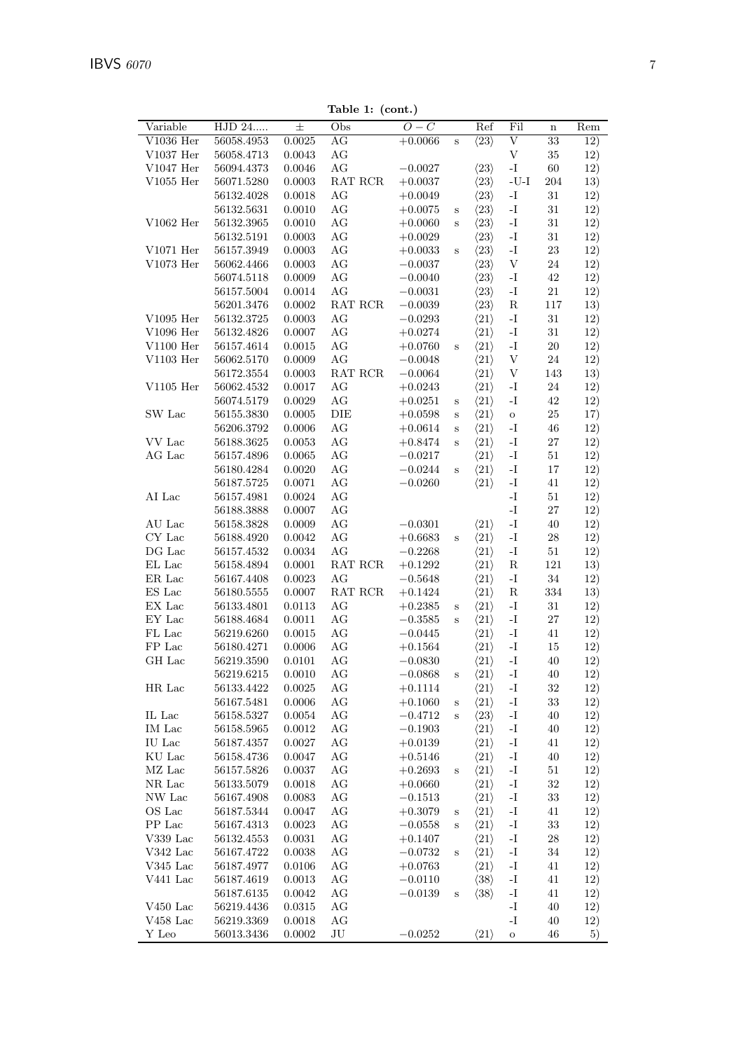Table 1: (cont.)

| Variable<br>HJD 24<br>士<br>$O-\overline{C}$<br>Fil<br>Ref<br>Obs<br>$\mathbf n$<br>AG<br>$\overline{\mathrm{V}}$<br>$V1036$ Her<br>56058.4953<br>$0.0025\,$<br>$+0.0066$<br>$\langle 23 \rangle$<br>33<br>12)<br>$\mathbf S$<br>$\ensuremath{\mathbf{V}}$<br>$\rm{AG}$<br>$35\,$<br>12)<br>$V1037$ Her<br>56058.4713<br>0.0043<br>$\rm{AG}$<br>$\mathbf{-I}$<br>$60\,$<br>$V1047$ Her<br>56094.4373<br>0.0046<br>$-0.0027$<br>$\langle 23 \rangle$<br>12)<br>RAT RCR<br>$\langle 23 \rangle$<br>$V1055$ Her<br>56071.5280<br>0.0003<br>$+0.0037$<br>$\mbox{-}\mathrm{U}\mbox{-}\mathrm{I}$<br>204<br>13)<br>$\langle 23 \rangle$<br>56132.4028<br>0.0018<br>AG<br>$-I$<br>31<br>12)<br>$+0.0049$<br>$\rm{AG}$<br>$\langle 23 \rangle$<br>$\mathbf{I}$<br>$31\,$<br>56132.5631<br>0.0010<br>$+0.0075$<br>12)<br>$\mathbf S$<br>V1062 Her<br>$\rm{AG}$<br>$\mathbf{-I}$<br>$31\,$<br>56132.3965<br>0.0010<br>$\langle 23 \rangle$<br>12)<br>$+0.0060$<br>$\mathbf S$<br>$\rm{AG}$<br>56132.5191<br>$\langle 23 \rangle$<br>$\mathbf{-I}$<br>$31\,$<br>12)<br>0.0003<br>$+0.0029$<br>$V1071$ Her<br>$\rm{AG}$<br>$\langle 23 \rangle$<br>$\mathbf{-I}$<br>$23\,$<br>56157.3949<br>12)<br>0.0003<br>$+0.0033$<br>$\mathbf S$<br>$\rm V1073~Her$<br>$\rm{AG}$<br>$\langle 23 \rangle$<br>$\mathbf V$<br>56062.4466<br>0.0003<br>$24\,$<br>12)<br>$-0.0037$<br>$\rm{AG}$<br>$\langle 23 \rangle$<br>$42\,$<br>56074.5118<br>0.0009<br>$-0.0040$<br>$\mathbf{-I}$<br>12)<br>$\rm{AG}$<br>$21\,$<br>0.0014<br>$\langle 23 \rangle$<br>$\mathbf{-I}$<br>12)<br>56157.5004<br>$-0.0031$<br>${\bf R}$<br>56201.3476<br>0.0002<br>RAT RCR<br>$\langle 23 \rangle$<br>$117\,$<br>13)<br>$-0.0039$<br>$\rm{AG}$<br>$\mathbf{-I}$<br>$V1095$ Her<br>56132.3725<br>0.0003<br>$\langle 21 \rangle$<br>$31\,$<br>12)<br>$-0.0293$<br>$\rm{AG}$<br>V1096 Her<br>$\mathbf{-I}$<br>$\langle 21 \rangle$<br>$31\,$<br>12)<br>56132.4826<br>0.0007<br>$+0.0274$<br>$\rm{AG}$<br>$\mathbf{-I}$<br>$V1100$ Her<br>56157.4614<br>0.0015<br>$\langle 21 \rangle$<br>$20\,$<br>12)<br>$+0.0760$<br>$\mathbf S$<br>$\rm{AG}$<br>$\langle 21 \rangle$<br>$\ensuremath{\mathbf{V}}$<br>$V1103$ Her<br>56062.5170<br>0.0009<br>$24\,$<br>12)<br>$-0.0048$<br>$\ensuremath{\mathbf{V}}$<br>56172.3554<br>0.0003<br>RAT RCR<br>$-0.0064$<br>$\langle 21 \rangle$<br>143<br>13)<br>V1105 Her<br>$\rm{AG}$<br>56062.4532<br>0.0017<br>$\langle 21 \rangle$<br>$-I$<br>24<br>12)<br>$+0.0243$<br>$\rm{AG}$<br>$\langle 21 \rangle$<br>$\mathbf{-I}$<br>56074.5179<br>0.0029<br>42<br>12)<br>$+0.0251$<br>$\rm S$<br>SW Lac<br>DIE<br>$\langle 21 \rangle$<br>$25\,$<br>56155.3830<br>0.0005<br>17)<br>$+0.0598$<br>$\rm{O}$<br>$\rm S$<br>$\rm{AG}$<br>56206.3792<br>0.0006<br>$\langle 21 \rangle$<br>$\mathbf{-I}$<br>46<br>12)<br>$+0.0614$<br>$\rm S$<br>VV Lac<br>AG<br>$\langle 21 \rangle$<br>$\mathbf{-I}$<br>$27\,$<br>12)<br>56188.3625<br>0.0053<br>$+0.8474$<br>$\rm S$<br>$\rm{AG}$<br>AG Lac<br>56157.4896<br>0.0065<br>$\langle 21 \rangle$<br>$\mathbf{I}$<br>$51\,$<br>12)<br>$-0.0217$<br>$\rm{AG}$<br>$\mathbf{-I}$<br>$17\,$<br>0.0020<br>$\langle 21 \rangle$<br>12)<br>56180.4284<br>$-0.0244$<br>$\mathbf S$<br>$\rm{AG}$<br>$\mathbf{-I}$<br>56187.5725<br>$\langle 21 \rangle$<br>41<br>12)<br>0.0071<br>$-0.0260$<br>${\rm AI}$ Lac<br>$\rm{AG}$<br>$\mathbf{-I}$<br>0.0024<br>$51\,$<br>12)<br>56157.4981<br>$\rm{AG}$<br>$\mathbf{-I}$<br>56188.3888<br>0.0007<br>$27\,$<br>12)<br>$\rm{AG}$<br>$\mathbf{-I}$<br>AU Lac<br>56158.3828<br>0.0009<br>$\langle 21 \rangle$<br>40<br>12)<br>$-0.0301$<br>$\rm{AG}$<br>${\rm CY}$ Lac<br>$\mathbf{I}$ -<br>56188.4920<br>0.0042<br>$+0.6683$<br>$\langle 21 \rangle$<br>$28\,$<br>12)<br>S<br>$\rm{AG}$<br>$\rm DG$ Lac<br>$\mathbf{-I}$<br>$51\,$<br>56157.4532<br>$\, 0.0034\,$<br>$-0.2268$<br>$\langle 21 \rangle$<br>12)<br>$\mathop{\hbox{\rm EL}}$ Lac<br>$\langle 21 \rangle$<br>${\bf R}$<br>121<br>56158.4894<br>0.0001<br>RAT RCR<br>$+0.1292$<br>13)<br>AG<br>$\langle 21 \rangle$<br>$\mathbf{I}$ -<br>$34\,$<br>ER Lac<br>56167.4408<br>0.0023<br>$-0.5648$<br>12)<br>$\operatorname{RAT}$ $\operatorname{RCR}$<br>ES Lac<br>56180.5555<br>0.0007<br>$+0.1424$<br>$\langle 21 \rangle$<br>${\bf R}$<br>$334\,$<br>13)<br>EX Lac<br>56133.4801<br>AG<br>$\langle 21 \rangle$<br>$\mathbf{-I}$<br>$31\,$<br>12)<br>0.0113<br>$+0.2385$<br>$\mathbf S$<br>$\rm{AG}$<br>$\mathbf{-I}$<br>$27\,$<br>${\rm EY}$ Lac<br>$\langle 21 \rangle$<br>12)<br>56188.4684<br>0.0011<br>$-0.3585$<br>$\rm S$<br>FL Lac<br>$\rm{AG}$<br>$\langle 21 \rangle$<br>$\mathbf{-I}$<br>12)<br>56219.6260<br>0.0015<br>$-0.0445$<br>41<br>FP Lac<br>$\rm{AG}$<br>$\mathbf{-I}$<br>56180.4271<br>$\langle 21 \rangle$<br>0.0006<br>$+0.1564$<br>15<br>12)<br>$\mathbf{-I}$<br>GH Lac<br>56219.3590<br>AG<br>$\langle 21 \rangle$<br>40<br>12)<br>0.0101<br>$-0.0830$<br>56219.6215<br>0.0010<br>AG<br>$-0.0868$<br>$\langle 21 \rangle$<br>$-I$<br>40<br>12)<br>$\mathbf S$<br>HR Lac<br>AG<br>$\langle 21 \rangle$<br>$32\,$<br>12)<br>56133.4422<br>0.0025<br>$-I$<br>$+0.1114$<br>$\rm{AG}$<br>$\langle 21 \rangle$<br>$\mathbf{I}$<br>33<br>12)<br>56167.5481<br>0.0006<br>$+0.1060$<br>S<br>$\rm{AG}$<br>$\rm IL$ $\rm Lac$<br>$\langle 23 \rangle$<br>$\mathbf{-I}$<br>12)<br>56158.5327<br>0.0054<br>$-0.4712$<br>40<br>S<br>IM Lac<br>AG<br>$\langle 21 \rangle$<br>$\mathbf{-I}$<br>0.0012<br>40<br>12)<br>56158.5965<br>$-0.1903$<br>IU Lac<br>AG<br>$\langle 21 \rangle$<br>$\mathbf{-I}$<br>56187.4357<br>0.0027<br>$+0.0139$<br>41<br>12)<br>KU Lac<br>AG<br>$\langle 21 \rangle$<br>$\mathbf{-I}$<br>56158.4736<br>0.0047<br>$+0.5146$<br>40<br>12)<br>$\rm MZ$ Lac<br>AG<br>$\langle 21 \rangle$<br>$\mathbf{-I}$<br>$51\,$<br>56157.5826<br>0.0037<br>12)<br>$+0.2693$<br>S<br>$\rm{AG}$<br>${\rm NR}$ Lac<br>$\langle 21 \rangle$<br>$-I$<br>$32\,$<br>56133.5079<br>0.0018<br>12)<br>$+0.0660$<br>AG<br>$\langle 21 \rangle$<br>$\mathbf{-I}$<br>$33\,$<br>NW Lac<br>56167.4908<br>0.0083<br>$-0.1513$<br>12)<br>OS Lac<br>$\langle 21 \rangle$<br>AG<br>$\mathbf{-I}$<br>56187.5344<br>0.0047<br>$+0.3079$<br>41<br>12)<br>$\mathbf S$<br>PP Lac<br>AG<br>$\langle 21 \rangle$<br>$33\,$<br>56167.4313<br>0.0023<br>$-0.0558$<br>$-I$<br>12)<br>$\mathbf S$<br>AG<br>$\langle 21 \rangle$<br>$V339$ Lac<br>56132.4553<br>0.0031<br>$-I$<br>28<br>12)<br>$+0.1407$<br>$\rm V342~Lac$<br>AG<br>$\mathbf{-I}$<br>$34\,$<br>56167.4722<br>0.0038<br>$\langle 21 \rangle$<br>12)<br>$-0.0732$<br>$\mathbf S$<br>$\rm{AG}$<br>$V345$ Lac<br>$\langle 21 \rangle$<br>$-I$<br>41<br>56187.4977<br>0.0106<br>12)<br>$+0.0763$<br>$V441$ Lac<br>AG<br>$\langle 38 \rangle$<br>$\mathbf{-I}$<br>56187.4619<br>0.0013<br>$-0.0110$<br>41<br>12)<br>AG<br>$\mathbf{-I}$<br>56187.6135<br>0.0042<br>$-0.0139$<br>$\langle 38 \rangle$<br>41<br>12)<br>$\mathbf S$<br>$\rm V450~Lac$<br>AG<br>$\mathbf{I}$<br>56219.4436<br>0.0315<br>40<br>12)<br>$V458$ Lac<br>AG<br>$-I$<br>56219.3369<br>0.0018<br>40<br>12)<br>Y Leo<br>JU<br>$-0.0252$<br>56013.3436<br>0.0002<br>$\langle 21 \rangle$<br>46<br>5)<br>$\mathbf{o}$ |  | rapie 1. (com.) |  |  |     |
|-----------------------------------------------------------------------------------------------------------------------------------------------------------------------------------------------------------------------------------------------------------------------------------------------------------------------------------------------------------------------------------------------------------------------------------------------------------------------------------------------------------------------------------------------------------------------------------------------------------------------------------------------------------------------------------------------------------------------------------------------------------------------------------------------------------------------------------------------------------------------------------------------------------------------------------------------------------------------------------------------------------------------------------------------------------------------------------------------------------------------------------------------------------------------------------------------------------------------------------------------------------------------------------------------------------------------------------------------------------------------------------------------------------------------------------------------------------------------------------------------------------------------------------------------------------------------------------------------------------------------------------------------------------------------------------------------------------------------------------------------------------------------------------------------------------------------------------------------------------------------------------------------------------------------------------------------------------------------------------------------------------------------------------------------------------------------------------------------------------------------------------------------------------------------------------------------------------------------------------------------------------------------------------------------------------------------------------------------------------------------------------------------------------------------------------------------------------------------------------------------------------------------------------------------------------------------------------------------------------------------------------------------------------------------------------------------------------------------------------------------------------------------------------------------------------------------------------------------------------------------------------------------------------------------------------------------------------------------------------------------------------------------------------------------------------------------------------------------------------------------------------------------------------------------------------------------------------------------------------------------------------------------------------------------------------------------------------------------------------------------------------------------------------------------------------------------------------------------------------------------------------------------------------------------------------------------------------------------------------------------------------------------------------------------------------------------------------------------------------------------------------------------------------------------------------------------------------------------------------------------------------------------------------------------------------------------------------------------------------------------------------------------------------------------------------------------------------------------------------------------------------------------------------------------------------------------------------------------------------------------------------------------------------------------------------------------------------------------------------------------------------------------------------------------------------------------------------------------------------------------------------------------------------------------------------------------------------------------------------------------------------------------------------------------------------------------------------------------------------------------------------------------------------------------------------------------------------------------------------------------------------------------------------------------------------------------------------------------------------------------------------------------------------------------------------------------------------------------------------------------------------------------------------------------------------------------------------------------------------------------------------------------------------------------------------------------------------------------------------------------------------------------------------------------------------------------------------------------------------------------------------------------------------------------------------------------------------------------------------------------------------------------------------------------------------------------------------------------------------------------------------------------------------------------------------------------------------------------------------------------------------------------------------------------------------------------------------------------------------------------------------------------------------------------------------------------------------------------------------------------------------------------------------------------------------------------------------------------------------------------------------------------------------------------------------------------------------------------------------------------------------------------------------------------------------------------------------------------------------------------------------------------------------------------------------------------------------------------------------------------------------------------------------------------------------------------------------------------------------------------------------------------------------------------------------------------------------------------------------------------------------------------------------------------------------------------------------------------------------------------------------------------------------------------------------------------------------------------------------------------------------------------------|--|-----------------|--|--|-----|
|                                                                                                                                                                                                                                                                                                                                                                                                                                                                                                                                                                                                                                                                                                                                                                                                                                                                                                                                                                                                                                                                                                                                                                                                                                                                                                                                                                                                                                                                                                                                                                                                                                                                                                                                                                                                                                                                                                                                                                                                                                                                                                                                                                                                                                                                                                                                                                                                                                                                                                                                                                                                                                                                                                                                                                                                                                                                                                                                                                                                                                                                                                                                                                                                                                                                                                                                                                                                                                                                                                                                                                                                                                                                                                                                                                                                                                                                                                                                                                                                                                                                                                                                                                                                                                                                                                                                                                                                                                                                                                                                                                                                                                                                                                                                                                                                                                                                                                                                                                                                                                                                                                                                                                                                                                                                                                                                                                                                                                                                                                                                                                                                                                                                                                                                                                                                                                                                                                                                                                                                                                                                                                                                                                                                                                                                                                                                                                                                                                                                                                                                                                                                                                                                                                                                                                                                                                                                                                                                                                                                                                                                                                                                                     |  |                 |  |  | Rem |
|                                                                                                                                                                                                                                                                                                                                                                                                                                                                                                                                                                                                                                                                                                                                                                                                                                                                                                                                                                                                                                                                                                                                                                                                                                                                                                                                                                                                                                                                                                                                                                                                                                                                                                                                                                                                                                                                                                                                                                                                                                                                                                                                                                                                                                                                                                                                                                                                                                                                                                                                                                                                                                                                                                                                                                                                                                                                                                                                                                                                                                                                                                                                                                                                                                                                                                                                                                                                                                                                                                                                                                                                                                                                                                                                                                                                                                                                                                                                                                                                                                                                                                                                                                                                                                                                                                                                                                                                                                                                                                                                                                                                                                                                                                                                                                                                                                                                                                                                                                                                                                                                                                                                                                                                                                                                                                                                                                                                                                                                                                                                                                                                                                                                                                                                                                                                                                                                                                                                                                                                                                                                                                                                                                                                                                                                                                                                                                                                                                                                                                                                                                                                                                                                                                                                                                                                                                                                                                                                                                                                                                                                                                                                                     |  |                 |  |  |     |
|                                                                                                                                                                                                                                                                                                                                                                                                                                                                                                                                                                                                                                                                                                                                                                                                                                                                                                                                                                                                                                                                                                                                                                                                                                                                                                                                                                                                                                                                                                                                                                                                                                                                                                                                                                                                                                                                                                                                                                                                                                                                                                                                                                                                                                                                                                                                                                                                                                                                                                                                                                                                                                                                                                                                                                                                                                                                                                                                                                                                                                                                                                                                                                                                                                                                                                                                                                                                                                                                                                                                                                                                                                                                                                                                                                                                                                                                                                                                                                                                                                                                                                                                                                                                                                                                                                                                                                                                                                                                                                                                                                                                                                                                                                                                                                                                                                                                                                                                                                                                                                                                                                                                                                                                                                                                                                                                                                                                                                                                                                                                                                                                                                                                                                                                                                                                                                                                                                                                                                                                                                                                                                                                                                                                                                                                                                                                                                                                                                                                                                                                                                                                                                                                                                                                                                                                                                                                                                                                                                                                                                                                                                                                                     |  |                 |  |  |     |
|                                                                                                                                                                                                                                                                                                                                                                                                                                                                                                                                                                                                                                                                                                                                                                                                                                                                                                                                                                                                                                                                                                                                                                                                                                                                                                                                                                                                                                                                                                                                                                                                                                                                                                                                                                                                                                                                                                                                                                                                                                                                                                                                                                                                                                                                                                                                                                                                                                                                                                                                                                                                                                                                                                                                                                                                                                                                                                                                                                                                                                                                                                                                                                                                                                                                                                                                                                                                                                                                                                                                                                                                                                                                                                                                                                                                                                                                                                                                                                                                                                                                                                                                                                                                                                                                                                                                                                                                                                                                                                                                                                                                                                                                                                                                                                                                                                                                                                                                                                                                                                                                                                                                                                                                                                                                                                                                                                                                                                                                                                                                                                                                                                                                                                                                                                                                                                                                                                                                                                                                                                                                                                                                                                                                                                                                                                                                                                                                                                                                                                                                                                                                                                                                                                                                                                                                                                                                                                                                                                                                                                                                                                                                                     |  |                 |  |  |     |
|                                                                                                                                                                                                                                                                                                                                                                                                                                                                                                                                                                                                                                                                                                                                                                                                                                                                                                                                                                                                                                                                                                                                                                                                                                                                                                                                                                                                                                                                                                                                                                                                                                                                                                                                                                                                                                                                                                                                                                                                                                                                                                                                                                                                                                                                                                                                                                                                                                                                                                                                                                                                                                                                                                                                                                                                                                                                                                                                                                                                                                                                                                                                                                                                                                                                                                                                                                                                                                                                                                                                                                                                                                                                                                                                                                                                                                                                                                                                                                                                                                                                                                                                                                                                                                                                                                                                                                                                                                                                                                                                                                                                                                                                                                                                                                                                                                                                                                                                                                                                                                                                                                                                                                                                                                                                                                                                                                                                                                                                                                                                                                                                                                                                                                                                                                                                                                                                                                                                                                                                                                                                                                                                                                                                                                                                                                                                                                                                                                                                                                                                                                                                                                                                                                                                                                                                                                                                                                                                                                                                                                                                                                                                                     |  |                 |  |  |     |
|                                                                                                                                                                                                                                                                                                                                                                                                                                                                                                                                                                                                                                                                                                                                                                                                                                                                                                                                                                                                                                                                                                                                                                                                                                                                                                                                                                                                                                                                                                                                                                                                                                                                                                                                                                                                                                                                                                                                                                                                                                                                                                                                                                                                                                                                                                                                                                                                                                                                                                                                                                                                                                                                                                                                                                                                                                                                                                                                                                                                                                                                                                                                                                                                                                                                                                                                                                                                                                                                                                                                                                                                                                                                                                                                                                                                                                                                                                                                                                                                                                                                                                                                                                                                                                                                                                                                                                                                                                                                                                                                                                                                                                                                                                                                                                                                                                                                                                                                                                                                                                                                                                                                                                                                                                                                                                                                                                                                                                                                                                                                                                                                                                                                                                                                                                                                                                                                                                                                                                                                                                                                                                                                                                                                                                                                                                                                                                                                                                                                                                                                                                                                                                                                                                                                                                                                                                                                                                                                                                                                                                                                                                                                                     |  |                 |  |  |     |
|                                                                                                                                                                                                                                                                                                                                                                                                                                                                                                                                                                                                                                                                                                                                                                                                                                                                                                                                                                                                                                                                                                                                                                                                                                                                                                                                                                                                                                                                                                                                                                                                                                                                                                                                                                                                                                                                                                                                                                                                                                                                                                                                                                                                                                                                                                                                                                                                                                                                                                                                                                                                                                                                                                                                                                                                                                                                                                                                                                                                                                                                                                                                                                                                                                                                                                                                                                                                                                                                                                                                                                                                                                                                                                                                                                                                                                                                                                                                                                                                                                                                                                                                                                                                                                                                                                                                                                                                                                                                                                                                                                                                                                                                                                                                                                                                                                                                                                                                                                                                                                                                                                                                                                                                                                                                                                                                                                                                                                                                                                                                                                                                                                                                                                                                                                                                                                                                                                                                                                                                                                                                                                                                                                                                                                                                                                                                                                                                                                                                                                                                                                                                                                                                                                                                                                                                                                                                                                                                                                                                                                                                                                                                                     |  |                 |  |  |     |
|                                                                                                                                                                                                                                                                                                                                                                                                                                                                                                                                                                                                                                                                                                                                                                                                                                                                                                                                                                                                                                                                                                                                                                                                                                                                                                                                                                                                                                                                                                                                                                                                                                                                                                                                                                                                                                                                                                                                                                                                                                                                                                                                                                                                                                                                                                                                                                                                                                                                                                                                                                                                                                                                                                                                                                                                                                                                                                                                                                                                                                                                                                                                                                                                                                                                                                                                                                                                                                                                                                                                                                                                                                                                                                                                                                                                                                                                                                                                                                                                                                                                                                                                                                                                                                                                                                                                                                                                                                                                                                                                                                                                                                                                                                                                                                                                                                                                                                                                                                                                                                                                                                                                                                                                                                                                                                                                                                                                                                                                                                                                                                                                                                                                                                                                                                                                                                                                                                                                                                                                                                                                                                                                                                                                                                                                                                                                                                                                                                                                                                                                                                                                                                                                                                                                                                                                                                                                                                                                                                                                                                                                                                                                                     |  |                 |  |  |     |
|                                                                                                                                                                                                                                                                                                                                                                                                                                                                                                                                                                                                                                                                                                                                                                                                                                                                                                                                                                                                                                                                                                                                                                                                                                                                                                                                                                                                                                                                                                                                                                                                                                                                                                                                                                                                                                                                                                                                                                                                                                                                                                                                                                                                                                                                                                                                                                                                                                                                                                                                                                                                                                                                                                                                                                                                                                                                                                                                                                                                                                                                                                                                                                                                                                                                                                                                                                                                                                                                                                                                                                                                                                                                                                                                                                                                                                                                                                                                                                                                                                                                                                                                                                                                                                                                                                                                                                                                                                                                                                                                                                                                                                                                                                                                                                                                                                                                                                                                                                                                                                                                                                                                                                                                                                                                                                                                                                                                                                                                                                                                                                                                                                                                                                                                                                                                                                                                                                                                                                                                                                                                                                                                                                                                                                                                                                                                                                                                                                                                                                                                                                                                                                                                                                                                                                                                                                                                                                                                                                                                                                                                                                                                                     |  |                 |  |  |     |
|                                                                                                                                                                                                                                                                                                                                                                                                                                                                                                                                                                                                                                                                                                                                                                                                                                                                                                                                                                                                                                                                                                                                                                                                                                                                                                                                                                                                                                                                                                                                                                                                                                                                                                                                                                                                                                                                                                                                                                                                                                                                                                                                                                                                                                                                                                                                                                                                                                                                                                                                                                                                                                                                                                                                                                                                                                                                                                                                                                                                                                                                                                                                                                                                                                                                                                                                                                                                                                                                                                                                                                                                                                                                                                                                                                                                                                                                                                                                                                                                                                                                                                                                                                                                                                                                                                                                                                                                                                                                                                                                                                                                                                                                                                                                                                                                                                                                                                                                                                                                                                                                                                                                                                                                                                                                                                                                                                                                                                                                                                                                                                                                                                                                                                                                                                                                                                                                                                                                                                                                                                                                                                                                                                                                                                                                                                                                                                                                                                                                                                                                                                                                                                                                                                                                                                                                                                                                                                                                                                                                                                                                                                                                                     |  |                 |  |  |     |
|                                                                                                                                                                                                                                                                                                                                                                                                                                                                                                                                                                                                                                                                                                                                                                                                                                                                                                                                                                                                                                                                                                                                                                                                                                                                                                                                                                                                                                                                                                                                                                                                                                                                                                                                                                                                                                                                                                                                                                                                                                                                                                                                                                                                                                                                                                                                                                                                                                                                                                                                                                                                                                                                                                                                                                                                                                                                                                                                                                                                                                                                                                                                                                                                                                                                                                                                                                                                                                                                                                                                                                                                                                                                                                                                                                                                                                                                                                                                                                                                                                                                                                                                                                                                                                                                                                                                                                                                                                                                                                                                                                                                                                                                                                                                                                                                                                                                                                                                                                                                                                                                                                                                                                                                                                                                                                                                                                                                                                                                                                                                                                                                                                                                                                                                                                                                                                                                                                                                                                                                                                                                                                                                                                                                                                                                                                                                                                                                                                                                                                                                                                                                                                                                                                                                                                                                                                                                                                                                                                                                                                                                                                                                                     |  |                 |  |  |     |
|                                                                                                                                                                                                                                                                                                                                                                                                                                                                                                                                                                                                                                                                                                                                                                                                                                                                                                                                                                                                                                                                                                                                                                                                                                                                                                                                                                                                                                                                                                                                                                                                                                                                                                                                                                                                                                                                                                                                                                                                                                                                                                                                                                                                                                                                                                                                                                                                                                                                                                                                                                                                                                                                                                                                                                                                                                                                                                                                                                                                                                                                                                                                                                                                                                                                                                                                                                                                                                                                                                                                                                                                                                                                                                                                                                                                                                                                                                                                                                                                                                                                                                                                                                                                                                                                                                                                                                                                                                                                                                                                                                                                                                                                                                                                                                                                                                                                                                                                                                                                                                                                                                                                                                                                                                                                                                                                                                                                                                                                                                                                                                                                                                                                                                                                                                                                                                                                                                                                                                                                                                                                                                                                                                                                                                                                                                                                                                                                                                                                                                                                                                                                                                                                                                                                                                                                                                                                                                                                                                                                                                                                                                                                                     |  |                 |  |  |     |
|                                                                                                                                                                                                                                                                                                                                                                                                                                                                                                                                                                                                                                                                                                                                                                                                                                                                                                                                                                                                                                                                                                                                                                                                                                                                                                                                                                                                                                                                                                                                                                                                                                                                                                                                                                                                                                                                                                                                                                                                                                                                                                                                                                                                                                                                                                                                                                                                                                                                                                                                                                                                                                                                                                                                                                                                                                                                                                                                                                                                                                                                                                                                                                                                                                                                                                                                                                                                                                                                                                                                                                                                                                                                                                                                                                                                                                                                                                                                                                                                                                                                                                                                                                                                                                                                                                                                                                                                                                                                                                                                                                                                                                                                                                                                                                                                                                                                                                                                                                                                                                                                                                                                                                                                                                                                                                                                                                                                                                                                                                                                                                                                                                                                                                                                                                                                                                                                                                                                                                                                                                                                                                                                                                                                                                                                                                                                                                                                                                                                                                                                                                                                                                                                                                                                                                                                                                                                                                                                                                                                                                                                                                                                                     |  |                 |  |  |     |
|                                                                                                                                                                                                                                                                                                                                                                                                                                                                                                                                                                                                                                                                                                                                                                                                                                                                                                                                                                                                                                                                                                                                                                                                                                                                                                                                                                                                                                                                                                                                                                                                                                                                                                                                                                                                                                                                                                                                                                                                                                                                                                                                                                                                                                                                                                                                                                                                                                                                                                                                                                                                                                                                                                                                                                                                                                                                                                                                                                                                                                                                                                                                                                                                                                                                                                                                                                                                                                                                                                                                                                                                                                                                                                                                                                                                                                                                                                                                                                                                                                                                                                                                                                                                                                                                                                                                                                                                                                                                                                                                                                                                                                                                                                                                                                                                                                                                                                                                                                                                                                                                                                                                                                                                                                                                                                                                                                                                                                                                                                                                                                                                                                                                                                                                                                                                                                                                                                                                                                                                                                                                                                                                                                                                                                                                                                                                                                                                                                                                                                                                                                                                                                                                                                                                                                                                                                                                                                                                                                                                                                                                                                                                                     |  |                 |  |  |     |
|                                                                                                                                                                                                                                                                                                                                                                                                                                                                                                                                                                                                                                                                                                                                                                                                                                                                                                                                                                                                                                                                                                                                                                                                                                                                                                                                                                                                                                                                                                                                                                                                                                                                                                                                                                                                                                                                                                                                                                                                                                                                                                                                                                                                                                                                                                                                                                                                                                                                                                                                                                                                                                                                                                                                                                                                                                                                                                                                                                                                                                                                                                                                                                                                                                                                                                                                                                                                                                                                                                                                                                                                                                                                                                                                                                                                                                                                                                                                                                                                                                                                                                                                                                                                                                                                                                                                                                                                                                                                                                                                                                                                                                                                                                                                                                                                                                                                                                                                                                                                                                                                                                                                                                                                                                                                                                                                                                                                                                                                                                                                                                                                                                                                                                                                                                                                                                                                                                                                                                                                                                                                                                                                                                                                                                                                                                                                                                                                                                                                                                                                                                                                                                                                                                                                                                                                                                                                                                                                                                                                                                                                                                                                                     |  |                 |  |  |     |
|                                                                                                                                                                                                                                                                                                                                                                                                                                                                                                                                                                                                                                                                                                                                                                                                                                                                                                                                                                                                                                                                                                                                                                                                                                                                                                                                                                                                                                                                                                                                                                                                                                                                                                                                                                                                                                                                                                                                                                                                                                                                                                                                                                                                                                                                                                                                                                                                                                                                                                                                                                                                                                                                                                                                                                                                                                                                                                                                                                                                                                                                                                                                                                                                                                                                                                                                                                                                                                                                                                                                                                                                                                                                                                                                                                                                                                                                                                                                                                                                                                                                                                                                                                                                                                                                                                                                                                                                                                                                                                                                                                                                                                                                                                                                                                                                                                                                                                                                                                                                                                                                                                                                                                                                                                                                                                                                                                                                                                                                                                                                                                                                                                                                                                                                                                                                                                                                                                                                                                                                                                                                                                                                                                                                                                                                                                                                                                                                                                                                                                                                                                                                                                                                                                                                                                                                                                                                                                                                                                                                                                                                                                                                                     |  |                 |  |  |     |
|                                                                                                                                                                                                                                                                                                                                                                                                                                                                                                                                                                                                                                                                                                                                                                                                                                                                                                                                                                                                                                                                                                                                                                                                                                                                                                                                                                                                                                                                                                                                                                                                                                                                                                                                                                                                                                                                                                                                                                                                                                                                                                                                                                                                                                                                                                                                                                                                                                                                                                                                                                                                                                                                                                                                                                                                                                                                                                                                                                                                                                                                                                                                                                                                                                                                                                                                                                                                                                                                                                                                                                                                                                                                                                                                                                                                                                                                                                                                                                                                                                                                                                                                                                                                                                                                                                                                                                                                                                                                                                                                                                                                                                                                                                                                                                                                                                                                                                                                                                                                                                                                                                                                                                                                                                                                                                                                                                                                                                                                                                                                                                                                                                                                                                                                                                                                                                                                                                                                                                                                                                                                                                                                                                                                                                                                                                                                                                                                                                                                                                                                                                                                                                                                                                                                                                                                                                                                                                                                                                                                                                                                                                                                                     |  |                 |  |  |     |
|                                                                                                                                                                                                                                                                                                                                                                                                                                                                                                                                                                                                                                                                                                                                                                                                                                                                                                                                                                                                                                                                                                                                                                                                                                                                                                                                                                                                                                                                                                                                                                                                                                                                                                                                                                                                                                                                                                                                                                                                                                                                                                                                                                                                                                                                                                                                                                                                                                                                                                                                                                                                                                                                                                                                                                                                                                                                                                                                                                                                                                                                                                                                                                                                                                                                                                                                                                                                                                                                                                                                                                                                                                                                                                                                                                                                                                                                                                                                                                                                                                                                                                                                                                                                                                                                                                                                                                                                                                                                                                                                                                                                                                                                                                                                                                                                                                                                                                                                                                                                                                                                                                                                                                                                                                                                                                                                                                                                                                                                                                                                                                                                                                                                                                                                                                                                                                                                                                                                                                                                                                                                                                                                                                                                                                                                                                                                                                                                                                                                                                                                                                                                                                                                                                                                                                                                                                                                                                                                                                                                                                                                                                                                                     |  |                 |  |  |     |
|                                                                                                                                                                                                                                                                                                                                                                                                                                                                                                                                                                                                                                                                                                                                                                                                                                                                                                                                                                                                                                                                                                                                                                                                                                                                                                                                                                                                                                                                                                                                                                                                                                                                                                                                                                                                                                                                                                                                                                                                                                                                                                                                                                                                                                                                                                                                                                                                                                                                                                                                                                                                                                                                                                                                                                                                                                                                                                                                                                                                                                                                                                                                                                                                                                                                                                                                                                                                                                                                                                                                                                                                                                                                                                                                                                                                                                                                                                                                                                                                                                                                                                                                                                                                                                                                                                                                                                                                                                                                                                                                                                                                                                                                                                                                                                                                                                                                                                                                                                                                                                                                                                                                                                                                                                                                                                                                                                                                                                                                                                                                                                                                                                                                                                                                                                                                                                                                                                                                                                                                                                                                                                                                                                                                                                                                                                                                                                                                                                                                                                                                                                                                                                                                                                                                                                                                                                                                                                                                                                                                                                                                                                                                                     |  |                 |  |  |     |
|                                                                                                                                                                                                                                                                                                                                                                                                                                                                                                                                                                                                                                                                                                                                                                                                                                                                                                                                                                                                                                                                                                                                                                                                                                                                                                                                                                                                                                                                                                                                                                                                                                                                                                                                                                                                                                                                                                                                                                                                                                                                                                                                                                                                                                                                                                                                                                                                                                                                                                                                                                                                                                                                                                                                                                                                                                                                                                                                                                                                                                                                                                                                                                                                                                                                                                                                                                                                                                                                                                                                                                                                                                                                                                                                                                                                                                                                                                                                                                                                                                                                                                                                                                                                                                                                                                                                                                                                                                                                                                                                                                                                                                                                                                                                                                                                                                                                                                                                                                                                                                                                                                                                                                                                                                                                                                                                                                                                                                                                                                                                                                                                                                                                                                                                                                                                                                                                                                                                                                                                                                                                                                                                                                                                                                                                                                                                                                                                                                                                                                                                                                                                                                                                                                                                                                                                                                                                                                                                                                                                                                                                                                                                                     |  |                 |  |  |     |
|                                                                                                                                                                                                                                                                                                                                                                                                                                                                                                                                                                                                                                                                                                                                                                                                                                                                                                                                                                                                                                                                                                                                                                                                                                                                                                                                                                                                                                                                                                                                                                                                                                                                                                                                                                                                                                                                                                                                                                                                                                                                                                                                                                                                                                                                                                                                                                                                                                                                                                                                                                                                                                                                                                                                                                                                                                                                                                                                                                                                                                                                                                                                                                                                                                                                                                                                                                                                                                                                                                                                                                                                                                                                                                                                                                                                                                                                                                                                                                                                                                                                                                                                                                                                                                                                                                                                                                                                                                                                                                                                                                                                                                                                                                                                                                                                                                                                                                                                                                                                                                                                                                                                                                                                                                                                                                                                                                                                                                                                                                                                                                                                                                                                                                                                                                                                                                                                                                                                                                                                                                                                                                                                                                                                                                                                                                                                                                                                                                                                                                                                                                                                                                                                                                                                                                                                                                                                                                                                                                                                                                                                                                                                                     |  |                 |  |  |     |
|                                                                                                                                                                                                                                                                                                                                                                                                                                                                                                                                                                                                                                                                                                                                                                                                                                                                                                                                                                                                                                                                                                                                                                                                                                                                                                                                                                                                                                                                                                                                                                                                                                                                                                                                                                                                                                                                                                                                                                                                                                                                                                                                                                                                                                                                                                                                                                                                                                                                                                                                                                                                                                                                                                                                                                                                                                                                                                                                                                                                                                                                                                                                                                                                                                                                                                                                                                                                                                                                                                                                                                                                                                                                                                                                                                                                                                                                                                                                                                                                                                                                                                                                                                                                                                                                                                                                                                                                                                                                                                                                                                                                                                                                                                                                                                                                                                                                                                                                                                                                                                                                                                                                                                                                                                                                                                                                                                                                                                                                                                                                                                                                                                                                                                                                                                                                                                                                                                                                                                                                                                                                                                                                                                                                                                                                                                                                                                                                                                                                                                                                                                                                                                                                                                                                                                                                                                                                                                                                                                                                                                                                                                                                                     |  |                 |  |  |     |
|                                                                                                                                                                                                                                                                                                                                                                                                                                                                                                                                                                                                                                                                                                                                                                                                                                                                                                                                                                                                                                                                                                                                                                                                                                                                                                                                                                                                                                                                                                                                                                                                                                                                                                                                                                                                                                                                                                                                                                                                                                                                                                                                                                                                                                                                                                                                                                                                                                                                                                                                                                                                                                                                                                                                                                                                                                                                                                                                                                                                                                                                                                                                                                                                                                                                                                                                                                                                                                                                                                                                                                                                                                                                                                                                                                                                                                                                                                                                                                                                                                                                                                                                                                                                                                                                                                                                                                                                                                                                                                                                                                                                                                                                                                                                                                                                                                                                                                                                                                                                                                                                                                                                                                                                                                                                                                                                                                                                                                                                                                                                                                                                                                                                                                                                                                                                                                                                                                                                                                                                                                                                                                                                                                                                                                                                                                                                                                                                                                                                                                                                                                                                                                                                                                                                                                                                                                                                                                                                                                                                                                                                                                                                                     |  |                 |  |  |     |
|                                                                                                                                                                                                                                                                                                                                                                                                                                                                                                                                                                                                                                                                                                                                                                                                                                                                                                                                                                                                                                                                                                                                                                                                                                                                                                                                                                                                                                                                                                                                                                                                                                                                                                                                                                                                                                                                                                                                                                                                                                                                                                                                                                                                                                                                                                                                                                                                                                                                                                                                                                                                                                                                                                                                                                                                                                                                                                                                                                                                                                                                                                                                                                                                                                                                                                                                                                                                                                                                                                                                                                                                                                                                                                                                                                                                                                                                                                                                                                                                                                                                                                                                                                                                                                                                                                                                                                                                                                                                                                                                                                                                                                                                                                                                                                                                                                                                                                                                                                                                                                                                                                                                                                                                                                                                                                                                                                                                                                                                                                                                                                                                                                                                                                                                                                                                                                                                                                                                                                                                                                                                                                                                                                                                                                                                                                                                                                                                                                                                                                                                                                                                                                                                                                                                                                                                                                                                                                                                                                                                                                                                                                                                                     |  |                 |  |  |     |
|                                                                                                                                                                                                                                                                                                                                                                                                                                                                                                                                                                                                                                                                                                                                                                                                                                                                                                                                                                                                                                                                                                                                                                                                                                                                                                                                                                                                                                                                                                                                                                                                                                                                                                                                                                                                                                                                                                                                                                                                                                                                                                                                                                                                                                                                                                                                                                                                                                                                                                                                                                                                                                                                                                                                                                                                                                                                                                                                                                                                                                                                                                                                                                                                                                                                                                                                                                                                                                                                                                                                                                                                                                                                                                                                                                                                                                                                                                                                                                                                                                                                                                                                                                                                                                                                                                                                                                                                                                                                                                                                                                                                                                                                                                                                                                                                                                                                                                                                                                                                                                                                                                                                                                                                                                                                                                                                                                                                                                                                                                                                                                                                                                                                                                                                                                                                                                                                                                                                                                                                                                                                                                                                                                                                                                                                                                                                                                                                                                                                                                                                                                                                                                                                                                                                                                                                                                                                                                                                                                                                                                                                                                                                                     |  |                 |  |  |     |
|                                                                                                                                                                                                                                                                                                                                                                                                                                                                                                                                                                                                                                                                                                                                                                                                                                                                                                                                                                                                                                                                                                                                                                                                                                                                                                                                                                                                                                                                                                                                                                                                                                                                                                                                                                                                                                                                                                                                                                                                                                                                                                                                                                                                                                                                                                                                                                                                                                                                                                                                                                                                                                                                                                                                                                                                                                                                                                                                                                                                                                                                                                                                                                                                                                                                                                                                                                                                                                                                                                                                                                                                                                                                                                                                                                                                                                                                                                                                                                                                                                                                                                                                                                                                                                                                                                                                                                                                                                                                                                                                                                                                                                                                                                                                                                                                                                                                                                                                                                                                                                                                                                                                                                                                                                                                                                                                                                                                                                                                                                                                                                                                                                                                                                                                                                                                                                                                                                                                                                                                                                                                                                                                                                                                                                                                                                                                                                                                                                                                                                                                                                                                                                                                                                                                                                                                                                                                                                                                                                                                                                                                                                                                                     |  |                 |  |  |     |
|                                                                                                                                                                                                                                                                                                                                                                                                                                                                                                                                                                                                                                                                                                                                                                                                                                                                                                                                                                                                                                                                                                                                                                                                                                                                                                                                                                                                                                                                                                                                                                                                                                                                                                                                                                                                                                                                                                                                                                                                                                                                                                                                                                                                                                                                                                                                                                                                                                                                                                                                                                                                                                                                                                                                                                                                                                                                                                                                                                                                                                                                                                                                                                                                                                                                                                                                                                                                                                                                                                                                                                                                                                                                                                                                                                                                                                                                                                                                                                                                                                                                                                                                                                                                                                                                                                                                                                                                                                                                                                                                                                                                                                                                                                                                                                                                                                                                                                                                                                                                                                                                                                                                                                                                                                                                                                                                                                                                                                                                                                                                                                                                                                                                                                                                                                                                                                                                                                                                                                                                                                                                                                                                                                                                                                                                                                                                                                                                                                                                                                                                                                                                                                                                                                                                                                                                                                                                                                                                                                                                                                                                                                                                                     |  |                 |  |  |     |
|                                                                                                                                                                                                                                                                                                                                                                                                                                                                                                                                                                                                                                                                                                                                                                                                                                                                                                                                                                                                                                                                                                                                                                                                                                                                                                                                                                                                                                                                                                                                                                                                                                                                                                                                                                                                                                                                                                                                                                                                                                                                                                                                                                                                                                                                                                                                                                                                                                                                                                                                                                                                                                                                                                                                                                                                                                                                                                                                                                                                                                                                                                                                                                                                                                                                                                                                                                                                                                                                                                                                                                                                                                                                                                                                                                                                                                                                                                                                                                                                                                                                                                                                                                                                                                                                                                                                                                                                                                                                                                                                                                                                                                                                                                                                                                                                                                                                                                                                                                                                                                                                                                                                                                                                                                                                                                                                                                                                                                                                                                                                                                                                                                                                                                                                                                                                                                                                                                                                                                                                                                                                                                                                                                                                                                                                                                                                                                                                                                                                                                                                                                                                                                                                                                                                                                                                                                                                                                                                                                                                                                                                                                                                                     |  |                 |  |  |     |
|                                                                                                                                                                                                                                                                                                                                                                                                                                                                                                                                                                                                                                                                                                                                                                                                                                                                                                                                                                                                                                                                                                                                                                                                                                                                                                                                                                                                                                                                                                                                                                                                                                                                                                                                                                                                                                                                                                                                                                                                                                                                                                                                                                                                                                                                                                                                                                                                                                                                                                                                                                                                                                                                                                                                                                                                                                                                                                                                                                                                                                                                                                                                                                                                                                                                                                                                                                                                                                                                                                                                                                                                                                                                                                                                                                                                                                                                                                                                                                                                                                                                                                                                                                                                                                                                                                                                                                                                                                                                                                                                                                                                                                                                                                                                                                                                                                                                                                                                                                                                                                                                                                                                                                                                                                                                                                                                                                                                                                                                                                                                                                                                                                                                                                                                                                                                                                                                                                                                                                                                                                                                                                                                                                                                                                                                                                                                                                                                                                                                                                                                                                                                                                                                                                                                                                                                                                                                                                                                                                                                                                                                                                                                                     |  |                 |  |  |     |
|                                                                                                                                                                                                                                                                                                                                                                                                                                                                                                                                                                                                                                                                                                                                                                                                                                                                                                                                                                                                                                                                                                                                                                                                                                                                                                                                                                                                                                                                                                                                                                                                                                                                                                                                                                                                                                                                                                                                                                                                                                                                                                                                                                                                                                                                                                                                                                                                                                                                                                                                                                                                                                                                                                                                                                                                                                                                                                                                                                                                                                                                                                                                                                                                                                                                                                                                                                                                                                                                                                                                                                                                                                                                                                                                                                                                                                                                                                                                                                                                                                                                                                                                                                                                                                                                                                                                                                                                                                                                                                                                                                                                                                                                                                                                                                                                                                                                                                                                                                                                                                                                                                                                                                                                                                                                                                                                                                                                                                                                                                                                                                                                                                                                                                                                                                                                                                                                                                                                                                                                                                                                                                                                                                                                                                                                                                                                                                                                                                                                                                                                                                                                                                                                                                                                                                                                                                                                                                                                                                                                                                                                                                                                                     |  |                 |  |  |     |
|                                                                                                                                                                                                                                                                                                                                                                                                                                                                                                                                                                                                                                                                                                                                                                                                                                                                                                                                                                                                                                                                                                                                                                                                                                                                                                                                                                                                                                                                                                                                                                                                                                                                                                                                                                                                                                                                                                                                                                                                                                                                                                                                                                                                                                                                                                                                                                                                                                                                                                                                                                                                                                                                                                                                                                                                                                                                                                                                                                                                                                                                                                                                                                                                                                                                                                                                                                                                                                                                                                                                                                                                                                                                                                                                                                                                                                                                                                                                                                                                                                                                                                                                                                                                                                                                                                                                                                                                                                                                                                                                                                                                                                                                                                                                                                                                                                                                                                                                                                                                                                                                                                                                                                                                                                                                                                                                                                                                                                                                                                                                                                                                                                                                                                                                                                                                                                                                                                                                                                                                                                                                                                                                                                                                                                                                                                                                                                                                                                                                                                                                                                                                                                                                                                                                                                                                                                                                                                                                                                                                                                                                                                                                                     |  |                 |  |  |     |
|                                                                                                                                                                                                                                                                                                                                                                                                                                                                                                                                                                                                                                                                                                                                                                                                                                                                                                                                                                                                                                                                                                                                                                                                                                                                                                                                                                                                                                                                                                                                                                                                                                                                                                                                                                                                                                                                                                                                                                                                                                                                                                                                                                                                                                                                                                                                                                                                                                                                                                                                                                                                                                                                                                                                                                                                                                                                                                                                                                                                                                                                                                                                                                                                                                                                                                                                                                                                                                                                                                                                                                                                                                                                                                                                                                                                                                                                                                                                                                                                                                                                                                                                                                                                                                                                                                                                                                                                                                                                                                                                                                                                                                                                                                                                                                                                                                                                                                                                                                                                                                                                                                                                                                                                                                                                                                                                                                                                                                                                                                                                                                                                                                                                                                                                                                                                                                                                                                                                                                                                                                                                                                                                                                                                                                                                                                                                                                                                                                                                                                                                                                                                                                                                                                                                                                                                                                                                                                                                                                                                                                                                                                                                                     |  |                 |  |  |     |
|                                                                                                                                                                                                                                                                                                                                                                                                                                                                                                                                                                                                                                                                                                                                                                                                                                                                                                                                                                                                                                                                                                                                                                                                                                                                                                                                                                                                                                                                                                                                                                                                                                                                                                                                                                                                                                                                                                                                                                                                                                                                                                                                                                                                                                                                                                                                                                                                                                                                                                                                                                                                                                                                                                                                                                                                                                                                                                                                                                                                                                                                                                                                                                                                                                                                                                                                                                                                                                                                                                                                                                                                                                                                                                                                                                                                                                                                                                                                                                                                                                                                                                                                                                                                                                                                                                                                                                                                                                                                                                                                                                                                                                                                                                                                                                                                                                                                                                                                                                                                                                                                                                                                                                                                                                                                                                                                                                                                                                                                                                                                                                                                                                                                                                                                                                                                                                                                                                                                                                                                                                                                                                                                                                                                                                                                                                                                                                                                                                                                                                                                                                                                                                                                                                                                                                                                                                                                                                                                                                                                                                                                                                                                                     |  |                 |  |  |     |
|                                                                                                                                                                                                                                                                                                                                                                                                                                                                                                                                                                                                                                                                                                                                                                                                                                                                                                                                                                                                                                                                                                                                                                                                                                                                                                                                                                                                                                                                                                                                                                                                                                                                                                                                                                                                                                                                                                                                                                                                                                                                                                                                                                                                                                                                                                                                                                                                                                                                                                                                                                                                                                                                                                                                                                                                                                                                                                                                                                                                                                                                                                                                                                                                                                                                                                                                                                                                                                                                                                                                                                                                                                                                                                                                                                                                                                                                                                                                                                                                                                                                                                                                                                                                                                                                                                                                                                                                                                                                                                                                                                                                                                                                                                                                                                                                                                                                                                                                                                                                                                                                                                                                                                                                                                                                                                                                                                                                                                                                                                                                                                                                                                                                                                                                                                                                                                                                                                                                                                                                                                                                                                                                                                                                                                                                                                                                                                                                                                                                                                                                                                                                                                                                                                                                                                                                                                                                                                                                                                                                                                                                                                                                                     |  |                 |  |  |     |
|                                                                                                                                                                                                                                                                                                                                                                                                                                                                                                                                                                                                                                                                                                                                                                                                                                                                                                                                                                                                                                                                                                                                                                                                                                                                                                                                                                                                                                                                                                                                                                                                                                                                                                                                                                                                                                                                                                                                                                                                                                                                                                                                                                                                                                                                                                                                                                                                                                                                                                                                                                                                                                                                                                                                                                                                                                                                                                                                                                                                                                                                                                                                                                                                                                                                                                                                                                                                                                                                                                                                                                                                                                                                                                                                                                                                                                                                                                                                                                                                                                                                                                                                                                                                                                                                                                                                                                                                                                                                                                                                                                                                                                                                                                                                                                                                                                                                                                                                                                                                                                                                                                                                                                                                                                                                                                                                                                                                                                                                                                                                                                                                                                                                                                                                                                                                                                                                                                                                                                                                                                                                                                                                                                                                                                                                                                                                                                                                                                                                                                                                                                                                                                                                                                                                                                                                                                                                                                                                                                                                                                                                                                                                                     |  |                 |  |  |     |
|                                                                                                                                                                                                                                                                                                                                                                                                                                                                                                                                                                                                                                                                                                                                                                                                                                                                                                                                                                                                                                                                                                                                                                                                                                                                                                                                                                                                                                                                                                                                                                                                                                                                                                                                                                                                                                                                                                                                                                                                                                                                                                                                                                                                                                                                                                                                                                                                                                                                                                                                                                                                                                                                                                                                                                                                                                                                                                                                                                                                                                                                                                                                                                                                                                                                                                                                                                                                                                                                                                                                                                                                                                                                                                                                                                                                                                                                                                                                                                                                                                                                                                                                                                                                                                                                                                                                                                                                                                                                                                                                                                                                                                                                                                                                                                                                                                                                                                                                                                                                                                                                                                                                                                                                                                                                                                                                                                                                                                                                                                                                                                                                                                                                                                                                                                                                                                                                                                                                                                                                                                                                                                                                                                                                                                                                                                                                                                                                                                                                                                                                                                                                                                                                                                                                                                                                                                                                                                                                                                                                                                                                                                                                                     |  |                 |  |  |     |
|                                                                                                                                                                                                                                                                                                                                                                                                                                                                                                                                                                                                                                                                                                                                                                                                                                                                                                                                                                                                                                                                                                                                                                                                                                                                                                                                                                                                                                                                                                                                                                                                                                                                                                                                                                                                                                                                                                                                                                                                                                                                                                                                                                                                                                                                                                                                                                                                                                                                                                                                                                                                                                                                                                                                                                                                                                                                                                                                                                                                                                                                                                                                                                                                                                                                                                                                                                                                                                                                                                                                                                                                                                                                                                                                                                                                                                                                                                                                                                                                                                                                                                                                                                                                                                                                                                                                                                                                                                                                                                                                                                                                                                                                                                                                                                                                                                                                                                                                                                                                                                                                                                                                                                                                                                                                                                                                                                                                                                                                                                                                                                                                                                                                                                                                                                                                                                                                                                                                                                                                                                                                                                                                                                                                                                                                                                                                                                                                                                                                                                                                                                                                                                                                                                                                                                                                                                                                                                                                                                                                                                                                                                                                                     |  |                 |  |  |     |
|                                                                                                                                                                                                                                                                                                                                                                                                                                                                                                                                                                                                                                                                                                                                                                                                                                                                                                                                                                                                                                                                                                                                                                                                                                                                                                                                                                                                                                                                                                                                                                                                                                                                                                                                                                                                                                                                                                                                                                                                                                                                                                                                                                                                                                                                                                                                                                                                                                                                                                                                                                                                                                                                                                                                                                                                                                                                                                                                                                                                                                                                                                                                                                                                                                                                                                                                                                                                                                                                                                                                                                                                                                                                                                                                                                                                                                                                                                                                                                                                                                                                                                                                                                                                                                                                                                                                                                                                                                                                                                                                                                                                                                                                                                                                                                                                                                                                                                                                                                                                                                                                                                                                                                                                                                                                                                                                                                                                                                                                                                                                                                                                                                                                                                                                                                                                                                                                                                                                                                                                                                                                                                                                                                                                                                                                                                                                                                                                                                                                                                                                                                                                                                                                                                                                                                                                                                                                                                                                                                                                                                                                                                                                                     |  |                 |  |  |     |
|                                                                                                                                                                                                                                                                                                                                                                                                                                                                                                                                                                                                                                                                                                                                                                                                                                                                                                                                                                                                                                                                                                                                                                                                                                                                                                                                                                                                                                                                                                                                                                                                                                                                                                                                                                                                                                                                                                                                                                                                                                                                                                                                                                                                                                                                                                                                                                                                                                                                                                                                                                                                                                                                                                                                                                                                                                                                                                                                                                                                                                                                                                                                                                                                                                                                                                                                                                                                                                                                                                                                                                                                                                                                                                                                                                                                                                                                                                                                                                                                                                                                                                                                                                                                                                                                                                                                                                                                                                                                                                                                                                                                                                                                                                                                                                                                                                                                                                                                                                                                                                                                                                                                                                                                                                                                                                                                                                                                                                                                                                                                                                                                                                                                                                                                                                                                                                                                                                                                                                                                                                                                                                                                                                                                                                                                                                                                                                                                                                                                                                                                                                                                                                                                                                                                                                                                                                                                                                                                                                                                                                                                                                                                                     |  |                 |  |  |     |
|                                                                                                                                                                                                                                                                                                                                                                                                                                                                                                                                                                                                                                                                                                                                                                                                                                                                                                                                                                                                                                                                                                                                                                                                                                                                                                                                                                                                                                                                                                                                                                                                                                                                                                                                                                                                                                                                                                                                                                                                                                                                                                                                                                                                                                                                                                                                                                                                                                                                                                                                                                                                                                                                                                                                                                                                                                                                                                                                                                                                                                                                                                                                                                                                                                                                                                                                                                                                                                                                                                                                                                                                                                                                                                                                                                                                                                                                                                                                                                                                                                                                                                                                                                                                                                                                                                                                                                                                                                                                                                                                                                                                                                                                                                                                                                                                                                                                                                                                                                                                                                                                                                                                                                                                                                                                                                                                                                                                                                                                                                                                                                                                                                                                                                                                                                                                                                                                                                                                                                                                                                                                                                                                                                                                                                                                                                                                                                                                                                                                                                                                                                                                                                                                                                                                                                                                                                                                                                                                                                                                                                                                                                                                                     |  |                 |  |  |     |
|                                                                                                                                                                                                                                                                                                                                                                                                                                                                                                                                                                                                                                                                                                                                                                                                                                                                                                                                                                                                                                                                                                                                                                                                                                                                                                                                                                                                                                                                                                                                                                                                                                                                                                                                                                                                                                                                                                                                                                                                                                                                                                                                                                                                                                                                                                                                                                                                                                                                                                                                                                                                                                                                                                                                                                                                                                                                                                                                                                                                                                                                                                                                                                                                                                                                                                                                                                                                                                                                                                                                                                                                                                                                                                                                                                                                                                                                                                                                                                                                                                                                                                                                                                                                                                                                                                                                                                                                                                                                                                                                                                                                                                                                                                                                                                                                                                                                                                                                                                                                                                                                                                                                                                                                                                                                                                                                                                                                                                                                                                                                                                                                                                                                                                                                                                                                                                                                                                                                                                                                                                                                                                                                                                                                                                                                                                                                                                                                                                                                                                                                                                                                                                                                                                                                                                                                                                                                                                                                                                                                                                                                                                                                                     |  |                 |  |  |     |
|                                                                                                                                                                                                                                                                                                                                                                                                                                                                                                                                                                                                                                                                                                                                                                                                                                                                                                                                                                                                                                                                                                                                                                                                                                                                                                                                                                                                                                                                                                                                                                                                                                                                                                                                                                                                                                                                                                                                                                                                                                                                                                                                                                                                                                                                                                                                                                                                                                                                                                                                                                                                                                                                                                                                                                                                                                                                                                                                                                                                                                                                                                                                                                                                                                                                                                                                                                                                                                                                                                                                                                                                                                                                                                                                                                                                                                                                                                                                                                                                                                                                                                                                                                                                                                                                                                                                                                                                                                                                                                                                                                                                                                                                                                                                                                                                                                                                                                                                                                                                                                                                                                                                                                                                                                                                                                                                                                                                                                                                                                                                                                                                                                                                                                                                                                                                                                                                                                                                                                                                                                                                                                                                                                                                                                                                                                                                                                                                                                                                                                                                                                                                                                                                                                                                                                                                                                                                                                                                                                                                                                                                                                                                                     |  |                 |  |  |     |
|                                                                                                                                                                                                                                                                                                                                                                                                                                                                                                                                                                                                                                                                                                                                                                                                                                                                                                                                                                                                                                                                                                                                                                                                                                                                                                                                                                                                                                                                                                                                                                                                                                                                                                                                                                                                                                                                                                                                                                                                                                                                                                                                                                                                                                                                                                                                                                                                                                                                                                                                                                                                                                                                                                                                                                                                                                                                                                                                                                                                                                                                                                                                                                                                                                                                                                                                                                                                                                                                                                                                                                                                                                                                                                                                                                                                                                                                                                                                                                                                                                                                                                                                                                                                                                                                                                                                                                                                                                                                                                                                                                                                                                                                                                                                                                                                                                                                                                                                                                                                                                                                                                                                                                                                                                                                                                                                                                                                                                                                                                                                                                                                                                                                                                                                                                                                                                                                                                                                                                                                                                                                                                                                                                                                                                                                                                                                                                                                                                                                                                                                                                                                                                                                                                                                                                                                                                                                                                                                                                                                                                                                                                                                                     |  |                 |  |  |     |
|                                                                                                                                                                                                                                                                                                                                                                                                                                                                                                                                                                                                                                                                                                                                                                                                                                                                                                                                                                                                                                                                                                                                                                                                                                                                                                                                                                                                                                                                                                                                                                                                                                                                                                                                                                                                                                                                                                                                                                                                                                                                                                                                                                                                                                                                                                                                                                                                                                                                                                                                                                                                                                                                                                                                                                                                                                                                                                                                                                                                                                                                                                                                                                                                                                                                                                                                                                                                                                                                                                                                                                                                                                                                                                                                                                                                                                                                                                                                                                                                                                                                                                                                                                                                                                                                                                                                                                                                                                                                                                                                                                                                                                                                                                                                                                                                                                                                                                                                                                                                                                                                                                                                                                                                                                                                                                                                                                                                                                                                                                                                                                                                                                                                                                                                                                                                                                                                                                                                                                                                                                                                                                                                                                                                                                                                                                                                                                                                                                                                                                                                                                                                                                                                                                                                                                                                                                                                                                                                                                                                                                                                                                                                                     |  |                 |  |  |     |
|                                                                                                                                                                                                                                                                                                                                                                                                                                                                                                                                                                                                                                                                                                                                                                                                                                                                                                                                                                                                                                                                                                                                                                                                                                                                                                                                                                                                                                                                                                                                                                                                                                                                                                                                                                                                                                                                                                                                                                                                                                                                                                                                                                                                                                                                                                                                                                                                                                                                                                                                                                                                                                                                                                                                                                                                                                                                                                                                                                                                                                                                                                                                                                                                                                                                                                                                                                                                                                                                                                                                                                                                                                                                                                                                                                                                                                                                                                                                                                                                                                                                                                                                                                                                                                                                                                                                                                                                                                                                                                                                                                                                                                                                                                                                                                                                                                                                                                                                                                                                                                                                                                                                                                                                                                                                                                                                                                                                                                                                                                                                                                                                                                                                                                                                                                                                                                                                                                                                                                                                                                                                                                                                                                                                                                                                                                                                                                                                                                                                                                                                                                                                                                                                                                                                                                                                                                                                                                                                                                                                                                                                                                                                                     |  |                 |  |  |     |
|                                                                                                                                                                                                                                                                                                                                                                                                                                                                                                                                                                                                                                                                                                                                                                                                                                                                                                                                                                                                                                                                                                                                                                                                                                                                                                                                                                                                                                                                                                                                                                                                                                                                                                                                                                                                                                                                                                                                                                                                                                                                                                                                                                                                                                                                                                                                                                                                                                                                                                                                                                                                                                                                                                                                                                                                                                                                                                                                                                                                                                                                                                                                                                                                                                                                                                                                                                                                                                                                                                                                                                                                                                                                                                                                                                                                                                                                                                                                                                                                                                                                                                                                                                                                                                                                                                                                                                                                                                                                                                                                                                                                                                                                                                                                                                                                                                                                                                                                                                                                                                                                                                                                                                                                                                                                                                                                                                                                                                                                                                                                                                                                                                                                                                                                                                                                                                                                                                                                                                                                                                                                                                                                                                                                                                                                                                                                                                                                                                                                                                                                                                                                                                                                                                                                                                                                                                                                                                                                                                                                                                                                                                                                                     |  |                 |  |  |     |
|                                                                                                                                                                                                                                                                                                                                                                                                                                                                                                                                                                                                                                                                                                                                                                                                                                                                                                                                                                                                                                                                                                                                                                                                                                                                                                                                                                                                                                                                                                                                                                                                                                                                                                                                                                                                                                                                                                                                                                                                                                                                                                                                                                                                                                                                                                                                                                                                                                                                                                                                                                                                                                                                                                                                                                                                                                                                                                                                                                                                                                                                                                                                                                                                                                                                                                                                                                                                                                                                                                                                                                                                                                                                                                                                                                                                                                                                                                                                                                                                                                                                                                                                                                                                                                                                                                                                                                                                                                                                                                                                                                                                                                                                                                                                                                                                                                                                                                                                                                                                                                                                                                                                                                                                                                                                                                                                                                                                                                                                                                                                                                                                                                                                                                                                                                                                                                                                                                                                                                                                                                                                                                                                                                                                                                                                                                                                                                                                                                                                                                                                                                                                                                                                                                                                                                                                                                                                                                                                                                                                                                                                                                                                                     |  |                 |  |  |     |
|                                                                                                                                                                                                                                                                                                                                                                                                                                                                                                                                                                                                                                                                                                                                                                                                                                                                                                                                                                                                                                                                                                                                                                                                                                                                                                                                                                                                                                                                                                                                                                                                                                                                                                                                                                                                                                                                                                                                                                                                                                                                                                                                                                                                                                                                                                                                                                                                                                                                                                                                                                                                                                                                                                                                                                                                                                                                                                                                                                                                                                                                                                                                                                                                                                                                                                                                                                                                                                                                                                                                                                                                                                                                                                                                                                                                                                                                                                                                                                                                                                                                                                                                                                                                                                                                                                                                                                                                                                                                                                                                                                                                                                                                                                                                                                                                                                                                                                                                                                                                                                                                                                                                                                                                                                                                                                                                                                                                                                                                                                                                                                                                                                                                                                                                                                                                                                                                                                                                                                                                                                                                                                                                                                                                                                                                                                                                                                                                                                                                                                                                                                                                                                                                                                                                                                                                                                                                                                                                                                                                                                                                                                                                                     |  |                 |  |  |     |
|                                                                                                                                                                                                                                                                                                                                                                                                                                                                                                                                                                                                                                                                                                                                                                                                                                                                                                                                                                                                                                                                                                                                                                                                                                                                                                                                                                                                                                                                                                                                                                                                                                                                                                                                                                                                                                                                                                                                                                                                                                                                                                                                                                                                                                                                                                                                                                                                                                                                                                                                                                                                                                                                                                                                                                                                                                                                                                                                                                                                                                                                                                                                                                                                                                                                                                                                                                                                                                                                                                                                                                                                                                                                                                                                                                                                                                                                                                                                                                                                                                                                                                                                                                                                                                                                                                                                                                                                                                                                                                                                                                                                                                                                                                                                                                                                                                                                                                                                                                                                                                                                                                                                                                                                                                                                                                                                                                                                                                                                                                                                                                                                                                                                                                                                                                                                                                                                                                                                                                                                                                                                                                                                                                                                                                                                                                                                                                                                                                                                                                                                                                                                                                                                                                                                                                                                                                                                                                                                                                                                                                                                                                                                                     |  |                 |  |  |     |
|                                                                                                                                                                                                                                                                                                                                                                                                                                                                                                                                                                                                                                                                                                                                                                                                                                                                                                                                                                                                                                                                                                                                                                                                                                                                                                                                                                                                                                                                                                                                                                                                                                                                                                                                                                                                                                                                                                                                                                                                                                                                                                                                                                                                                                                                                                                                                                                                                                                                                                                                                                                                                                                                                                                                                                                                                                                                                                                                                                                                                                                                                                                                                                                                                                                                                                                                                                                                                                                                                                                                                                                                                                                                                                                                                                                                                                                                                                                                                                                                                                                                                                                                                                                                                                                                                                                                                                                                                                                                                                                                                                                                                                                                                                                                                                                                                                                                                                                                                                                                                                                                                                                                                                                                                                                                                                                                                                                                                                                                                                                                                                                                                                                                                                                                                                                                                                                                                                                                                                                                                                                                                                                                                                                                                                                                                                                                                                                                                                                                                                                                                                                                                                                                                                                                                                                                                                                                                                                                                                                                                                                                                                                                                     |  |                 |  |  |     |
|                                                                                                                                                                                                                                                                                                                                                                                                                                                                                                                                                                                                                                                                                                                                                                                                                                                                                                                                                                                                                                                                                                                                                                                                                                                                                                                                                                                                                                                                                                                                                                                                                                                                                                                                                                                                                                                                                                                                                                                                                                                                                                                                                                                                                                                                                                                                                                                                                                                                                                                                                                                                                                                                                                                                                                                                                                                                                                                                                                                                                                                                                                                                                                                                                                                                                                                                                                                                                                                                                                                                                                                                                                                                                                                                                                                                                                                                                                                                                                                                                                                                                                                                                                                                                                                                                                                                                                                                                                                                                                                                                                                                                                                                                                                                                                                                                                                                                                                                                                                                                                                                                                                                                                                                                                                                                                                                                                                                                                                                                                                                                                                                                                                                                                                                                                                                                                                                                                                                                                                                                                                                                                                                                                                                                                                                                                                                                                                                                                                                                                                                                                                                                                                                                                                                                                                                                                                                                                                                                                                                                                                                                                                                                     |  |                 |  |  |     |
|                                                                                                                                                                                                                                                                                                                                                                                                                                                                                                                                                                                                                                                                                                                                                                                                                                                                                                                                                                                                                                                                                                                                                                                                                                                                                                                                                                                                                                                                                                                                                                                                                                                                                                                                                                                                                                                                                                                                                                                                                                                                                                                                                                                                                                                                                                                                                                                                                                                                                                                                                                                                                                                                                                                                                                                                                                                                                                                                                                                                                                                                                                                                                                                                                                                                                                                                                                                                                                                                                                                                                                                                                                                                                                                                                                                                                                                                                                                                                                                                                                                                                                                                                                                                                                                                                                                                                                                                                                                                                                                                                                                                                                                                                                                                                                                                                                                                                                                                                                                                                                                                                                                                                                                                                                                                                                                                                                                                                                                                                                                                                                                                                                                                                                                                                                                                                                                                                                                                                                                                                                                                                                                                                                                                                                                                                                                                                                                                                                                                                                                                                                                                                                                                                                                                                                                                                                                                                                                                                                                                                                                                                                                                                     |  |                 |  |  |     |
|                                                                                                                                                                                                                                                                                                                                                                                                                                                                                                                                                                                                                                                                                                                                                                                                                                                                                                                                                                                                                                                                                                                                                                                                                                                                                                                                                                                                                                                                                                                                                                                                                                                                                                                                                                                                                                                                                                                                                                                                                                                                                                                                                                                                                                                                                                                                                                                                                                                                                                                                                                                                                                                                                                                                                                                                                                                                                                                                                                                                                                                                                                                                                                                                                                                                                                                                                                                                                                                                                                                                                                                                                                                                                                                                                                                                                                                                                                                                                                                                                                                                                                                                                                                                                                                                                                                                                                                                                                                                                                                                                                                                                                                                                                                                                                                                                                                                                                                                                                                                                                                                                                                                                                                                                                                                                                                                                                                                                                                                                                                                                                                                                                                                                                                                                                                                                                                                                                                                                                                                                                                                                                                                                                                                                                                                                                                                                                                                                                                                                                                                                                                                                                                                                                                                                                                                                                                                                                                                                                                                                                                                                                                                                     |  |                 |  |  |     |
|                                                                                                                                                                                                                                                                                                                                                                                                                                                                                                                                                                                                                                                                                                                                                                                                                                                                                                                                                                                                                                                                                                                                                                                                                                                                                                                                                                                                                                                                                                                                                                                                                                                                                                                                                                                                                                                                                                                                                                                                                                                                                                                                                                                                                                                                                                                                                                                                                                                                                                                                                                                                                                                                                                                                                                                                                                                                                                                                                                                                                                                                                                                                                                                                                                                                                                                                                                                                                                                                                                                                                                                                                                                                                                                                                                                                                                                                                                                                                                                                                                                                                                                                                                                                                                                                                                                                                                                                                                                                                                                                                                                                                                                                                                                                                                                                                                                                                                                                                                                                                                                                                                                                                                                                                                                                                                                                                                                                                                                                                                                                                                                                                                                                                                                                                                                                                                                                                                                                                                                                                                                                                                                                                                                                                                                                                                                                                                                                                                                                                                                                                                                                                                                                                                                                                                                                                                                                                                                                                                                                                                                                                                                                                     |  |                 |  |  |     |
|                                                                                                                                                                                                                                                                                                                                                                                                                                                                                                                                                                                                                                                                                                                                                                                                                                                                                                                                                                                                                                                                                                                                                                                                                                                                                                                                                                                                                                                                                                                                                                                                                                                                                                                                                                                                                                                                                                                                                                                                                                                                                                                                                                                                                                                                                                                                                                                                                                                                                                                                                                                                                                                                                                                                                                                                                                                                                                                                                                                                                                                                                                                                                                                                                                                                                                                                                                                                                                                                                                                                                                                                                                                                                                                                                                                                                                                                                                                                                                                                                                                                                                                                                                                                                                                                                                                                                                                                                                                                                                                                                                                                                                                                                                                                                                                                                                                                                                                                                                                                                                                                                                                                                                                                                                                                                                                                                                                                                                                                                                                                                                                                                                                                                                                                                                                                                                                                                                                                                                                                                                                                                                                                                                                                                                                                                                                                                                                                                                                                                                                                                                                                                                                                                                                                                                                                                                                                                                                                                                                                                                                                                                                                                     |  |                 |  |  |     |
|                                                                                                                                                                                                                                                                                                                                                                                                                                                                                                                                                                                                                                                                                                                                                                                                                                                                                                                                                                                                                                                                                                                                                                                                                                                                                                                                                                                                                                                                                                                                                                                                                                                                                                                                                                                                                                                                                                                                                                                                                                                                                                                                                                                                                                                                                                                                                                                                                                                                                                                                                                                                                                                                                                                                                                                                                                                                                                                                                                                                                                                                                                                                                                                                                                                                                                                                                                                                                                                                                                                                                                                                                                                                                                                                                                                                                                                                                                                                                                                                                                                                                                                                                                                                                                                                                                                                                                                                                                                                                                                                                                                                                                                                                                                                                                                                                                                                                                                                                                                                                                                                                                                                                                                                                                                                                                                                                                                                                                                                                                                                                                                                                                                                                                                                                                                                                                                                                                                                                                                                                                                                                                                                                                                                                                                                                                                                                                                                                                                                                                                                                                                                                                                                                                                                                                                                                                                                                                                                                                                                                                                                                                                                                     |  |                 |  |  |     |
|                                                                                                                                                                                                                                                                                                                                                                                                                                                                                                                                                                                                                                                                                                                                                                                                                                                                                                                                                                                                                                                                                                                                                                                                                                                                                                                                                                                                                                                                                                                                                                                                                                                                                                                                                                                                                                                                                                                                                                                                                                                                                                                                                                                                                                                                                                                                                                                                                                                                                                                                                                                                                                                                                                                                                                                                                                                                                                                                                                                                                                                                                                                                                                                                                                                                                                                                                                                                                                                                                                                                                                                                                                                                                                                                                                                                                                                                                                                                                                                                                                                                                                                                                                                                                                                                                                                                                                                                                                                                                                                                                                                                                                                                                                                                                                                                                                                                                                                                                                                                                                                                                                                                                                                                                                                                                                                                                                                                                                                                                                                                                                                                                                                                                                                                                                                                                                                                                                                                                                                                                                                                                                                                                                                                                                                                                                                                                                                                                                                                                                                                                                                                                                                                                                                                                                                                                                                                                                                                                                                                                                                                                                                                                     |  |                 |  |  |     |
|                                                                                                                                                                                                                                                                                                                                                                                                                                                                                                                                                                                                                                                                                                                                                                                                                                                                                                                                                                                                                                                                                                                                                                                                                                                                                                                                                                                                                                                                                                                                                                                                                                                                                                                                                                                                                                                                                                                                                                                                                                                                                                                                                                                                                                                                                                                                                                                                                                                                                                                                                                                                                                                                                                                                                                                                                                                                                                                                                                                                                                                                                                                                                                                                                                                                                                                                                                                                                                                                                                                                                                                                                                                                                                                                                                                                                                                                                                                                                                                                                                                                                                                                                                                                                                                                                                                                                                                                                                                                                                                                                                                                                                                                                                                                                                                                                                                                                                                                                                                                                                                                                                                                                                                                                                                                                                                                                                                                                                                                                                                                                                                                                                                                                                                                                                                                                                                                                                                                                                                                                                                                                                                                                                                                                                                                                                                                                                                                                                                                                                                                                                                                                                                                                                                                                                                                                                                                                                                                                                                                                                                                                                                                                     |  |                 |  |  |     |
|                                                                                                                                                                                                                                                                                                                                                                                                                                                                                                                                                                                                                                                                                                                                                                                                                                                                                                                                                                                                                                                                                                                                                                                                                                                                                                                                                                                                                                                                                                                                                                                                                                                                                                                                                                                                                                                                                                                                                                                                                                                                                                                                                                                                                                                                                                                                                                                                                                                                                                                                                                                                                                                                                                                                                                                                                                                                                                                                                                                                                                                                                                                                                                                                                                                                                                                                                                                                                                                                                                                                                                                                                                                                                                                                                                                                                                                                                                                                                                                                                                                                                                                                                                                                                                                                                                                                                                                                                                                                                                                                                                                                                                                                                                                                                                                                                                                                                                                                                                                                                                                                                                                                                                                                                                                                                                                                                                                                                                                                                                                                                                                                                                                                                                                                                                                                                                                                                                                                                                                                                                                                                                                                                                                                                                                                                                                                                                                                                                                                                                                                                                                                                                                                                                                                                                                                                                                                                                                                                                                                                                                                                                                                                     |  |                 |  |  |     |
|                                                                                                                                                                                                                                                                                                                                                                                                                                                                                                                                                                                                                                                                                                                                                                                                                                                                                                                                                                                                                                                                                                                                                                                                                                                                                                                                                                                                                                                                                                                                                                                                                                                                                                                                                                                                                                                                                                                                                                                                                                                                                                                                                                                                                                                                                                                                                                                                                                                                                                                                                                                                                                                                                                                                                                                                                                                                                                                                                                                                                                                                                                                                                                                                                                                                                                                                                                                                                                                                                                                                                                                                                                                                                                                                                                                                                                                                                                                                                                                                                                                                                                                                                                                                                                                                                                                                                                                                                                                                                                                                                                                                                                                                                                                                                                                                                                                                                                                                                                                                                                                                                                                                                                                                                                                                                                                                                                                                                                                                                                                                                                                                                                                                                                                                                                                                                                                                                                                                                                                                                                                                                                                                                                                                                                                                                                                                                                                                                                                                                                                                                                                                                                                                                                                                                                                                                                                                                                                                                                                                                                                                                                                                                     |  |                 |  |  |     |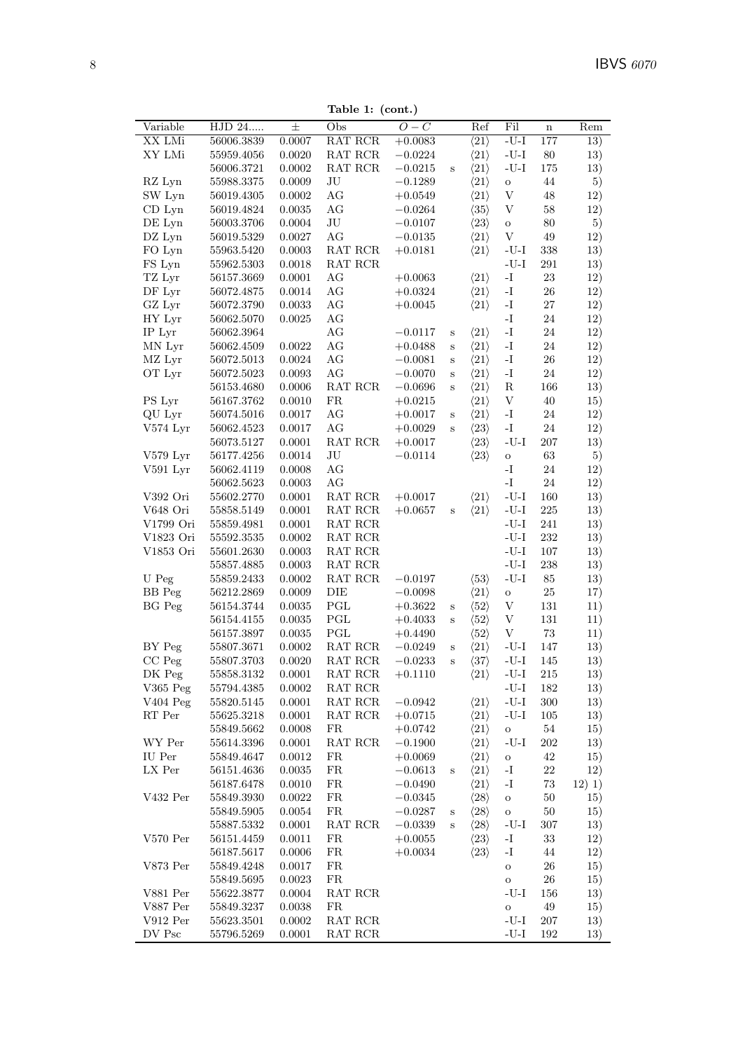Table 1: (cont.)

|               |            |               | rapic 1. $\mu$                            |                  |              |                      |                                        |             |        |
|---------------|------------|---------------|-------------------------------------------|------------------|--------------|----------------------|----------------------------------------|-------------|--------|
| Variable      | HJD 24     | $\pm$         | Obs                                       | $\overline{O-C}$ |              | Ref                  | Fil                                    | $\mathbf n$ | Rem    |
| XX LMi        | 56006.3839 | 0.0007        | RAT RCR                                   | $+0.0083$        |              | $\langle 21 \rangle$ | $\mbox{-}\mathrm{U}\mbox{-}\mathrm{I}$ | 177         | 13)    |
| XY LMi        | 55959.4056 | 0.0020        | RAT RCR                                   | $-0.0224$        |              | $\langle 21 \rangle$ | $\mbox{-}\mathrm{U}\mbox{-}\mathrm{I}$ | $80\,$      | 13)    |
|               | 56006.3721 | 0.0002        | RAT RCR                                   | $-0.0215$        | $\, {\bf S}$ | $\langle 21 \rangle$ | $\mbox{-}\mathrm{U}\mbox{-}\mathrm{I}$ | $175\,$     | 13)    |
| RZ Lyn        | 55988.3375 | 0.0009        | $\rm{J}U$                                 | $-0.1289$        |              | $\langle 21 \rangle$ | $\rm{O}$                               | $44\,$      | 5)     |
| SW Lyn        | 56019.4305 | 0.0002        | AG                                        | $+0.0549$        |              | $\langle 21 \rangle$ | $\ensuremath{\mathbf{V}}$              | $48\,$      | 12)    |
| $CD$ Lyn      | 56019.4824 | 0.0035        | AG                                        | $-0.0264$        |              | $\langle 35 \rangle$ | $\ensuremath{\mathbf{V}}$              | $58\,$      | 12)    |
| DE Lyn        | 56003.3706 | $0.0004\,$    | $\rm{J}U$                                 | $-0.0107$        |              | $\langle 23 \rangle$ | $\rm{O}$                               | $80\,$      | 5)     |
| DZ Lyn        | 56019.5329 | 0.0027        | AG                                        | $-0.0135$        |              | $\langle 21 \rangle$ | $\ensuremath{\mathbf{V}}$              | $49\,$      | 12)    |
| FO Lyn        | 55963.5420 | 0.0003        | RAT RCR                                   | $+0.0181$        |              | $\langle 21 \rangle$ | $\mbox{-}\mathrm{U}\mbox{-}\mathrm{I}$ | 338         | 13)    |
| FS Lyn        | 55962.5303 | 0.0018        | $\operatorname{RAT}$ $\operatorname{RCR}$ |                  |              |                      | $\mbox{-}\mathrm{U}\mbox{-}\mathrm{I}$ | 291         | 13)    |
|               |            |               |                                           |                  |              |                      |                                        |             |        |
| TZ Lyr        | 56157.3669 | 0.0001        | AG                                        | $+0.0063$        |              | $\langle 21 \rangle$ | $\mathbf{I}$ –                         | $23\,$      | 12)    |
| DF Lyr        | 56072.4875 | 0.0014        | AG                                        | $+0.0324$        |              | $\langle 21 \rangle$ | $\mathbf{I}$                           | $26\,$      | 12)    |
| GZ Lyr        | 56072.3790 | 0.0033        | $\rm{AG}$                                 | $+0.0045$        |              | $\langle 21 \rangle$ | $\mathbf{I}$                           | $27\,$      | 12)    |
| HY Lyr        | 56062.5070 | 0.0025        | AG                                        |                  |              |                      | $\mathbf{I}$ .                         | $24\,$      | 12)    |
| IP Lyr        | 56062.3964 |               | $\rm{AG}$                                 | $-0.0117$        | $\rm S$      | $\langle 21 \rangle$ | $\mathbf{-I}$                          | $24\,$      | 12)    |
| MN Lyr        | 56062.4509 | 0.0022        | $\rm{AG}$                                 | $+0.0488$        | $\rm S$      | $\langle 21 \rangle$ | $\mathbf{-I}$                          | $24\,$      | 12)    |
| MZ Lyr        | 56072.5013 | 0.0024        | AG                                        | $-0.0081$        | $\rm S$      | $\langle 21 \rangle$ | $\mathbf{-I}$                          | $26\,$      | 12)    |
| OT Lyr        | 56072.5023 | 0.0093        | AG                                        | $-0.0070$        | $\rm s$      | $\langle 21 \rangle$ | $\mathbf{I}$                           | $24\,$      | 12)    |
|               | 56153.4680 | $0.0006\,$    | RAT RCR                                   | $-0.0696$        | $\rm S$      | $\langle 21 \rangle$ | ${\bf R}$                              | 166         | 13)    |
| PS Lyr        | 56167.3762 | 0.0010        | ${\rm FR}$                                | $+0.0215$        |              | $\langle 21 \rangle$ | $\ensuremath{\mathbf{V}}$              | $40\,$      | 15)    |
| QU Lyr        | 56074.5016 | 0.0017        | AG                                        | $+0.0017$        | $\, {\bf S}$ | $\langle 21 \rangle$ | $\mathbf{I}$ .                         | $24\,$      | 12)    |
| V574 Lyr      | 56062.4523 | 0.0017        | AG                                        | $+0.0029$        | $\, {\bf S}$ | $\langle 23 \rangle$ | $\mathbf{-I}$                          | $24\,$      | 12)    |
|               | 56073.5127 | 0.0001        | RAT RCR                                   | $+0.0017$        |              | $\langle 23 \rangle$ | $\mbox{-}\mathrm{U}\mbox{-}\mathrm{I}$ | $207\,$     | 13)    |
|               |            |               |                                           |                  |              |                      |                                        | $63\,$      |        |
| V579 Lyr      | 56177.4256 | 0.0014        | $\rm{J}U$                                 | $-0.0114$        |              | $\langle 23 \rangle$ | $\mathbf O$                            |             | 5)     |
| V591 Lyr      | 56062.4119 | 0.0008        | AG                                        |                  |              |                      | $\mathbf{I}$ .                         | $24\,$      | 12)    |
|               | 56062.5623 | 0.0003        | AG                                        |                  |              |                      | $\mathbf{-I}$                          | $24\,$      | 12)    |
| V392 Ori      | 55602.2770 | 0.0001        | RAT RCR                                   | $+0.0017$        |              | $\langle 21 \rangle$ | $\mbox{-}\mathrm{U}\mbox{-}\mathrm{I}$ | 160         | 13)    |
| V648 Ori      | 55858.5149 | 0.0001        | RAT RCR                                   | $+0.0657$        | S            | $\langle 21 \rangle$ | $-U-I$                                 | $225\,$     | 13)    |
| V1799 Ori     | 55859.4981 | 0.0001        | RAT RCR                                   |                  |              |                      | $-U-I$                                 | $241\,$     | 13)    |
| V1823 Ori     | 55592.3535 | $0.0002\,$    | $\operatorname{RAT}$ $\operatorname{RCR}$ |                  |              |                      | $-I-J-$                                | $232\,$     | 13)    |
| V1853 Ori     | 55601.2630 | 0.0003        | RAT RCR                                   |                  |              |                      | $\mbox{-}\mathrm{U}\mbox{-}\mathrm{I}$ | $107\,$     | 13)    |
|               | 55857.4885 | 0.0003        | $\operatorname{RAT}$ $\operatorname{RCR}$ |                  |              |                      | $\mbox{-}\mathrm{U}\mbox{-}\mathrm{I}$ | $\,238$     | 13)    |
| U Peg         | 55859.2433 | 0.0002        | RAT RCR                                   | $-0.0197$        |              | $\langle 53 \rangle$ | $\mbox{-}\mathrm{U}\mbox{-}\mathrm{I}$ | $85\,$      | 13)    |
| <b>BB</b> Peg | 56212.2869 | 0.0009        | DIE                                       | $-0.0098$        |              | $\langle 21 \rangle$ | $\rm{O}$                               | $25\,$      | 17)    |
| BG Peg        | 56154.3744 | 0.0035        | PGL                                       | $+0.3622$        | $\rm S$      | $\langle 52 \rangle$ | V                                      | $131\,$     | 11)    |
|               | 56154.4155 | $\, 0.0035\,$ | PGL                                       | $+0.4033$        | $\rm S$      | $\langle 52 \rangle$ | $\mathbf V$                            | $131\,$     | 11)    |
|               | 56157.3897 | 0.0035        | $\operatorname{PGL}$                      | $+0.4490$        |              | $\langle 52 \rangle$ | $\ensuremath{\mathbf{V}}$              | $73\,$      | 11)    |
| BY Peg        | 55807.3671 | 0.0002        | RAT RCR                                   | $-0.0249$        | $\mathbf S$  | $\langle 21 \rangle$ | $\mbox{-}\mathrm{U}\mbox{-}\mathrm{I}$ | 147         | 13)    |
| $CC$ Peg      | 55807.3703 | 0.0020        | $\operatorname{RAT}$ $\operatorname{RCR}$ | $-0.0233$        | $\, {\bf S}$ | $\langle 37 \rangle$ | $\mbox{-}\mathrm{U}\mbox{-}\mathrm{I}$ | 145         | 13)    |
|               |            |               |                                           |                  |              |                      |                                        |             |        |
| DK Peg        | 55858.3132 | 0.0001        | RAT RCR                                   | $+0.1110$        |              | $\langle 21 \rangle$ | -U-I                                   | 215         | 13)    |
| V365 Peg      | 55794.4385 | 0.0002        | RAT RCR                                   |                  |              |                      | $-U-I$                                 | 182         | 13)    |
| V404 Peg      | 55820.5145 | 0.0001        | RAT RCR                                   | $-0.0942$        |              | $\langle 21 \rangle$ | $\mbox{-}\mathrm{U}\mbox{-}\mathrm{I}$ | $300\,$     | 13)    |
| RT Per        | 55625.3218 | 0.0001        | RAT RCR                                   | $+0.0715$        |              | $\langle 21 \rangle$ | $-U-I$                                 | 105         | 13)    |
|               | 55849.5662 | 0.0008        | FR                                        | $+0.0742$        |              | $\langle 21 \rangle$ | $\mathbf O$                            | $54\,$      | 15)    |
| WY Per        | 55614.3396 | 0.0001        | RAT RCR                                   | $-0.1900$        |              | $\langle 21 \rangle$ | $-U-I$                                 | 202         | 13)    |
| IU Per        | 55849.4647 | 0.0012        | FR                                        | $+0.0069$        |              | $\langle 21 \rangle$ | $\mathbf O$                            | $42\,$      | 15)    |
| LX Per        | 56151.4636 | 0.0035        | FR                                        | $-0.0613$        | $\rm S$      | $\langle 21 \rangle$ | $\mathbf{-I}$                          | $22\,$      | 12)    |
|               | 56187.6478 | 0.0010        | FR                                        | $-0.0490$        |              | $\langle 21 \rangle$ | $\mathbf{I}$ –                         | $73\,$      | 12) 1) |
| V432 Per      | 55849.3930 | 0.0022        | ${\rm FR}$                                | $-0.0345$        |              | $\langle 28 \rangle$ | $\rm{O}$                               | $50\,$      | 15)    |
|               | 55849.5905 | 0.0054        | FR                                        | $-0.0287$        | $\mathbf S$  | $\langle 28 \rangle$ | $\mathbf O$                            | $50\,$      | 15)    |
|               | 55887.5332 | 0.0001        | RAT RCR                                   | $-0.0339$        | $\, {\bf S}$ | $\langle 28 \rangle$ | $-U-I$                                 | 307         | 13)    |
| $V570$ Per    | 56151.4459 | 0.0011        | FR                                        | $+0.0055$        |              | $\langle 23 \rangle$ | $\mathbf{I}$                           | $33\,$      | 12)    |
|               | 56187.5617 | 0.0006        | FR                                        | $+0.0034$        |              | $\langle 23 \rangle$ | $\mathbf{I}$ .                         | $\rm 44$    | 12)    |
| V873 Per      | 55849.4248 | 0.0017        | FR                                        |                  |              |                      |                                        | 26          |        |
|               |            |               |                                           |                  |              |                      | $\mathbf O$                            |             | 15)    |
|               | 55849.5695 | 0.0023        | FR                                        |                  |              |                      | $\mathbf O$                            | 26          | 15)    |
| V881 Per      | 55622.3877 | 0.0004        | RAT RCR                                   |                  |              |                      | $-U-I$                                 | 156         | 13)    |
| V887 Per      | 55849.3237 | 0.0038        | FR                                        |                  |              |                      | $\mathbf O$                            | $\rm 49$    | 15)    |
| $V912$ Per    | 55623.3501 | 0.0002        | RAT RCR                                   |                  |              |                      | $-U-I$                                 | <b>207</b>  | 13)    |
| DV Psc        | 55796.5269 | 0.0001        | RAT RCR                                   |                  |              |                      | $\mbox{-}\mathrm{U}\mbox{-}\mathrm{I}$ | 192         | 13)    |
|               |            |               |                                           |                  |              |                      |                                        |             |        |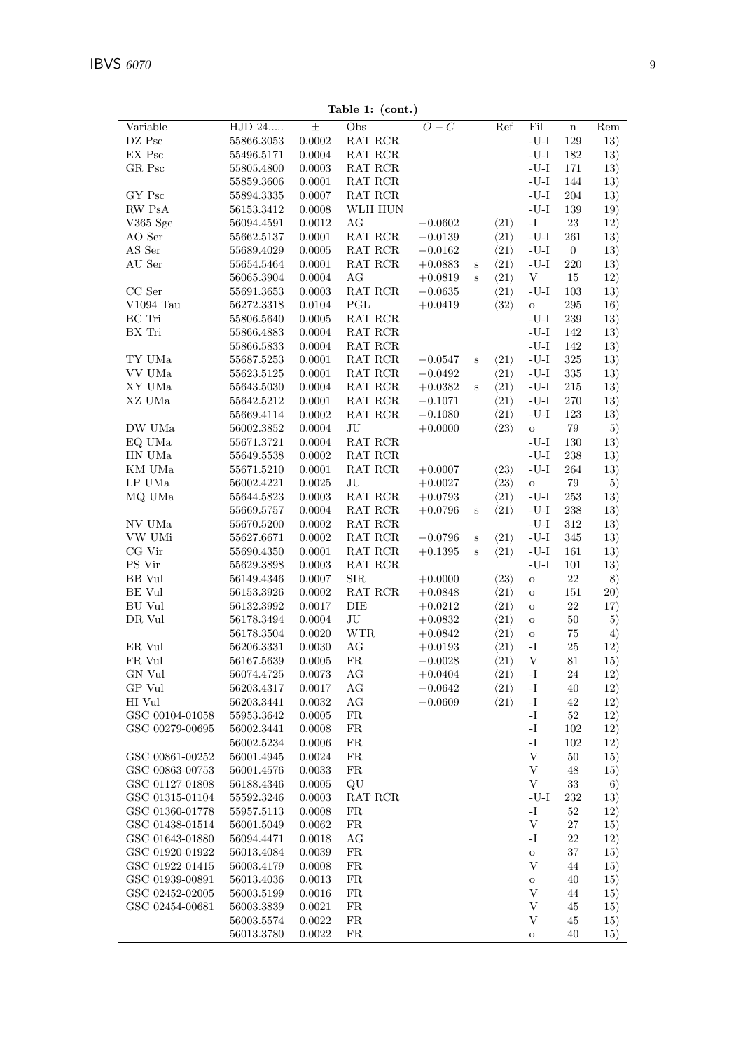| Variable        | HJD 24         | $\pm$        | Obs                                       | $O-C$     |              | Ref                  | Fil                                        | $\bf n$          | $\overline{\text{Rem}}$ |
|-----------------|----------------|--------------|-------------------------------------------|-----------|--------------|----------------------|--------------------------------------------|------------------|-------------------------|
| DZ Psc          | 55866.3053     | 0.0002       | RAT RCR                                   |           |              |                      | $-U-I$                                     | 129              | 13)                     |
| EX Psc          | $55496.5171\,$ | 0.0004       | $\operatorname{RAT}$ $\operatorname{RCR}$ |           |              |                      | $\mbox{-}\mathrm{U}\mbox{-}\mathrm{I}$     | 182              | 13)                     |
| GR Psc          | 55805.4800     | $0.0003\,$   | RAT RCR                                   |           |              |                      | $-I-J-$                                    | 171              | 13)                     |
|                 | 55859.3606     | 0.0001       | $\operatorname{RAT}$ $\operatorname{RCR}$ |           |              |                      | $-I-J-$                                    | 144              | 13)                     |
| GY Psc          | 55894.3335     | 0.0007       | RAT RCR                                   |           |              |                      | $-U-I$                                     | 204              | 13)                     |
| RW PsA          | 56153.3412     | 0.0008       | WLH HUN                                   |           |              |                      | $\mbox{-}\mathrm{U}\mbox{-}\mathrm{I}$     | 139              | 19)                     |
| V365 Sge        | 56094.4591     | 0.0012       | AG                                        | $-0.0602$ |              | $\langle 21 \rangle$ | $\mathbf{I}$ -                             | $23\,$           | 12)                     |
| AO Ser          | 55662.5137     | 0.0001       | RAT RCR                                   | $-0.0139$ |              | $\langle 21 \rangle$ | $\mbox{-}\mathrm{U}\mbox{-}\mathrm{I}$     | 261              | 13)                     |
| AS Ser          | 55689.4029     | 0.0005       | RAT RCR                                   | $-0.0162$ |              | $\langle 21 \rangle$ | $-U-I$                                     | $\boldsymbol{0}$ | 13)                     |
| AU Ser          | 55654.5464     | $0.0001\,$   | $\operatorname{RAT}$ $\operatorname{RCR}$ | $+0.0883$ | $\mathbf S$  | $\langle 21 \rangle$ | $-U-I$                                     | 220              | 13)                     |
|                 | 56065.3904     | 0.0004       | $\rm{AG}$                                 | $+0.0819$ | $\, {\bf S}$ | $\langle 21 \rangle$ | $\ensuremath{\mathbf{V}}$                  | $15\,$           | 12)                     |
| $CC$ Ser        | 55691.3653     | $\,0.0003\,$ | RAT RCR                                   | $-0.0635$ |              | $\langle 21 \rangle$ | $\mbox{-}\mathrm{U}\mbox{-}\mathrm{I}$     | 103              | 13)                     |
| $V1094$ Tau     | 56272.3318     | 0.0104       | PGL                                       | $+0.0419$ |              | $\langle 32 \rangle$ | $\mathbf O$                                | $\,295$          | 16)                     |
| BC Tri          |                | $0.0005\,$   | RAT RCR                                   |           |              |                      | $-U-I$                                     | $\,239$          | 13)                     |
|                 | 55806.5640     |              |                                           |           |              |                      | $-I-J-$                                    |                  |                         |
| BX Tri          | 55866.4883     | $0.0004\,$   | RAT RCR                                   |           |              |                      |                                            | 142              | 13)                     |
|                 | 55866.5833     | 0.0004       | RAT RCR                                   |           |              |                      | $-U-I$                                     | 142              | 13)                     |
| TY UMa          | 55687.5253     | 0.0001       | RAT RCR                                   | $-0.0547$ | $\mathbf S$  | $\langle 21 \rangle$ | $\mbox{-}\mathrm{U}\mbox{-}\mathrm{I}$     | 325              | 13)                     |
| VV UMa          | 55623.5125     | 0.0001       | $\operatorname{RAT}$ $\operatorname{RCR}$ | $-0.0492$ |              | $\langle 21 \rangle$ | $\mbox{-}\mathrm{U}\mbox{-}\mathrm{I}$     | $335\,$          | 13)                     |
| XY UMa          | 55643.5030     | 0.0004       | $\operatorname{RAT}$ $\operatorname{RCR}$ | $+0.0382$ | $\, {\bf S}$ | $\langle 21 \rangle$ | $-U-I$                                     | $215\,$          | 13)                     |
| XZ UMa          | 55642.5212     | 0.0001       | RAT RCR                                   | $-0.1071$ |              | $\langle 21 \rangle$ | $-U-I$                                     | $270\,$          | 13)                     |
|                 | 55669.4114     | $0.0002\,$   | $\operatorname{RAT}$ $\operatorname{RCR}$ | $-0.1080$ |              | $\langle 21 \rangle$ | $\mbox{-}\mathrm{U}\mbox{-}\mathrm{I}$     | 123              | 13)                     |
| DW UMa          | 56002.3852     | 0.0004       | JU                                        | $+0.0000$ |              | $\langle 23 \rangle$ | $\mathbf{o}$                               | $79\,$           | 5)                      |
| EQ UMa          | 55671.3721     | 0.0004       | RAT RCR                                   |           |              |                      | $-I-J-$                                    | 130              | 13)                     |
| HN UMa          | 55649.5538     | $0.0002\,$   | $\operatorname{RAT}$ $\operatorname{RCR}$ |           |              |                      | $\mbox{-}\mathrm{U}\mbox{-}\mathrm{I}$     | 238              | 13)                     |
| KM UMa          | 55671.5210     | 0.0001       | RAT RCR                                   | $+0.0007$ |              | $\langle 23 \rangle$ | $-U-I$                                     | $264\,$          | 13)                     |
| LP UMa          | 56002.4221     | 0.0025       | $\rm{J}U$                                 | $+0.0027$ |              | $\langle 23 \rangle$ | $\mathbf O$                                | $79\,$           | 5)                      |
| MQ UMa          | 55644.5823     | 0.0003       | RAT RCR                                   | $+0.0793$ |              | $\langle 21 \rangle$ | $-U-I$                                     | 253              | 13)                     |
|                 | 55669.5757     | 0.0004       | RAT RCR                                   | $+0.0796$ | $\mathbf S$  | $\langle 21 \rangle$ | $-U-I$                                     | $\,238$          | 13)                     |
| NV UMa          | 55670.5200     | $0.0002\,$   | RAT RCR                                   |           |              |                      | $-U-I$                                     | 312              | 13)                     |
| VW UMi          | 55627.6671     | 0.0002       | $\operatorname{RAT}$ $\operatorname{RCR}$ | $-0.0796$ | $\, {\bf S}$ | $\langle 21 \rangle$ | $-U-I$                                     | 345              | 13)                     |
| CG Vir          | 55690.4350     | 0.0001       | $\operatorname{RAT}$ $\operatorname{RCR}$ | $+0.1395$ | $\, {\bf S}$ | $\langle 21 \rangle$ | $-U-I$                                     | $161\,$          | 13)                     |
| PS Vir          | 55629.3898     | 0.0003       | $\operatorname{RAT}$ $\operatorname{RCR}$ |           |              |                      | $\mbox{-}\mathrm{U}\mbox{-}\mathrm{I}$     | $101\,$          | 13)                     |
| <b>BB</b> Vul   | 56149.4346     | 0.0007       | ${\rm SIR}$                               | $+0.0000$ |              | $\langle 23 \rangle$ | $\rm{O}$                                   | $22\,$           | 8)                      |
| BE Vul          | 56153.3926     | 0.0002       | RAT RCR                                   | $+0.0848$ |              | $\langle 21 \rangle$ | $\mathbf O$                                | 151              | 20)                     |
| <b>BU</b> Vul   | 56132.3992     | 0.0017       | DIE                                       | $+0.0212$ |              | $\langle 21 \rangle$ | $\rm{O}$                                   | 22               | 17)                     |
| DR Vul          | 56178.3494     | 0.0004       | $\rm{J}U$                                 | $+0.0832$ |              | $\langle 21 \rangle$ | $\mathbf O$                                | $50\,$           | 5)                      |
|                 |                | 0.0020       | <b>WTR</b>                                |           |              |                      |                                            | $75\,$           |                         |
|                 | 56178.3504     |              |                                           | $+0.0842$ |              | $\langle 21 \rangle$ | $\mathbf O$                                |                  | 4)                      |
| ER Vul          | $56206.3331\,$ | 0.0030       | AG                                        | $+0.0193$ |              | $\langle 21 \rangle$ | $\mathbf{I}-$<br>$\ensuremath{\mathbf{V}}$ | 25               | 12)                     |
| FR Vul          | 56167.5639     | 0.0005       | FR                                        | $-0.0028$ |              | $\langle 21 \rangle$ |                                            | 81               | 15)                     |
| GN Vul          | 56074.4725     | $\,0.0073\,$ | AG                                        | $+0.0404$ |              | $\langle 21 \rangle$ | $\mathbf{-I}$                              | 24               | 12)                     |
| GP Vul          | 56203.4317     | $0.0017\,$   | AG                                        | $-0.0642$ |              | $\langle 21 \rangle$ | $\mathbf{I}$ -                             | 40               | 12)                     |
| HI Vul          | 56203.3441     | 0.0032       | AG                                        | $-0.0609$ |              | $\langle 21 \rangle$ | $\mathbf{-I}$                              | 42               | 12)                     |
| GSC 00104-01058 | 55953.3642     | $0.0005\,$   | ${\rm FR}$                                |           |              |                      | -I                                         | $52\,$           | 12)                     |
| GSC 00279-00695 | 56002.3441     | 0.0008       | FR                                        |           |              |                      | $\mathbf{I}$ .                             | 102              | 12)                     |
|                 | 56002.5234     | 0.0006       | FR                                        |           |              |                      | $\mathbf{I}$ -                             | 102              | 12)                     |
| GSC 00861-00252 | 56001.4945     | 0.0024       | FR                                        |           |              |                      | $\ensuremath{\mathbf{V}}$                  | 50               | 15)                     |
| GSC 00863-00753 | 56001.4576     | 0.0033       | FR                                        |           |              |                      | $\ensuremath{\mathbf{V}}$                  | 48               | 15)                     |
| GSC 01127-01808 | 56188.4346     | 0.0005       | QU                                        |           |              |                      | $\boldsymbol{\mathrm{V}}$                  | 33               | 6)                      |
| GSC 01315-01104 | 55592.3246     | 0.0003       | RAT RCR                                   |           |              |                      | $-U-I$                                     | $232\,$          | 13)                     |
| GSC 01360-01778 | 55957.5113     | 0.0008       | FR                                        |           |              |                      | $I-$                                       | $52\,$           | 12)                     |
| GSC 01438-01514 | 56001.5049     | 0.0062       | FR                                        |           |              |                      | $\ensuremath{\mathbf{V}}$                  | 27               | 15)                     |
| GSC 01643-01880 | 56094.4471     | 0.0018       | AG                                        |           |              |                      | $\mathbf{I}$ –                             | 22               | 12)                     |
| GSC 01920-01922 | 56013.4084     | 0.0039       | FR                                        |           |              |                      | $\rm{O}$                                   | 37               | 15)                     |
| GSC 01922-01415 | 56003.4179     | 0.0008       | FR                                        |           |              |                      | $\mathbf{V}$                               | 44               | 15)                     |
| GSC 01939-00891 | 56013.4036     | $\,0.0013\,$ | ${\rm FR}$                                |           |              |                      | $\mathbf O$                                | 40               | 15)                     |
| GSC 02452-02005 | 56003.5199     | 0.0016       | FR                                        |           |              |                      | V                                          | 44               | 15)                     |
| GSC 02454-00681 | 56003.3839     | 0.0021       | FR                                        |           |              |                      | $\mathbf{V}$                               | 45               | 15)                     |
|                 | 56003.5574     | $0.0022\,$   | FR                                        |           |              |                      | $\boldsymbol{\mathrm{V}}$                  | 45               | 15)                     |
|                 |                |              |                                           |           |              |                      |                                            |                  |                         |

 $Table 1: (cont.)$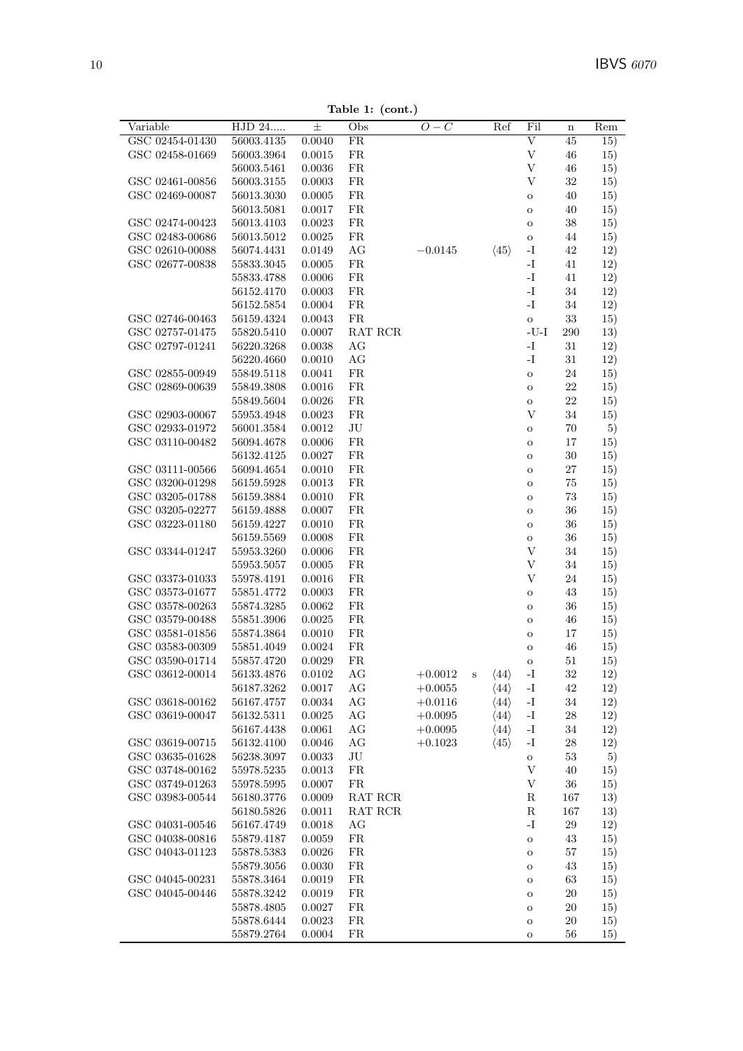**Table 1: (cont.)**

| Variable        | HJD 24         | $\pm$       | Obs         | $O-C$     |   | Ref                  | Fil                                    | $\mathbf n$ | Rem |
|-----------------|----------------|-------------|-------------|-----------|---|----------------------|----------------------------------------|-------------|-----|
| GSC 02454-01430 | 56003.4135     | 0.0040      | FR          |           |   |                      | $\overline{\mathrm{V}}$                | 45          | 15) |
| GSC 02458-01669 | 56003.3964     | 0.0015      | FR          |           |   |                      | $\ensuremath{\mathbf{V}}$              | 46          | 15) |
|                 | 56003.5461     | 0.0036      | ${\rm FR}$  |           |   |                      | $\boldsymbol{\mathrm{V}}$              | 46          | 15) |
| GSC 02461-00856 | 56003.3155     | 0.0003      | FR          |           |   |                      | V                                      | $32\,$      | 15) |
| GSC 02469-00087 | 56013.3030     | 0.0005      | ${\rm FR}$  |           |   |                      | $\mathbf O$                            | 40          | 15) |
|                 | 56013.5081     | 0.0017      | FR          |           |   |                      | $\mathbf O$                            | 40          | 15) |
| GSC 02474-00423 | 56013.4103     | 0.0023      | ${\rm FR}$  |           |   |                      | $\mathbf O$                            | 38          | 15) |
| GSC 02483-00686 | 56013.5012     | 0.0025      | ${\rm FR}$  |           |   |                      | $\mathbf O$                            | 44          | 15) |
| GSC 02610-00088 | 56074.4431     | 0.0149      | AG          | $-0.0145$ |   | $\langle 45 \rangle$ | $\mathbf{I}$ –                         | 42          | 12) |
| GSC 02677-00838 | $55833.3045\,$ | 0.0005      | FR          |           |   |                      | $\mathbf{I}$ .                         | 41          | 12) |
|                 | 55833.4788     | 0.0006      | ${\rm FR}$  |           |   |                      | $\mathbf{I}-$                          | 41          | 12) |
|                 | 56152.4170     | 0.0003      | FR          |           |   |                      | $\mathbf{I}-$                          | 34          | 12) |
|                 | 56152.5854     | 0.0004      | ${\rm FR}$  |           |   |                      | $\mathbf{I}$ .                         | $34\,$      | 12) |
| GSC 02746-00463 | 56159.4324     | 0.0043      | FR          |           |   |                      | $\mathbf{o}$                           | 33          | 15) |
| GSC 02757-01475 | 55820.5410     | 0.0007      | RAT RCR     |           |   |                      | $\mbox{-}\mathrm{U}\mbox{-}\mathrm{I}$ | 290         | 13) |
| GSC 02797-01241 | 56220.3268     | 0.0038      | AG          |           |   |                      | $\mathbf{I}$ .                         | 31          | 12) |
|                 | 56220.4660     | 0.0010      | AG          |           |   |                      | $\mathbf{I}$ .                         | 31          | 12) |
| GSC 02855-00949 | 55849.5118     | 0.0041      | FR          |           |   |                      | $\mathbf{o}$                           | $24\,$      | 15) |
| GSC 02869-00639 | 55849.3808     | 0.0016      | ${\rm FR}$  |           |   |                      | $\mathbf O$                            | $22\,$      | 15) |
|                 | 55849.5604     | 0.0026      | ${\rm FR}$  |           |   |                      | $\mathbf O$                            | 22          | 15) |
| GSC 02903-00067 | 55953.4948     | 0.0023      | FR          |           |   |                      | $\ensuremath{\mathbf{V}}$              | $34\,$      | 15) |
| GSC 02933-01972 | $56001.3584\,$ | 0.0012      | JU          |           |   |                      | $\mathbf O$                            | 70          | 5)  |
| GSC 03110-00482 | 56094.4678     | 0.0006      | FR          |           |   |                      | $\rm{O}$                               | 17          | 15) |
|                 | 56132.4125     | 0.0027      | $_{\rm FR}$ |           |   |                      |                                        | $30\,$      |     |
| GSC 03111-00566 | 56094.4654     | 0.0010      | FR          |           |   |                      | $\mathbf O$                            | $27\,$      | 15) |
| GSC 03200-01298 | 56159.5928     | 0.0013      | ${\rm FR}$  |           |   |                      | $\mathbf O$                            | 75          | 15) |
| GSC 03205-01788 | 56159.3884     | 0.0010      | FR          |           |   |                      | $\mathbf O$                            | 73          | 15) |
| GSC 03205-02277 |                | 0.0007      | ${\rm FR}$  |           |   |                      | $\mathbf O$                            | 36          | 15) |
|                 | 56159.4888     |             | ${\rm FR}$  |           |   |                      | $\mathbf O$                            |             | 15) |
| GSC 03223-01180 | 56159.4227     | 0.0010      |             |           |   |                      | $\mathbf O$                            | 36          | 15) |
|                 | 56159.5569     | 0.0008      | ${\rm FR}$  |           |   |                      | $\mathbf O$                            | 36          | 15) |
| GSC 03344-01247 | 55953.3260     | 0.0006      | ${\rm FR}$  |           |   |                      | $\ensuremath{\mathbf{V}}$              | $34\,$      | 15) |
|                 | 55953.5057     | 0.0005      | ${\rm FR}$  |           |   |                      | $\ensuremath{\mathbf{V}}$              | $34\,$      | 15) |
| GSC 03373-01033 | 55978.4191     | 0.0016      | FR          |           |   |                      | $\ensuremath{\mathbf{V}}$              | $24\,$      | 15) |
| GSC 03573-01677 | 55851.4772     | 0.0003      | ${\rm FR}$  |           |   |                      | $\mathbf O$                            | 43          | 15) |
| GSC 03578-00263 | 55874.3285     | 0.0062      | $_{\rm FR}$ |           |   |                      | $\mathbf O$                            | 36          | 15) |
| GSC 03579-00488 | 55851.3906     | 0.0025      | FR          |           |   |                      | $\mathbf O$                            | 46          | 15) |
| GSC 03581-01856 | 55874.3864     | 0.0010      | FR          |           |   |                      | $\mathbf O$                            | 17          | 15) |
| GSC 03583-00309 | 55851.4049     | 0.0024      | $_{\rm FR}$ |           |   |                      | $\mathbf O$                            | 46          | 15) |
| GSC 03590-01714 | 55857.4720     | 0.0029      | <b>FR</b>   |           |   |                      | $\mathbf O$                            | 51          | 15) |
| GSC 03612-00014 | $56133.4876\,$ | $0.0102$ AG |             | $+0.0012$ | S | $\langle 44 \rangle$ | $\mathbf{I}$ .                         | 32          | 12) |
|                 | 56187.3262     | 0.0017      | AG          | $+0.0055$ |   | $\langle 44 \rangle$ | -I                                     | 42          | 12) |
| GSC 03618-00162 | 56167.4757     | 0.0034      | AG          | $+0.0116$ |   | $\langle 44 \rangle$ | $\mathbf{-I}$                          | 34          | 12) |
| GSC 03619-00047 | 56132.5311     | 0.0025      | AG          | $+0.0095$ |   | $\langle 44 \rangle$ | $\mathbf{-I}$                          | 28          | 12) |
|                 | 56167.4438     | 0.0061      | AG          | $+0.0095$ |   | $\langle 44 \rangle$ | -I                                     | 34          | 12) |
| GSC 03619-00715 | 56132.4100     | 0.0046      | AG          | $+0.1023$ |   | $\langle 45 \rangle$ | $\mathbf{I}$                           | $\sqrt{28}$ | 12) |
| GSC 03635-01628 | 56238.3097     | 0.0033      | $\rm JU$    |           |   |                      | $\mathbf O$                            | 53          | 5)  |
| GSC 03748-00162 | 55978.5235     | 0.0013      | ${\rm FR}$  |           |   |                      | V                                      | 40          | 15) |
| GSC 03749-01263 | 55978.5995     | 0.0007      | FR          |           |   |                      | $\ensuremath{\mathbf{V}}$              | 36          | 15) |
| GSC 03983-00544 | 56180.3776     | 0.0009      | RAT RCR     |           |   |                      | R                                      | 167         | 13) |
|                 | 56180.5826     | 0.0011      | RAT RCR     |           |   |                      | $\mathbf R$                            | 167         | 13) |
| GSC 04031-00546 | 56167.4749     | 0.0018      | AG          |           |   |                      | $\mathbf{I}$ –                         | $\,29$      | 12) |
| GSC 04038-00816 | 55879.4187     | 0.0059      | FR          |           |   |                      | $\mathbf O$                            | 43          | 15) |
| GSC 04043-01123 | $55878.5383\,$ | 0.0026      | FR          |           |   |                      | $\rm{O}$                               | 57          | 15) |
|                 | 55879.3056     | 0.0030      | FR          |           |   |                      | $\rm{O}$                               | 43          | 15) |
| GSC 04045-00231 | 55878.3464     | 0.0019      | FR          |           |   |                      | $\mathbf O$                            | 63          | 15) |
| GSC 04045-00446 | 55878.3242     | 0.0019      | FR          |           |   |                      | $\mathbf O$                            | 20          | 15) |
|                 | 55878.4805     | 0.0027      | FR          |           |   |                      | $\mathbf O$                            | $20\,$      | 15) |
|                 | 55878.6444     | 0.0023      | ${\rm FR}$  |           |   |                      | $\mathbf O$                            | $20\,$      | 15) |
|                 | 55879.2764     | 0.0004      | FR          |           |   |                      | $\mathbf O$                            | 56          | 15) |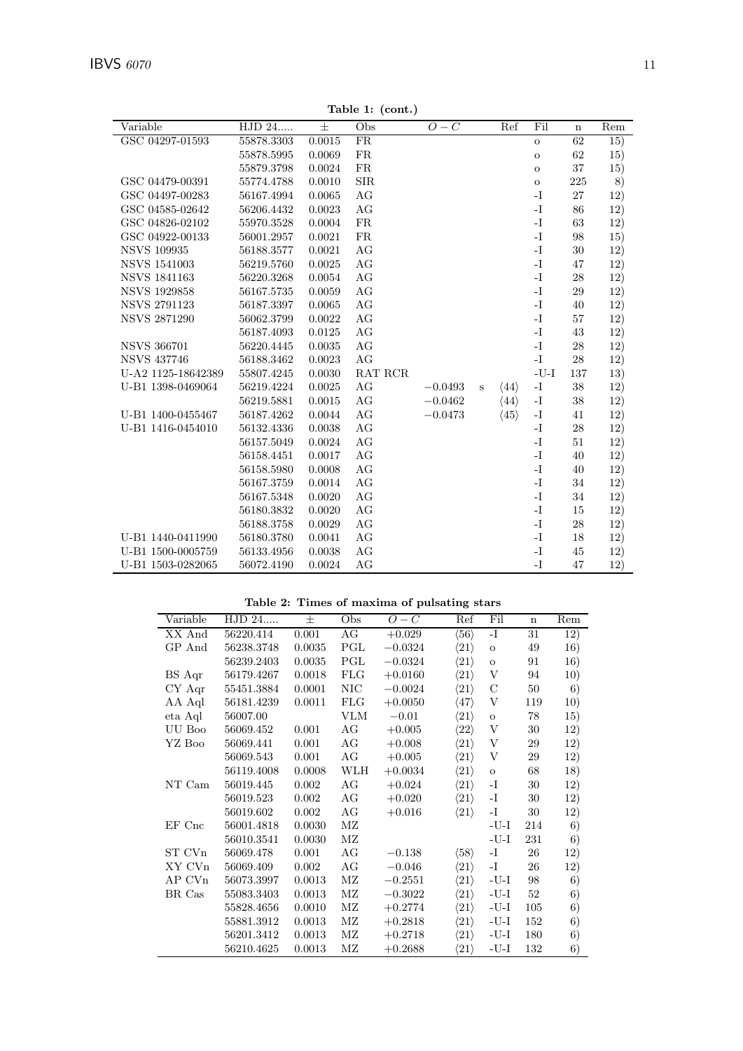| Variable            | HJD 24     | $\pm$  | Obs        | $O-C$     |   | Ref                  | Fil            | $\mathbf n$ | Rem             |
|---------------------|------------|--------|------------|-----------|---|----------------------|----------------|-------------|-----------------|
| GSC 04297-01593     | 55878.3303 | 0.0015 | ${\rm FR}$ |           |   |                      | $\mathbf{o}$   | 62          | $\overline{15}$ |
|                     | 55878.5995 | 0.0069 | FR         |           |   |                      | $\mathbf{o}$   | 62          | 15)             |
|                     | 55879.3798 | 0.0024 | FR         |           |   |                      | $\mathbf{o}$   | 37          | 15)             |
| GSC 04479-00391     | 55774.4788 | 0.0010 | SIR        |           |   |                      | $\mathbf O$    | $225\,$     | 8)              |
| GSC 04497-00283     | 56167.4994 | 0.0065 | $\rm{AG}$  |           |   |                      | $-I$           | $27\,$      | 12)             |
| GSC 04585-02642     | 56206.4432 | 0.0023 | AG         |           |   |                      | -I             | 86          | 12)             |
| GSC 04826-02102     | 55970.3528 | 0.0004 | ${\rm FR}$ |           |   |                      | $\mathbf{I}$   | 63          | 12)             |
| GSC 04922-00133     | 56001.2957 | 0.0021 | FR         |           |   |                      | $\mathbf{I}$   | 98          | 15)             |
| <b>NSVS 109935</b>  | 56188.3577 | 0.0021 | $\rm{AG}$  |           |   |                      | $\mathbf{I}$ – | 30          | 12)             |
| NSVS 1541003        | 56219.5760 | 0.0025 | AG         |           |   |                      | $\mathbf{I}$ . | 47          | 12)             |
| <b>NSVS 1841163</b> | 56220.3268 | 0.0054 | AG         |           |   |                      | -I             | 28          | 12)             |
| <b>NSVS 1929858</b> | 56167.5735 | 0.0059 | $\rm{AG}$  |           |   |                      | $\mathbf{I}$   | 29          | 12)             |
| <b>NSVS 2791123</b> | 56187.3397 | 0.0065 | AG         |           |   |                      | $\mathbf{I}$ . | 40          | 12)             |
| <b>NSVS 2871290</b> | 56062.3799 | 0.0022 | $\rm{AG}$  |           |   |                      | $\mathbf{I}$ . | 57          | 12)             |
|                     | 56187.4093 | 0.0125 | AG         |           |   |                      | $\mathbf{I}$ . | 43          | 12)             |
| <b>NSVS 366701</b>  | 56220.4445 | 0.0035 | AG         |           |   |                      | -I             | 28          | 12)             |
| <b>NSVS 437746</b>  | 56188.3462 | 0.0023 | AG         |           |   |                      | $\mathbf{I}$   | 28          | 12)             |
| U-A2 1125-18642389  | 55807.4245 | 0.0030 | RAT RCR    |           |   |                      | $-U-I$         | 137         | 13)             |
| U-B1 1398-0469064   | 56219.4224 | 0.0025 | AG         | $-0.0493$ | S | $\langle 44 \rangle$ | $-I$           | 38          | 12)             |
|                     | 56219.5881 | 0.0015 | AG         | $-0.0462$ |   | $\langle 44 \rangle$ | $\mathbf{I}$   | 38          | 12)             |
| U-B1 1400-0455467   | 56187.4262 | 0.0044 | AG         | $-0.0473$ |   | $\langle 45 \rangle$ | $\mathbf{I}$ . | 41          | 12)             |
| U-B1 1416-0454010   | 56132.4336 | 0.0038 | AG         |           |   |                      | $\mathbf{I}$   | 28          | 12)             |
|                     | 56157.5049 | 0.0024 | AG         |           |   |                      | $I-$           | 51          | 12)             |
|                     | 56158.4451 | 0.0017 | $\rm{AG}$  |           |   |                      | $-I$           | 40          | 12)             |
|                     | 56158.5980 | 0.0008 | AG         |           |   |                      | $-I$           | 40          | 12)             |
|                     | 56167.3759 | 0.0014 | AG         |           |   |                      | $-I$           | 34          | 12)             |
|                     | 56167.5348 | 0.0020 | AG         |           |   |                      | $-I$           | 34          | 12)             |
|                     | 56180.3832 | 0.0020 | $\rm{AG}$  |           |   |                      | $\mathbf{I}$ . | 15          | 12)             |
|                     | 56188.3758 | 0.0029 | AG         |           |   |                      | $\mathbf{I}$ . | 28          | 12)             |
| U-B1 1440-0411990   | 56180.3780 | 0.0041 | AG         |           |   |                      | -I             | 18          | 12)             |
| U-B1 1500-0005759   | 56133.4956 | 0.0038 | AG         |           |   |                      | $-I$           | 45          | 12)             |
| U-B1 1503-0282065   | 56072.4190 | 0.0024 | AG         |           |   |                      | $-I$           | 47          | 12)             |

**Table 1: (cont.)**

# **Table 2: Times of maxima of pulsating stars**

| XX And<br>AG<br>$\mathbf{I}$<br>0.001<br>$\langle 56 \rangle$<br>56220.414<br>31<br>12)<br>$+0.029$<br>PGL<br>$\langle 21 \rangle$<br>16)<br>GP And<br>56238.3748<br>0.0035<br>$-0.0324$<br>49<br>$\mathbf{o}$<br>PGL<br>$\langle 21 \rangle$<br>16)<br>56239.2403<br>0.0035<br>$-0.0324$<br>91<br>$\mathbf{o}$<br>$\ensuremath{\mathbf{V}}$<br><b>FLG</b><br>$\langle 21 \rangle$<br>56179.4267<br>0.0018<br>$+0.0160$<br>94<br>10)<br>BS Aqr<br>CY Aqr<br><b>NIC</b><br>$\langle 21 \rangle$<br>$\mathcal{C}$<br>50<br>6)<br>55451.3884<br>0.0001<br>$-0.0024$<br><b>FLG</b><br>V<br>$\langle 47 \rangle$<br>10)<br>AA Aql<br>56181.4239<br>0.0011<br>$+0.0050$<br>119<br>eta Aql<br><b>VLM</b><br>$\langle 21 \rangle$<br>15)<br>56007.00<br>$-0.01$<br>78<br>$\mathbf O$<br>AG<br>V<br>UU Boo<br>$\langle 22 \rangle$<br>12)<br>56069.452<br>0.001<br>30<br>$+0.005$<br>AG<br>V<br>$\langle 21 \rangle$<br>29<br>12)<br>YZ Boo<br>56069.441<br>0.001<br>$+0.008$<br>$\boldsymbol{\mathrm{V}}$<br>AG<br>0.001<br>$\langle 21 \rangle$<br>29<br>12)<br>56069.543<br>$+0.005$<br>WLH<br>$\langle 21 \rangle$<br>68<br>18)<br>56119.4008<br>0.0008<br>$+0.0034$<br>$\mathbf O$<br>AG<br>NT Cam<br>56019.445<br>0.002<br>$\langle 21 \rangle$<br>-I<br>30<br>12)<br>$+0.024$<br>AG<br>-I<br>56019.523<br>0.002<br>$\langle 21 \rangle$<br>30<br>12)<br>$+0.020$<br>0.002<br>AG<br>56019.602<br>$+0.016$<br>$\langle 21 \rangle$<br>-I<br>30<br>12)<br>EF Cnc<br>$\rm MZ$<br>$-U-I$<br>6)<br>56001.4818<br>0.0030<br>214<br>$\rm MZ$<br>$-I-U$<br>6)<br>56010.3541<br>231<br>0.0030<br>$\rm{AG}$<br>$\langle 58 \rangle$<br>26<br>12)<br>56069.478<br>0.001<br>-I<br>ST CVn<br>$-0.138$<br>$\mathbf{I}$ .<br>AG<br>$\langle 21 \rangle$<br>12)<br>XY CVn<br>56069.409<br>0.002<br>$-0.046$<br>26<br>$\rm MZ$<br>$\langle 21 \rangle$<br>$-U-I$<br>98<br>6)<br>AP CVn<br>56073.3997<br>0.0013<br>$-0.2551$<br>$\rm MZ$<br>52<br>$\langle 21 \rangle$<br>$-U-I$<br>6)<br>BR Cas<br>55083.3403<br>0.0013<br>$-0.3022$<br>$\rm MZ$<br>0.0010<br>$\langle 21 \rangle$<br>-U-I<br>105<br>6)<br>55828.4656<br>$+0.2774$<br>$\rm MZ$<br>$\langle 21 \rangle$<br>6)<br>0.0013<br>$-U-I$<br>152<br>55881.3912<br>$+0.2818$<br>6)<br>$\rm MZ$<br>56201.3412<br>0.0013<br>$+0.2718$<br>$\langle 21 \rangle$<br>$-U-I$<br>180<br>$\rm MZ$<br>$\langle 21 \rangle$<br>6)<br>56210.4625<br>0.0013<br>$+0.2688$<br>-U-I<br>132 |          |        |   |     | rabic 2. Things of maxima or paisaving sears |     |     |             |              |
|--------------------------------------------------------------------------------------------------------------------------------------------------------------------------------------------------------------------------------------------------------------------------------------------------------------------------------------------------------------------------------------------------------------------------------------------------------------------------------------------------------------------------------------------------------------------------------------------------------------------------------------------------------------------------------------------------------------------------------------------------------------------------------------------------------------------------------------------------------------------------------------------------------------------------------------------------------------------------------------------------------------------------------------------------------------------------------------------------------------------------------------------------------------------------------------------------------------------------------------------------------------------------------------------------------------------------------------------------------------------------------------------------------------------------------------------------------------------------------------------------------------------------------------------------------------------------------------------------------------------------------------------------------------------------------------------------------------------------------------------------------------------------------------------------------------------------------------------------------------------------------------------------------------------------------------------------------------------------------------------------------------------------------------------------------------------------------------------------------------------------------------------------------------------------------------------------------------------------------------------------------------------------------------------------------------------------------------------------------------------------------------------------------------|----------|--------|---|-----|----------------------------------------------|-----|-----|-------------|--------------|
|                                                                                                                                                                                                                                                                                                                                                                                                                                                                                                                                                                                                                                                                                                                                                                                                                                                                                                                                                                                                                                                                                                                                                                                                                                                                                                                                                                                                                                                                                                                                                                                                                                                                                                                                                                                                                                                                                                                                                                                                                                                                                                                                                                                                                                                                                                                                                                                                              | Variable | HJD 24 | 士 | Obs | $O-C$                                        | Ref | Fil | $\mathbf n$ | $\bar{R}$ em |
|                                                                                                                                                                                                                                                                                                                                                                                                                                                                                                                                                                                                                                                                                                                                                                                                                                                                                                                                                                                                                                                                                                                                                                                                                                                                                                                                                                                                                                                                                                                                                                                                                                                                                                                                                                                                                                                                                                                                                                                                                                                                                                                                                                                                                                                                                                                                                                                                              |          |        |   |     |                                              |     |     |             |              |
|                                                                                                                                                                                                                                                                                                                                                                                                                                                                                                                                                                                                                                                                                                                                                                                                                                                                                                                                                                                                                                                                                                                                                                                                                                                                                                                                                                                                                                                                                                                                                                                                                                                                                                                                                                                                                                                                                                                                                                                                                                                                                                                                                                                                                                                                                                                                                                                                              |          |        |   |     |                                              |     |     |             |              |
|                                                                                                                                                                                                                                                                                                                                                                                                                                                                                                                                                                                                                                                                                                                                                                                                                                                                                                                                                                                                                                                                                                                                                                                                                                                                                                                                                                                                                                                                                                                                                                                                                                                                                                                                                                                                                                                                                                                                                                                                                                                                                                                                                                                                                                                                                                                                                                                                              |          |        |   |     |                                              |     |     |             |              |
|                                                                                                                                                                                                                                                                                                                                                                                                                                                                                                                                                                                                                                                                                                                                                                                                                                                                                                                                                                                                                                                                                                                                                                                                                                                                                                                                                                                                                                                                                                                                                                                                                                                                                                                                                                                                                                                                                                                                                                                                                                                                                                                                                                                                                                                                                                                                                                                                              |          |        |   |     |                                              |     |     |             |              |
|                                                                                                                                                                                                                                                                                                                                                                                                                                                                                                                                                                                                                                                                                                                                                                                                                                                                                                                                                                                                                                                                                                                                                                                                                                                                                                                                                                                                                                                                                                                                                                                                                                                                                                                                                                                                                                                                                                                                                                                                                                                                                                                                                                                                                                                                                                                                                                                                              |          |        |   |     |                                              |     |     |             |              |
|                                                                                                                                                                                                                                                                                                                                                                                                                                                                                                                                                                                                                                                                                                                                                                                                                                                                                                                                                                                                                                                                                                                                                                                                                                                                                                                                                                                                                                                                                                                                                                                                                                                                                                                                                                                                                                                                                                                                                                                                                                                                                                                                                                                                                                                                                                                                                                                                              |          |        |   |     |                                              |     |     |             |              |
|                                                                                                                                                                                                                                                                                                                                                                                                                                                                                                                                                                                                                                                                                                                                                                                                                                                                                                                                                                                                                                                                                                                                                                                                                                                                                                                                                                                                                                                                                                                                                                                                                                                                                                                                                                                                                                                                                                                                                                                                                                                                                                                                                                                                                                                                                                                                                                                                              |          |        |   |     |                                              |     |     |             |              |
|                                                                                                                                                                                                                                                                                                                                                                                                                                                                                                                                                                                                                                                                                                                                                                                                                                                                                                                                                                                                                                                                                                                                                                                                                                                                                                                                                                                                                                                                                                                                                                                                                                                                                                                                                                                                                                                                                                                                                                                                                                                                                                                                                                                                                                                                                                                                                                                                              |          |        |   |     |                                              |     |     |             |              |
|                                                                                                                                                                                                                                                                                                                                                                                                                                                                                                                                                                                                                                                                                                                                                                                                                                                                                                                                                                                                                                                                                                                                                                                                                                                                                                                                                                                                                                                                                                                                                                                                                                                                                                                                                                                                                                                                                                                                                                                                                                                                                                                                                                                                                                                                                                                                                                                                              |          |        |   |     |                                              |     |     |             |              |
|                                                                                                                                                                                                                                                                                                                                                                                                                                                                                                                                                                                                                                                                                                                                                                                                                                                                                                                                                                                                                                                                                                                                                                                                                                                                                                                                                                                                                                                                                                                                                                                                                                                                                                                                                                                                                                                                                                                                                                                                                                                                                                                                                                                                                                                                                                                                                                                                              |          |        |   |     |                                              |     |     |             |              |
|                                                                                                                                                                                                                                                                                                                                                                                                                                                                                                                                                                                                                                                                                                                                                                                                                                                                                                                                                                                                                                                                                                                                                                                                                                                                                                                                                                                                                                                                                                                                                                                                                                                                                                                                                                                                                                                                                                                                                                                                                                                                                                                                                                                                                                                                                                                                                                                                              |          |        |   |     |                                              |     |     |             |              |
|                                                                                                                                                                                                                                                                                                                                                                                                                                                                                                                                                                                                                                                                                                                                                                                                                                                                                                                                                                                                                                                                                                                                                                                                                                                                                                                                                                                                                                                                                                                                                                                                                                                                                                                                                                                                                                                                                                                                                                                                                                                                                                                                                                                                                                                                                                                                                                                                              |          |        |   |     |                                              |     |     |             |              |
|                                                                                                                                                                                                                                                                                                                                                                                                                                                                                                                                                                                                                                                                                                                                                                                                                                                                                                                                                                                                                                                                                                                                                                                                                                                                                                                                                                                                                                                                                                                                                                                                                                                                                                                                                                                                                                                                                                                                                                                                                                                                                                                                                                                                                                                                                                                                                                                                              |          |        |   |     |                                              |     |     |             |              |
|                                                                                                                                                                                                                                                                                                                                                                                                                                                                                                                                                                                                                                                                                                                                                                                                                                                                                                                                                                                                                                                                                                                                                                                                                                                                                                                                                                                                                                                                                                                                                                                                                                                                                                                                                                                                                                                                                                                                                                                                                                                                                                                                                                                                                                                                                                                                                                                                              |          |        |   |     |                                              |     |     |             |              |
|                                                                                                                                                                                                                                                                                                                                                                                                                                                                                                                                                                                                                                                                                                                                                                                                                                                                                                                                                                                                                                                                                                                                                                                                                                                                                                                                                                                                                                                                                                                                                                                                                                                                                                                                                                                                                                                                                                                                                                                                                                                                                                                                                                                                                                                                                                                                                                                                              |          |        |   |     |                                              |     |     |             |              |
|                                                                                                                                                                                                                                                                                                                                                                                                                                                                                                                                                                                                                                                                                                                                                                                                                                                                                                                                                                                                                                                                                                                                                                                                                                                                                                                                                                                                                                                                                                                                                                                                                                                                                                                                                                                                                                                                                                                                                                                                                                                                                                                                                                                                                                                                                                                                                                                                              |          |        |   |     |                                              |     |     |             |              |
|                                                                                                                                                                                                                                                                                                                                                                                                                                                                                                                                                                                                                                                                                                                                                                                                                                                                                                                                                                                                                                                                                                                                                                                                                                                                                                                                                                                                                                                                                                                                                                                                                                                                                                                                                                                                                                                                                                                                                                                                                                                                                                                                                                                                                                                                                                                                                                                                              |          |        |   |     |                                              |     |     |             |              |
|                                                                                                                                                                                                                                                                                                                                                                                                                                                                                                                                                                                                                                                                                                                                                                                                                                                                                                                                                                                                                                                                                                                                                                                                                                                                                                                                                                                                                                                                                                                                                                                                                                                                                                                                                                                                                                                                                                                                                                                                                                                                                                                                                                                                                                                                                                                                                                                                              |          |        |   |     |                                              |     |     |             |              |
|                                                                                                                                                                                                                                                                                                                                                                                                                                                                                                                                                                                                                                                                                                                                                                                                                                                                                                                                                                                                                                                                                                                                                                                                                                                                                                                                                                                                                                                                                                                                                                                                                                                                                                                                                                                                                                                                                                                                                                                                                                                                                                                                                                                                                                                                                                                                                                                                              |          |        |   |     |                                              |     |     |             |              |
|                                                                                                                                                                                                                                                                                                                                                                                                                                                                                                                                                                                                                                                                                                                                                                                                                                                                                                                                                                                                                                                                                                                                                                                                                                                                                                                                                                                                                                                                                                                                                                                                                                                                                                                                                                                                                                                                                                                                                                                                                                                                                                                                                                                                                                                                                                                                                                                                              |          |        |   |     |                                              |     |     |             |              |
|                                                                                                                                                                                                                                                                                                                                                                                                                                                                                                                                                                                                                                                                                                                                                                                                                                                                                                                                                                                                                                                                                                                                                                                                                                                                                                                                                                                                                                                                                                                                                                                                                                                                                                                                                                                                                                                                                                                                                                                                                                                                                                                                                                                                                                                                                                                                                                                                              |          |        |   |     |                                              |     |     |             |              |
|                                                                                                                                                                                                                                                                                                                                                                                                                                                                                                                                                                                                                                                                                                                                                                                                                                                                                                                                                                                                                                                                                                                                                                                                                                                                                                                                                                                                                                                                                                                                                                                                                                                                                                                                                                                                                                                                                                                                                                                                                                                                                                                                                                                                                                                                                                                                                                                                              |          |        |   |     |                                              |     |     |             |              |
|                                                                                                                                                                                                                                                                                                                                                                                                                                                                                                                                                                                                                                                                                                                                                                                                                                                                                                                                                                                                                                                                                                                                                                                                                                                                                                                                                                                                                                                                                                                                                                                                                                                                                                                                                                                                                                                                                                                                                                                                                                                                                                                                                                                                                                                                                                                                                                                                              |          |        |   |     |                                              |     |     |             |              |
|                                                                                                                                                                                                                                                                                                                                                                                                                                                                                                                                                                                                                                                                                                                                                                                                                                                                                                                                                                                                                                                                                                                                                                                                                                                                                                                                                                                                                                                                                                                                                                                                                                                                                                                                                                                                                                                                                                                                                                                                                                                                                                                                                                                                                                                                                                                                                                                                              |          |        |   |     |                                              |     |     |             |              |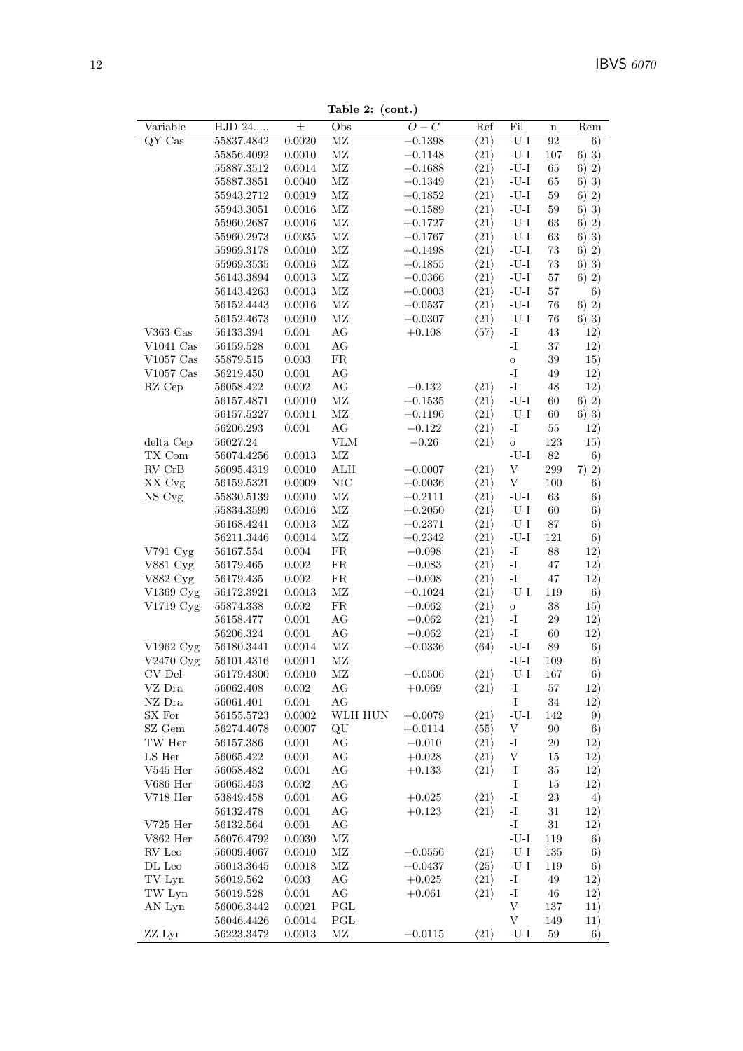Table 2: (cont.)

| Variable               | $\overline{\mathrm{HJD}}$ 24 | $\pm$     | Obs                    | $O-C$      | Ref                             | Fil                                    | $\mathbf n$ | Rem     |
|------------------------|------------------------------|-----------|------------------------|------------|---------------------------------|----------------------------------------|-------------|---------|
| QY Cas                 | 55837.4842                   | 0.0020    | $\overline{\text{MZ}}$ | $-0.1398$  | $\overline{\langle 21} \rangle$ | $-U-I$                                 | 92          | 6)      |
|                        | 55856.4092                   | 0.0010    | $\rm MZ$               | $-0.1148$  | $\langle 21 \rangle$            | $-I-U$                                 | 107         | $6)$ 3) |
|                        | 55887.3512                   | 0.0014    | $\rm MZ$               | $-0.1688$  | $\langle 21 \rangle$            | $\mbox{-}\mathrm{U}\mbox{-}\mathrm{I}$ | 65          | 6) 2)   |
|                        | 55887.3851                   | 0.0040    | $\rm MZ$               | $-0.1349$  | $\langle 21 \rangle$            | $\mbox{-}\mathrm{U}\mbox{-}\mathrm{I}$ | 65          | $6)$ 3) |
|                        | 55943.2712                   | 0.0019    | $\rm MZ$               | $+0.1852$  | $\langle 21 \rangle$            | $-U-I$                                 | 59          | 6) 2)   |
|                        | 55943.3051                   | 0.0016    | $\rm MZ$               | $-0.1589$  | $\langle 21 \rangle$            | $-U-I$                                 | $59\,$      | 6) 3)   |
|                        | 55960.2687                   | 0.0016    | $\rm MZ$               | $+0.1727$  | $\langle 21 \rangle$            | $\mbox{-}\mathrm{U}\mbox{-}\mathrm{I}$ | 63          | 6) 2)   |
|                        | 55960.2973                   | 0.0035    | $\rm MZ$               | $-0.1767$  | $\langle 21 \rangle$            | $-U-I$                                 | 63          | 6) 3)   |
|                        | 55969.3178                   | 0.0010    | $\rm MZ$               | $+0.1498$  | $\langle 21 \rangle$            | $-I-U$                                 | 73          | 6) 2)   |
|                        | 55969.3535                   | 0.0016    | $\rm MZ$               | $+0.1855$  | $\langle 21 \rangle$            | $-U-I$                                 | 73          | $6)$ 3) |
|                        | 56143.3894                   | 0.0013    | $\rm MZ$               | $-0.0366$  | $\langle 21 \rangle$            | $-U-I$                                 | $57\,$      | 6) 2)   |
|                        | 56143.4263                   | 0.0013    | $\rm MZ$               | $+0.0003$  | $\langle 21 \rangle$            | $-U-I$                                 | $57\,$      | 6)      |
|                        | 56152.4443                   | 0.0016    | $\rm MZ$               | $-0.0537$  | $\langle 21 \rangle$            | $-U-I$                                 | 76          | 6) 2)   |
|                        | 56152.4673                   | 0.0010    | $\rm MZ$               | $-0.0307$  | $\langle 21 \rangle$            | $-U-I$                                 | 76          | $6)$ 3) |
| V363 $Cas$             | 56133.394                    | 0.001     | AG                     | $+0.108$   | $\langle 57 \rangle$            | $\mathbf{I}$ .                         | 43          | 12)     |
| $V1041$ Cas            | 56159.528                    | 0.001     | AG                     |            |                                 | $\mathbf{I}$ –                         | 37          | 12)     |
| $V1057$ Cas            | 55879.515                    | 0.003     | FR                     |            |                                 | $\rm{O}$                               | $39\,$      | 15)     |
| $V1057$ Cas            | 56219.450                    | 0.001     | AG                     |            |                                 | $\mathbf{I}$ .                         | $49\,$      | 12)     |
| RZ Cep                 | 56058.422                    | $0.002\,$ | $\rm{AG}$              | $-0.132$   | $\langle 21 \rangle$            | $\mathbf{I}$ .                         | 48          | 12)     |
|                        | 56157.4871                   | 0.0010    | $\rm MZ$               | $+0.1535$  | $\langle 21 \rangle$            | $-U-I$                                 | 60          | 6) 2)   |
|                        | 56157.5227                   | 0.0011    | $\rm MZ$               | $-0.1196$  | $\langle 21 \rangle$            | $-U-I$                                 | 60          | $6)$ 3) |
|                        | 56206.293                    | $0.001\,$ | AG                     | $-0.122$   | $\langle 21 \rangle$            | -I                                     | $55\,$      | 12)     |
| delta Cep              | 56027.24                     |           | <b>VLM</b>             | $-0.26$    | $\langle 21 \rangle$            | $\rm{O}$                               | 123         | 15)     |
| TX Com                 | 56074.4256                   | 0.0013    | $\rm MZ$               |            |                                 | $\mbox{-}\mathrm{U}\mbox{-}\mathrm{I}$ | 82          | 6)      |
| ${\rm RV}$ ${\rm CrB}$ | 56095.4319                   | 0.0010    | ALH                    | $-0.0007$  | $\langle 21 \rangle$            | V                                      | 299         | 7) 2)   |
| XX Cyg                 | 56159.5321                   | 0.0009    | $\rm NIC$              | $+0.0036$  | $\langle 21 \rangle$            | $\boldsymbol{\mathrm{V}}$              | 100         | 6)      |
| NS Cyg                 | 55830.5139                   | 0.0010    | $\rm MZ$               | $+0.2111$  | $\langle 21 \rangle$            | $-U-I$                                 | 63          | 6)      |
|                        | 55834.3599                   | 0.0016    | $\rm MZ$               | $+0.2050$  | $\langle 21 \rangle$            | $\mbox{-}\mathrm{U}\mbox{-}\mathrm{I}$ | 60          | 6)      |
|                        | 56168.4241                   | 0.0013    | $\rm MZ$               | $+0.2371$  | $\langle 21 \rangle$            | $-U-I$                                 | $87\,$      | 6)      |
|                        | 56211.3446                   | 0.0014    | $\rm MZ$               | $+0.2342$  | $\langle 21 \rangle$            | $-U-I$                                 | 121         | 6)      |
| $V791$ Cyg             | 56167.554                    | 0.004     | FR                     | $-0.098$   | $\langle 21 \rangle$            | $\mathbf{I}$                           | 88          | 12)     |
| V881 Cyg               | 56179.465                    | 0.002     | FR                     | $-0.083$   | $\langle 21 \rangle$            | $\mathbf{I}$ .                         | 47          | 12)     |
| V882 Cyg               | 56179.435                    | 0.002     | ${\rm FR}$             | $-0.008$   | $\langle 21 \rangle$            | $-I$                                   | 47          | 12)     |
| V1369 Cyg              | 56172.3921                   | 0.0013    | $\rm MZ$               | $-0.1024$  | $\langle 21 \rangle$            | $-U-I$                                 | 119         | 6)      |
| V1719 Cyg              | 55874.338                    | 0.002     | FR                     | $-0.062$   | $\langle 21 \rangle$            | $\rm{O}$                               | $38\,$      | 15)     |
|                        | 56158.477                    | $0.001\,$ | $\rm{AG}$              | $-0.062$   | $\langle 21 \rangle$            | $\mathbf{I}$                           | $\rm 29$    | 12)     |
|                        | 56206.324                    | 0.001     | $\rm{AG}$              | $-0.062\,$ | $\langle 21 \rangle$            | $\mathbf{I}$ –                         | $60\,$      | 12)     |
| V1962 Cyg              | 56180.3441                   | 0.0014    | $\rm MZ$               | $-0.0336$  | $\langle 64 \rangle$            | $-I-U$                                 | 89          | 6)      |
| V2470 Cyg              | 56101.4316                   | 0.0011    | $\rm MZ$               |            |                                 | $\mbox{-}\mathrm{U}\mbox{-}\mathrm{I}$ | 109         | 6)      |
| CV Del                 | 56179.4300                   | 0.0010    | ΜZ                     | $-0.0506$  | $\langle 21 \rangle$            | $\mbox{-}\mathrm{U}\mbox{-}\mathrm{I}$ | 167         | 6)      |
| VZ Dra                 | 56062.408                    | 0.002     | AG                     | $+0.069$   | $\langle 21 \rangle$            | $\mathbf{I}$                           | 57          | 12)     |
| ${\rm NZ}$ Dra         | 56061.401                    | $0.001\,$ | AG                     |            |                                 | $\mathbf{I}$ .                         | $34\,$      | 12)     |
| SX For                 | 56155.5723                   | 0.0002    | WLH HUN                | $+0.0079$  | $\langle 21 \rangle$            | $\mbox{-}\mathrm{U}\mbox{-}\mathrm{I}$ | 142         | 9)      |
| SZ Gem                 | 56274.4078                   | 0.0007    | QU                     | $+0.0114$  | $\langle 55 \rangle$            | $\ensuremath{\mathbf{V}}$              | $90\,$      | 6)      |
| TW Her                 | 56157.386                    | 0.001     | AG                     | $-0.010$   | $\langle 21 \rangle$            | $\mathbf{-I}$                          | $20\,$      | 12)     |
| LS Her                 | 56065.422                    | 0.001     | AG                     | $+0.028$   | $\langle 21 \rangle$            | $\ensuremath{\mathbf{V}}$              | 15          | 12)     |
| $V545$ Her             | 56058.482                    | 0.001     | AG                     | $+0.133$   | $\langle 21 \rangle$            | $\mathbf{I}$ .                         | $35\,$      | 12)     |
| V686 Her               | 56065.453                    | 0.002     | AG                     |            |                                 | $\mathbf{I}$                           | $15\,$      | 12)     |
| $V718$ Her             | 53849.458                    | 0.001     | AG                     | $+0.025$   | $\langle 21 \rangle$            | $\mathbf{I}$ .                         | $23\,$      | 4)      |
|                        | 56132.478                    | 0.001     | AG                     | $+0.123$   | $\langle 21 \rangle$            | $\mathbf{I}$ .                         | $31\,$      | 12)     |
| $V725$ Her             | 56132.564                    | $0.001\,$ | AG                     |            |                                 | $\mathbf{I}$                           | $31\,$      | 12)     |
| ${\rm V862\ Her}$      | 56076.4792                   | 0.0030    | $\rm MZ$               |            |                                 | $-U-I$                                 | 119         | 6)      |
| RV Leo                 | 56009.4067                   | 0.0010    | $\rm MZ$               | $-0.0556$  | $\langle 21 \rangle$            | $\mbox{-}\mathrm{U}\mbox{-}\mathrm{I}$ | 135         | 6)      |
| $\rm DL$ Leo           | $56013.3645\,$               | 0.0018    | $\rm MZ$               | $+0.0437$  | $\langle 25 \rangle$            | $-U-I$                                 | 119         | 6)      |
| TV Lyn                 | 56019.562                    | 0.003     | AG                     | $+0.025$   | $\langle 21 \rangle$            | $\mathbf{I}$ .                         | 49          | 12)     |
| TW Lyn                 | 56019.528                    | 0.001     | AG                     | $+0.061$   | $\langle 21 \rangle$            | $\mathbf{I}$ .                         | 46          | 12)     |
| AN Lyn                 | 56006.3442                   | 0.0021    | PGL                    |            |                                 | V                                      | 137         | 11)     |
|                        | 56046.4426                   | 0.0014    | PGL                    |            |                                 | $\ensuremath{\mathbf{V}}$              | 149         | 11)     |
| ZZ Lyr                 | 56223.3472                   | 0.0013    | $\rm MZ$               | $-0.0115$  | $\langle 21 \rangle$            | $\mbox{-}\mathrm{U}\mbox{-}\mathrm{I}$ | 59          | 6)      |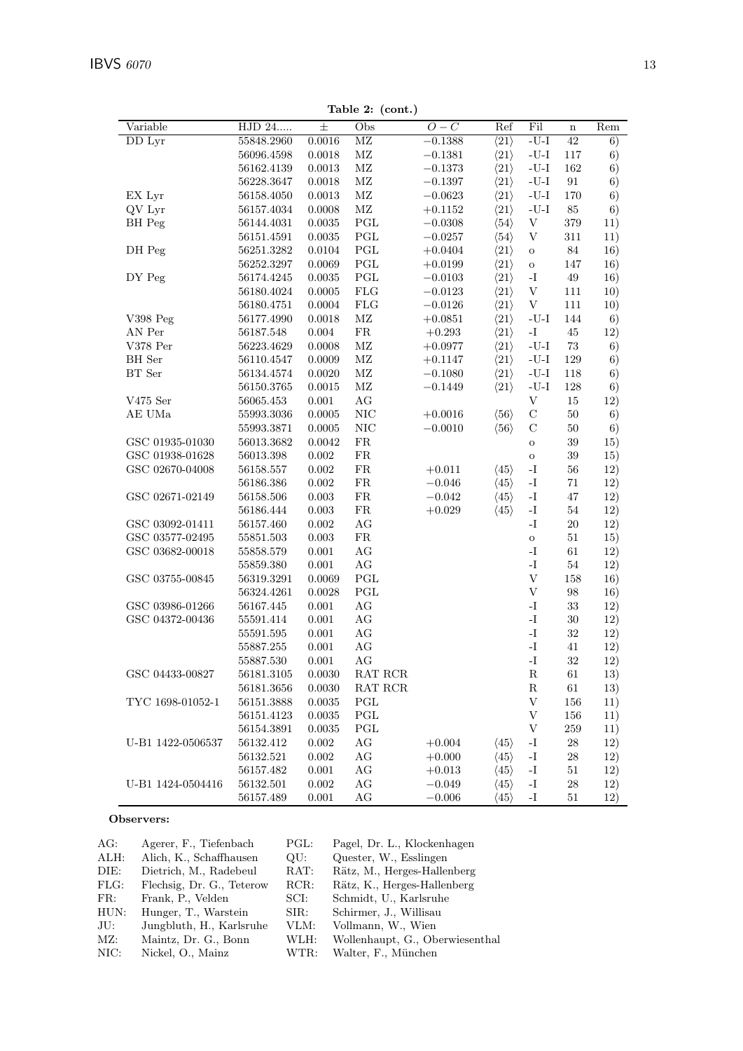Variable

HJD 24.....

|       | Table 2: (cont.) |           |                      |         |     |     |
|-------|------------------|-----------|----------------------|---------|-----|-----|
| 土     | Obs              | $O-C$     | Ref                  | Fil     | n   | Rem |
| .0016 | МZ               | $-0.1388$ | $\langle 21 \rangle$ | $-U-I$  | 42  | 6)  |
| .0018 | МZ               | $-0.1381$ | $\langle 21 \rangle$ | $-U-I$  | 117 | 6)  |
| .0013 | МZ               | $-0.1373$ | $\langle 21 \rangle$ | $-U-I$  | 162 | 6)  |
| .0018 | МZ               | $-0.1397$ | $\langle 21 \rangle$ | $-U-I$  | 91  | 6)  |
| .0013 | МZ               | $-0.0623$ | $\langle 21 \rangle$ | $-U-I$  | 170 | 6)  |
| .0008 | МZ               | $+0.1152$ | $\langle 21 \rangle$ | $-U-I$  | 85  | 6)  |
| .0035 | PGL              | $-0.0308$ | $\langle 54 \rangle$ | V       | 379 | 11) |
| .0035 | PGL              | $-0.0257$ | $\langle 54 \rangle$ | V       | 311 | 11) |
| .0104 | PGL              | $+0.0404$ | $\langle 21 \rangle$ | $\circ$ | 84  | 16) |
| .0069 | PGL              | $+0.0199$ | $\langle 21 \rangle$ | $\circ$ | 147 | 16) |
| .0035 | PGL              | $-0.0103$ | $\langle 21 \rangle$ | -T      | 49  | 16) |
| .0005 | $_{\rm FLG}$     | $-0.0123$ | $\langle 21 \rangle$ | V       | 111 | 10) |
| .0004 | $_{\rm FLG}$     | $-0.0126$ | $\langle 21 \rangle$ | V       | 111 | 10) |
|       |                  |           |                      |         |     |     |

 ${\bf Table}$ 

| DD Lyr                  | 55848.2960     | 0.0016        | ΜZ                   | $-0.1388$   | $\langle 21 \rangle$ | -U-I                                   | 42     | 6)  |
|-------------------------|----------------|---------------|----------------------|-------------|----------------------|----------------------------------------|--------|-----|
|                         | 56096.4598     | 0.0018        | $\rm M Z$            | $-0.1381$   | $\langle 21 \rangle$ | $\mbox{-}\mathrm{U}\mbox{-}\mathrm{I}$ | 117    | 6)  |
|                         | $56162.4139\,$ | $\,0.0013\,$  | $\rm MZ$             | $-0.1373$   | $\langle 21 \rangle$ | $-U-I$                                 | 162    | 6)  |
|                         | 56228.3647     | 0.0018        | $\rm MZ$             | $-0.1397$   | $\langle 21 \rangle$ | $\mbox{-}\mathrm{U}\mbox{-}\mathrm{I}$ | 91     | 6)  |
| EX Lyr                  | 56158.4050     | 0.0013        | $\rm MZ$             | $-0.0623$   | $\langle 21 \rangle$ | $\mbox{-}\mathrm{U}\mbox{-}\mathrm{I}$ | 170    | 6)  |
| QV Lyr                  | 56157.4034     | 0.0008        | $\rm MZ$             | $+0.1152$   | $\langle 21 \rangle$ | $\mbox{-}\mathrm{U}\mbox{-}\mathrm{I}$ | 85     | 6)  |
| BH Peg                  | 56144.4031     | 0.0035        | PGL                  | $-0.0308$   | $\langle 54 \rangle$ | $\ensuremath{\mathbf{V}}$              | 379    | 11) |
|                         | 56151.4591     | 0.0035        | PGL                  | $-0.0257$   | $\langle 54 \rangle$ | V                                      | 311    | 11) |
| DH Peg                  | 56251.3282     | 0.0104        | $\operatorname{PGL}$ | $+0.0404$   | $\langle 21 \rangle$ | $\rm{O}$                               | 84     | 16) |
|                         | 56252.3297     | 0.0069        | $\operatorname{PGL}$ | $+0.0199$   | $\langle 21 \rangle$ | $\rm{O}$                               | 147    | 16) |
| DY Peg                  | 56174.4245     | 0.0035        | $\operatorname{PGL}$ | $-0.0103$   | $\langle 21 \rangle$ | $\mathbf{I}$ .                         | 49     | 16) |
|                         | $56180.4024\,$ | 0.0005        | ${\rm FLG}$          | $-0.0123$   | $\langle 21 \rangle$ | $\ensuremath{\mathbf{V}}$              | 111    | 10) |
|                         | 56180.4751     | 0.0004        | <b>FLG</b>           | $-0.0126\,$ | $\langle 21 \rangle$ | $\ensuremath{\mathbf{V}}$              | 111    | 10) |
| V398 Peg                | 56177.4990     | 0.0018        | $\rm MZ$             | $+0.0851$   | $\langle 21 \rangle$ | $-U-I$                                 | 144    | 6)  |
| AN Per                  | 56187.548      | $0.004\,$     | ${\rm FR}$           | $+0.293$    | $\langle 21 \rangle$ | $\mathbf{I}$ –                         | 45     | 12) |
| V378 Per                | 56223.4629     | 0.0008        | $\rm MZ$             | $+0.0977$   | $\langle 21 \rangle$ | $-U-I$                                 | 73     | 6)  |
| BH Ser                  | 56110.4547     | 0.0009        | $\rm MZ$             | $+0.1147$   | $\langle 21 \rangle$ | $\mbox{-}\mathrm{U}\mbox{-}\mathrm{I}$ | 129    | 6)  |
| $\operatorname{BT}$ Ser | 56134.4574     | 0.0020        | $\rm MZ$             | $-0.1080$   | $\langle 21 \rangle$ | $-U-I$                                 | 118    | 6)  |
|                         | 56150.3765     | 0.0015        | $\rm M Z$            | $-0.1449$   | $\langle 21 \rangle$ | $-U-I$                                 | 128    | 6)  |
| V475 Ser                | 56065.453      | 0.001         | $\rm{AG}$            |             |                      | $\ensuremath{\mathbf{V}}$              | 15     | 12) |
| AE UMa                  | 55993.3036     | 0.0005        | $\rm NIC$            | $+0.0016$   | $\langle 56 \rangle$ | $\mathbf C$                            | $50\,$ | 6)  |
|                         | 55993.3871     | 0.0005        | $\rm NIC$            | $-0.0010$   | $\langle 56 \rangle$ | $\mathbf C$                            | $50\,$ | 6)  |
| GSC 01935-01030         | 56013.3682     | 0.0042        | FR                   |             |                      | $\mathbf O$                            | $39\,$ | 15) |
| GSC 01938-01628         | 56013.398      | 0.002         | ${\rm FR}$           |             |                      | $\rm{O}$                               | $39\,$ | 15) |
| GSC 02670-04008         | 56158.557      | $0.002\,$     | ${\rm FR}$           | $+0.011$    | $\langle 45 \rangle$ | $\mathbf{-I}$                          | $56\,$ | 12) |
|                         | 56186.386      | $0.002\,$     | ${\rm FR}$           | $-0.046$    | $\langle 45 \rangle$ | $\mathbf{I}$ –                         | 71     | 12) |
| GSC 02671-02149         | 56158.506      | 0.003         | ${\rm FR}$           | $-0.042$    | $\langle 45 \rangle$ | $\mathbf{I}-$                          | 47     | 12) |
|                         | 56186.444      | $\,0.003\,$   | FR                   | $+0.029$    | $\langle 45 \rangle$ | $\mathbf{I}$ –                         | 54     | 12) |
| GSC 03092-01411         | 56157.460      | 0.002         | AG                   |             |                      | $\mathbf{I}$ –                         | 20     | 12) |
| GSC 03577-02495         | $55851.503\,$  | 0.003         | ${\rm FR}$           |             |                      | $\mathbf O$                            | $51\,$ | 15) |
| GSC 03682-00018         | 55858.579      | 0.001         | AG                   |             |                      | $\mathbf{I}$ –                         | 61     | 12) |
|                         | $55859.380\,$  | 0.001         | AG                   |             |                      | $\mathbf{I}-$                          | $54\,$ | 12) |
| GSC 03755-00845         | 56319.3291     | 0.0069        | PGL                  |             |                      | $\ensuremath{\mathbf{V}}$              | 158    | 16) |
|                         | 56324.4261     | 0.0028        | PGL                  |             |                      | $\ensuremath{\mathbf{V}}$              | 98     | 16) |
| GSC 03986-01266         | 56167.445      | 0.001         | AG                   |             |                      | $\mathbf{I}$ .                         | 33     | 12) |
| GSC 04372-00436         | 55591.414      | $0.001\,$     | AG                   |             |                      | $\mathbf{I}-$                          | 30     | 12) |
|                         | 55591.595      | 0.001         | AG                   |             |                      | $\mathbf{I}$ .                         | 32     | 12) |
|                         | 55887.255      | 0.001         | AG                   |             |                      | $\mathbf{I}-$                          | 41     | 12) |
|                         | 55887.530      | $0.001\,$     | AG                   |             |                      | $\mathbf{I}-$                          | $32\,$ | 12) |
| GSC 04433-00827         | 56181.3105     | 0.0030        | RAT RCR              |             |                      | ${\bf R}$                              | 61     | 13) |
|                         | 56181.3656     | 0.0030        | RAT RCR              |             |                      | $\mathbf R$                            | 61     | 13) |
| TYC 1698-01052-1        | 56151.3888     | 0.0035        | PGL                  |             |                      | V                                      | 156    | 11) |
|                         |                | $\, 0.0035\,$ | PGL                  |             |                      | V                                      | 156    | 11) |
|                         | 56151.4123     | $\,0.0035\,$  | PGL                  |             |                      | $\ensuremath{\mathbf{V}}$              | 259    |     |
|                         | 56154.3891     |               |                      |             |                      |                                        |        | 11) |
| U-B1 1422-0506537       | 56132.412      | 0.002         | $\rm{AG}$            | $+0.004$    | $\langle 45 \rangle$ | $\mathbf{-I}$                          | $\,28$ | 12) |
|                         | 56132.521      | 0.002         | $\rm{AG}$            | $+0.000$    | $\langle 45 \rangle$ | $\mathbf{-I}$                          | 28     | 12) |
|                         | 56157.482      | $0.001\,$     | AG                   | $+0.013$    | $\langle 45 \rangle$ | $\mathbf{-I}$                          | 51     | 12) |
| U-B1 1424-0504416       | 56132.501      | 0.002         | AG                   | $-0.049$    | $\langle 45 \rangle$ | $\mathbf{-I}$                          | 28     | 12) |
|                         | 56157.489      | 0.001         | AG                   | $-0.006$    | $\langle 45 \rangle$ | $\mathbf{-I}$                          | 51     | 12) |

## Observers:

| AG:  | Agerer, F., Tiefenbach    | PGL:           | Pagel, Dr. L., Klockenhagen     |
|------|---------------------------|----------------|---------------------------------|
| ALH: | Alich, K., Schaffhausen   | $\mathrm{QU:}$ | Quester, W., Esslingen          |
| DIE: | Dietrich, M., Radebeul    | $\text{RAT}:$  | Rätz, M., Herges-Hallenberg     |
| FLG: | Flechsig, Dr. G., Teterow | RCR:           | Rätz, K., Herges-Hallenberg     |
| FR:  | Frank, P., Velden         | SCI:           | Schmidt, U., Karlsruhe          |
| HUN: | Hunger, T., Warstein      | SIR:           | Schirmer, J., Willisau          |
| JU:  | Jungbluth, H., Karlsruhe  | VLM:           | Vollmann, W., Wien              |
| MZ:  | Maintz, Dr. G., Bonn      | WLH:           | Wollenhaupt, G., Oberwiesenthal |
| NIC: | Nickel, O., Mainz         | WTR:           | Walter, F., München             |
|      |                           |                |                                 |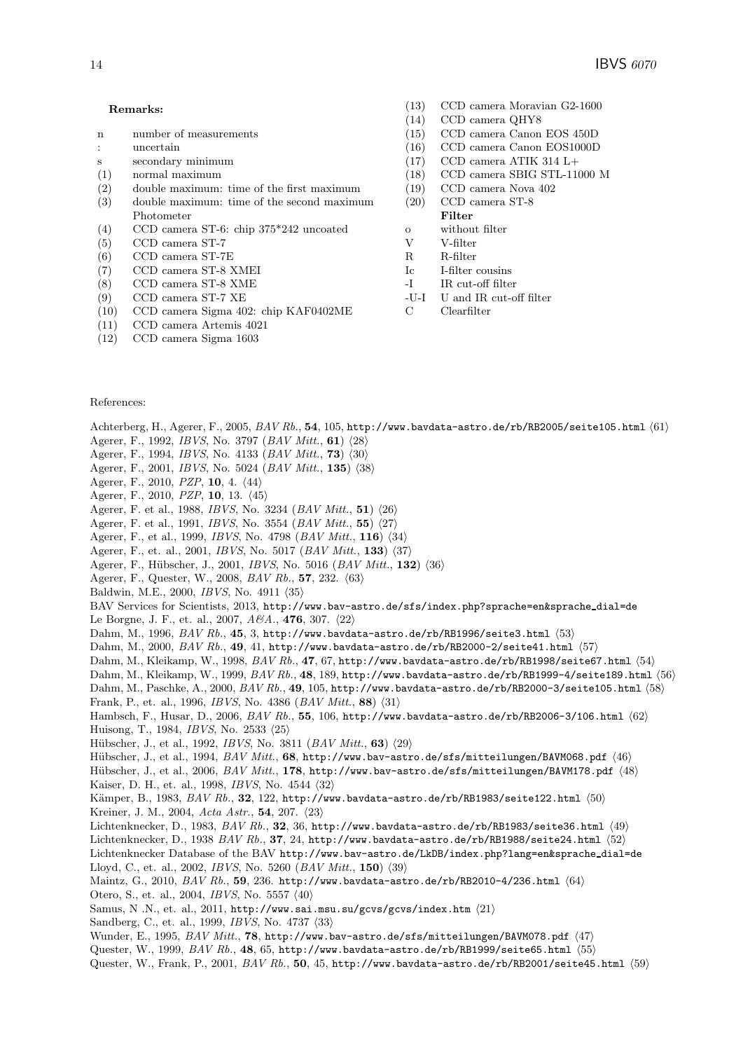- n number of measurements
- : uncertain
- s secondary minimum
- (1) normal maximum
- (2) double maximum: time of the first maximum
- (3) double maximum: time of the second maximum Photometer
- (4) CCD camera ST-6: chip 375\*242 uncoated
- (5) CCD camera ST-7
- (6) CCD camera ST-7E
- (7) CCD camera ST-8 XMEI
- (8) CCD camera ST-8 XME
- (9) CCD camera ST-7 XE
- (10) CCD camera Sigma 402: chip KAF0402ME
- (11) CCD camera Artemis 4021
- (12) CCD camera Sigma 1603
- (13) CCD camera Moravian G2-1600 (14) CCD camera QHY8
- CCD camera QHY8
- (15) CCD camera Canon EOS 450D
- (16) CCD camera Canon EOS1000D
- (17) CCD camera ATIK 314 L+
- (18) CCD camera SBIG STL-11000 M
- (19) CCD camera Nova 402 (20) CCD camera ST-8
- Filter
- **Filter** o without filter
- V V-filter
- R R-filter
- Ic I-filter cousins
- -I IR cut-off filter
- -U-I U and IR cut-off filter
- C Clearfilter

#### References:

Achterberg, H., Agerer, F., 2005, *BAV Rb.*, 54, 105, http://www.bavdata-astro.de/rb/RB2005/seite105.html  $\langle 61 \rangle$ <br>Agerer, F., 1992, *IRVS*, No., 3797 (*RAV Mitt*, 61) /98\

- Agerer, F., 1992, *IBVS*, No. 3797 (*BAV Mitt.*, **61**)  $\langle 28 \rangle$ <br>Agerer, F., 1994, *IBVS*, No. 4133 (*BAV Mitt*., **73**)  $\langle 30 \rangle$
- Agerer, F., 1994, *IBVS*, No. 4133 (*BAV Mitt.*, **73**)  $\langle 30 \rangle$ <br>Agerer, F., 2001, *IBVS*, No. 5024 (*BAV Mitt*, 135)  $\langle 38 \rangle$
- Agerer, F., 2001, *IBVS*, No. 5024 (*BAV Mitt.*, **135**)  $\langle 38 \rangle$ <br>Agerer, F., 2010, *PZP*, **10**, 4, /44
- Agerer, F., 2010, *PZP*, **10**, 4.  $\langle 44 \rangle$ <br>Agerer, F., 2010, *PZP*, **10**, 13,  $\langle 45 \rangle$
- Agerer, F., 2010, *PZP*, **10**, 13.  $\langle 45 \rangle$ <br>Agency F et al. 1988, *IBVS* No. 5
- Agerer, F. et al., 1988, *IBVS*, No. 3234 (*BAV Mitt.*, **51**)  $\langle 26 \rangle$ <br>Agerer, F. et al., 1991, *IBVS*, No. 3554 (*BAV Mitt*., **55**)  $\langle 27 \rangle$
- Agerer, F. et al., 1991, *IBVS*, No. 3554  $(BAV Mitt., 55)$   $\langle 27 \rangle$ <br>Agerer, F. et al., 1999, *IBVS*, No. 4798  $(BAV Mitt, 116)$  /3
- Agerer, F., et al., 1999, *IBVS*, No. 4798 (*BAV Mitt.*, **116**) (34)<br>Agerer, F., et al., 2001, *IBVS*, No. 5017 (*BAV Mitt.*, **133**) (37
- Agerer, F., et. al., 2001, *IBVS*, No. 5017 (*BAV Mitt.*, **133**)  $\langle 37 \rangle$ <br>Agerer, F., Hübscher, J., 2001, *IBVS*, No. 5016 (*BAV Mitt*., **13**)
- Agerer, F., Hübscher, J., 2001, *IBVS*, No. 5016 (*BAV Mitt.*, **132**)  $\langle 36 \rangle$ <br>Agerer, F., Quester, W., 2008, *BAV Bb*, 57, 232,  $\langle 63 \rangle$
- Agerer, F., Quester, W., 2008, *BAV Rb.*, **57**, 232.  $\langle 63 \rangle$ <br>Baldwin, M.E., 2000, *IBVS*, No. 4011, 25.
- Baldwin, M.E., 2000, *IBVS*, No. 4911  $\langle 35 \rangle$

BAV Services for Scientists, 2013, http://www.bav-astro.de/sfs/index.php?sprache=en&sprache dial=de

Le Borgne, J. F., et. al., 2007, *A&A.*, **476**, 307.  $\langle 22 \rangle$ <br>Dahm, M. 1996, *BAV Bb*, 45, 3, http://www.hayda

Dahm, M., 1996, *BAV Rb.*, **45**, 3, http://www.bavdata-astro.de/rb/RB1996/seite3.html -53

Dahm, M., 2000, *BAV Rb.*, **49**, 41, http://www.bavdata-astro.de/rb/RB2000-2/seite41.html -57

- Dahm, M., Kleikamp, W., 1998, *BAV Rb.*, **47**, 67, http://www.bavdata-astro.de/rb/RB1998/seite67.html -54
- Dahm, M., Kleikamp, W., 1999, *BAV Rb.*, **48**, 189, http://www.bavdata-astro.de/rb/RB1999-4/seite189.html -56
- Dahm, M., Paschke, A., 2000, *BAV Rb.*, **49**, 105, **http://www.bavdata-astro.de/rb/RB2000-3/seite105.html**  $\langle 58 \rangle$ **<br>Frank, P. et al. 1996,** *IBVS No. 4386 (BAV Mitt* **88) /31)**

Frank, P., et. al., 1996, *IBVS*, No. 4386 (*BAV Mitt.*, **88**)  $\langle 31 \rangle$ <br>Hambsch, F., Husar, D., 2006, *BAV Bb*, **55**, 106, **http://www.** 

Hambsch, F., Husar, D., 2006, *BAV Rb.*, **55**, 106, **http://www.bavdata-astro.de/rb/RB2006-3/106.html**  $\langle 62 \rangle$ **<br>Huisong T. 1984,** *IRVS***, No. 2533, 25\** Huisong, T., 1984, *IBVS*, No. 2533  $\langle 25 \rangle$ 

 $\begin{bmatrix}\n \text{Hübscher, J., et al., 1992, *IBVS*, No. 3811 (*BAV Mitt.*, **63**) \langle 29 \rangle \\
\text{Hübscher, J. et al. 1994, *BAV Mitt.* **68 http://www.bav-astr.**$ 

Hübscher, J., et al., 1994, *BAV Mitt.*, **68**, http://www.bav-astro.de/sfs/mitteilungen/BAVM068.pdf  $\langle 46 \rangle$ <br>Hübscher, J. et al., 2006, *BAV Mitt*., **178**, http://www.bav-astro.de/sfs/mitteilungen/BAVM178, pdf./48

- Hübscher, J., et al., 2006, *BAV Mitt.*, **178**, http://www.bav-astro.de/sfs/mitteilungen/BAVM178.pdf  $\langle 48 \rangle$ <br>Kaiser, D. H. et al. 1998, *IBVS*, No. 4544–/32\
- Kaiser, D. H., et. al., 1998, *IBVS*, No. 4544  $\langle 32 \rangle$

Kämper, B., 1983, *BAV Rb.*, **32**, 122, http://www.bavdata-astro.de/rb/RB1983/seite122.html  $\langle 50 \rangle$ <br>Kroiner, J. M. 2004, *Acts.Astr. 54, 207, /23* Kreiner, J. M., 2004, *Acta Astr.*, **54**, 207.  $\langle 23 \rangle$ <br>Lichtenknecker, D. 1983, *BAV Bb*, 32, 36, ht

Lichtenknecker, D., 1983, *BAV Rb.*, **32**, 36, http://www.bavdata-astro.de/rb/RB1983/seite36.html  $\langle 49 \rangle$ <br>Lichtenknecker, D., 1938, *BAV Rb.*, **37**, 24, http://www.baydata-astro.de/rb/PB1988/seite24, html /52\

Lichtenknecker, D., 1938 *BAV Rb.*, **37**, 24, http://www.bavdata-astro.de/rb/RB1988/seite24.html (52)<br>Lichtenknecker Database of the BAV http://www.bay-astro.de/LkPB/index.php?lang=en*ksprache*.dial

Lichtenknecker Database of the BAV http://www.bav-astro.de/LkDB/index.php?lang=en&sprache dial=de Lloyd, C., et. al., 2002, *IBVS*, No. 5260 (*BAV Mitt.*, **150**)  $\langle 39 \rangle$ <br>Maintz, G., 2010, *BAV Bb*, 5**0**, 236, http://www.haydata-ast

Maintz, G., 2010, *BAV Rb.*, 59, 236. http://www.bavdata-astro.de/rb/RB2010-4/236.html  $\langle 64 \rangle$ <br>Otero S. et al. 2004, *IBVS* No. 5557 /40\

Otero, S., et. al., 2004, *IBVS*, No. 5557  $\langle 40 \rangle$ 

 $\text{Samus, N. N.}, \text{et. al., 2011, http://www.sai.msu.su/gcvs/gcvs/index.htm} \; \langle 21 \rangle$ 

Sandberg, C., et. al., 1999, *IBVS*, No. 4737  $\langle 33 \rangle$ 

Wunder, E., 1995, *BAV Mitt.*, **78**, http://www.bav-astro.de/sfs/mitteilungen/BAVM078.pdf (47)<br>Quester W. 1999, *BAV Bb. 48*, 65, http://www.bavdata-astro.de/rb/PB1999/seite65, html /55

Quester, W., 1999, *BAV Rb.*, **48**, 65, http://www.bavdata-astro.de/rb/RB1999/seite65.html (55)<br>Quester, W., Frank, P., 2001, *BAV Bb*, 50, 45, http://www.bavdata-astro.de/rb/PB2001/seite45

Quester, W., Frank, P., 2001, *BAV Rb.*, 50, 45, http://www.bavdata-astro.de/rb/RB2001/seite45.html  $\langle 59 \rangle$